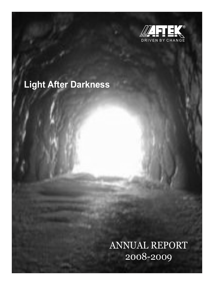

# **Light After Darkness**

ANNUAL REPORT 2008-2009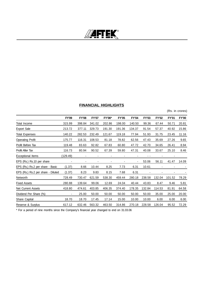

# **FINANCIAL HIGHLIGHTS**

(Rs. in crores)

|                                    | FY'09                    | <b>FY'08</b>             | <b>FY'07</b> | FY'06* | <b>FY'05</b>   | <b>FY'04</b> | <b>FY'03</b> | <b>FY'02</b> | <b>FY'01</b>             | <b>FY'00</b> |
|------------------------------------|--------------------------|--------------------------|--------------|--------|----------------|--------------|--------------|--------------|--------------------------|--------------|
| Total Income                       | 315.99                   | 398.84                   | 341.02       | 202.86 | 198.00         | 140.50       | 99.36        | 67.44        | 50.71                    | 20.81        |
| <b>Export Sale</b>                 | 213.72                   | 377.11                   | 329.73       | 191.30 | 191.36         | 134.37       | 91.54        | 57.37        | 40.92                    | 15.86        |
| <b>Total Expenses</b>              | 140.22                   | 282.53                   | 232.49       | 121.67 | 119.18         | 77.94        | 51.93        | 31.75        | 23.45                    | 11.16        |
| <b>Operating Profit</b>            | 175.77                   | 116.31                   | 108.53       | 81.18  | 78.82          | 62.56        | 47.43        | 35.69        | 27.26                    | 9.65         |
| Profit Before Tax                  | 119.48                   | 83.63                    | 92.82        | 67.83  | 60.80          | 47.72        | 42.70        | 34.65        | 26.41                    | 8.94         |
| Profit After Tax                   | 116.73                   | 80.94                    | 90.52        | 67.39  | 59.80          | 47.31        | 40.08        | 33.67        | 25.10                    | 8.46         |
| <b>Exceptional Items</b>           | (129.49)                 | $\overline{\phantom{a}}$ | ۰            | -      | $\overline{a}$ | -            | . .          |              | $\overline{\phantom{a}}$ |              |
| EPS (Rs.) Rs.10 per share          |                          |                          |              |        |                | ۰            | 53.06        | 56.11        | 41.47                    | 14.09        |
| EPS (Rs.) Rs.2 per share - Basic   | (1.37)                   | 8.66                     | 10.44        | 8.25   | 7.73           | 6.31         | 10.61        |              |                          |              |
| EPS (Rs.) Rs.2 per share - Diluted | (1.37)                   | 8.23                     | 9.83         | 8.15   | 7.68           | 6.31         |              |              |                          |              |
| Networth                           | 728.49                   | 730.47                   | 621.59       | 538.30 | 459.44         | 280.18       | 238.58       | 132.04       | 101.52                   | 78.29        |
| <b>Fixed Assets</b>                | 280.88                   | 139.64                   | 99.06        | 12.69  | 24.04          | 40.44        | 43.83        | 8.47         | 9.46                     | 5.81         |
| Net Current Assets                 | 418.80                   | 474.61                   | 403.85       | 406.35 | 374.40         | 178.35       | 132.84       | 114.53       | 81.91                    | 64.58        |
| Dividend Per Share (%)             | $\overline{\phantom{a}}$ | 25.00                    | 50.00        | 50.00  | 50.00          | 50.00        | 50.00        | 35.00        | 25.00                    | 20.00        |
| Share Capital                      | 18.70                    | 18.70                    | 17.45        | 17.14  | 15.00          | 10.00        | 10.00        | 6.00         | 6.00                     | 6.00         |
| Reserve & Surplus                  | 617.12                   | 632.46                   | 563.32       | 463.50 | 314.86         | 270.18       | 228.58       | 126.04       | 95.52                    | 72.29        |

\* For a period of nine months since the Company's financial year changed to end on 31.03.06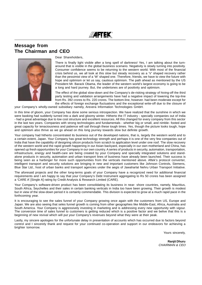WAFTEK

# **Message from The Chairman and CEO**



### Dear Shareholders,

There is finally light visible after a long spell of darkness! Yes, I am talking about the turnaround that is visible in the global business scenario. Negativity is slowly turning into positivity. Consumer confidence seems to be returning to the western world. With most of the financial crisis behind us, we all look at this slow but steady recovery as a 'V' shaped recovery rather than the pessimist view of a 'W' shaped one. Therefore, friends, we have to view the future with hope and optimism or let us say, cautious optimism. The path ahead as mentioned by the US President Mr. Barack Obama, the leader of the western world's largest economy is going to be a long and hard journey. But, the undertones are of positivity and optimism.

The effect of the global slow-down and the Company's de-risking strategy of hiving-off the third party testing and validation arrangements have had a negative impact of lowering the top-line from Rs. 392 crores to Rs. 220 crores. The bottom-line, however. had been moderate except for the effects of foreign exchange fluctuations and the exceptional write-off due to the closure of

your Company's wholly-owned subsidiary namely, Arexera Information Technologies GmbH.

In this time of gloom, your Company has done some serious introspection. We have realized that the sunshine in which we were basking had suddenly turned into a dark and gloomy winter. Hitherto the IT industry - specially companies out of India - had a great advantage due to low cost structure and excellent resources. All this changed for every company from this sector in the last two years. Companies with strong technologies and fundamentals - whether big or small, and nimble- footed and great capacity for tenaciousness and patience will sail through these tough times. Yes, though the picture looks tough, hope and optimism also thrive as we go ahead on this long journey towards slow but definite growth.

Your company had hitherto concentrated its business out of the developed nations, that is, largely the western world and to a certain extent, Japan. Your Company has great technology strength and perhaps it is one of the very few companies out of India that have the capability of designing silicon products from scratch to application level under one roof. The slow recovery of the western world and the rapid growth happening in our Asian backyard, especially in our own motherland and China, has opened up fresh opportunities for your Company in our own country. A series of products in security, automation, transportation, infrastructure, energy and health-care are being created by your Company and specially integrated solutions and standalone products in security, automation and urban transport lines of business have already been launched. Their success is being seen as a harbinger for more such opportunities from the verticals mentioned above. Aftek's protocol converter, intelligent transport and security solutions are bringing in new and important customers like Johnson Controls, Siemens, Blue Star Ltd., host of urban banks and transport agencies under the aegis of Jawaharlal Nehru Urban Transport Initiative.

The aforesaid projects and the other long-terms goals of your Company have a recognized need for additional financial requirements and I am happy to say that your Company's Debt Instrument aggregating to Rs 50 crores has been assigned a 'CARE A' [Single A] rating by Credit Analysis & Research Limited (CARE).

Your Company's software-driven product has been consolidating its business in near- shore countries, namely, Mauritius, South Africa, Seychelles and their sales in certain banking verticals in India too have been growing. Their growth is modest but in view of the slow-down period it is certainly commendable. This division is expected to grow at a much rapid pace in the forthcoming year.

It is encouraging to see the sales funnel of your Company growing once again with the customers from US, Europe and Japan. We are also seeing that seles funnel growth is coming from other geographies like Middle-East, Africa, Austrialia and South America. Your Company is aggressively investing in marketing and is addressing every new opportunity with vigour. The conversion time of sales funnel to customers is getting reduced which is a positive factor and we belive that this is a beginning of new revival which will put your Company's revenues beyond what they were at their peak.

Lastly, my sincere apologies for the unfortunate delay in presentation of accounts which has occurred due to factors beyond control and I sincerely thank and request for your continued co-operation and support in our endeavors for achieving a brighter tomorrow.

Yours sincerely,

**Ranjit Dhuru** CHAIRMAN & CEO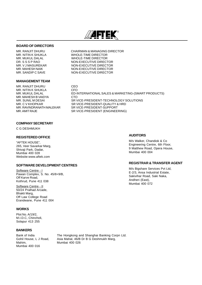

# **BOARD OF DIRECTORS**

# **MANAGEMENT TEAM**

MR. RANJIT DHURU CEO MR. NITIN K SHUKLA CFO MR. MAHESH B VAIDYA CTO

MR. RANJIT DHURU CHAIRMAN & MANAGING DIRECTOR MR. NITIN K SHUKLA WHOLE-TIME DIRECTOR<br>MR. MUKUL DALAL WHOLE-TIME DIRECTOR MR. MUKUL DALAL WHOLE-TIME DIRECTOR **NON-EXECUTIVE DIRECTOR** MR. V J MASUREKAR NON-EXECUTIVE DIRECTOR MR. MAHESH NAIK NON-EXECUTIVE DIRECTOR MR. SANDIP C SAVE NON-EXECUTIVE DIRECTOR

ED-INTERNATIONAL SALES & MARKETING-(SMART PRODUCTS) MR. SUNIL M DESAI SR VICE-PRESIDENT-TECHNOLOGY SOLUTIONS<br>MR. C V KHOPKAR SR VICE-PRESIDENT-QUALITY & HRD MR. C V KHOPKAR SR VICE-PRESIDENT-QUALITY & HRD<br>MR. RAVINDRANATH MALEKAR SR VICE-PRESIDENT-SUPPORT SR VICE-PRESIDENT-SUPPORT MR. AMIT RAJE SR VICE-PRESIDENT (ENGINEERING)

# **COMPANY SECRETARY**

C G DESHMUKH

# **REGISTERED OFFICE**

"AFTEK HOUSE", 265, Veer Savarkar Marg, Shivaji Park, Dadar, Mumbai 400 028 Website:www.aftek.com

### **SOFTWARE DEVELOPMENT CENTRES**

Software Centre - I Pawan Complex, S. No. 45/8+9/B, Off Karve Road, Kothrud, Pune 411 038

Software Centre - II 50/24 Pralhad Arcade, Bhakti Marg, Off Law College Road Erandwane, Pune 411 004

### **WORKS**

Plot No. A/19/2, M.I.D.C, Chincholi, Solapur 413 255

# **BANKERS**

Mahim. Mumbai 400 026 Mumbai 400 016

Bank of India The Hongkong and Shanghai Banking Corpn Ltd.<br>Gohil House, L J Road, Asia Mahal, 46/B Dr B G Deshmukh Marg, Asia Mahal, 46/B Dr B G Deshmukh Marg,

# **AUDITORS**

M/s Walker, Chandiok & Co Engineering Centre, 6th Floor, 9 Matthew Road, Opera House, Mumbai 400 004

# **REGISTRAR & TRANSFER AGENT**

M/s Bigshare Services Pvt Ltd, E-2/3, Ansa Industrial Estate, Sakivihar Road, Saki Naka, Andheri (East), Mumbai 400 072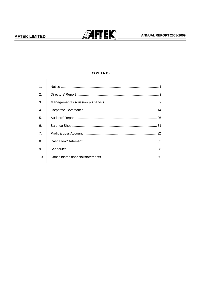

# ANNUAL REPORT 2008-2009

|                | <b>CONTENTS</b> |  |  |  |  |
|----------------|-----------------|--|--|--|--|
| 1.             |                 |  |  |  |  |
| 2.             |                 |  |  |  |  |
| 3.             |                 |  |  |  |  |
| $\mathbf{4}$ . |                 |  |  |  |  |
| 5.             |                 |  |  |  |  |
| 6              |                 |  |  |  |  |
| 7 <sub>1</sub> |                 |  |  |  |  |
| 8.             |                 |  |  |  |  |
| 9.             |                 |  |  |  |  |
| 10.            |                 |  |  |  |  |
|                |                 |  |  |  |  |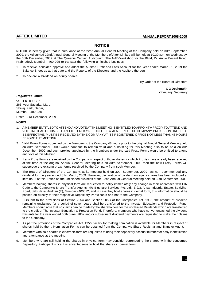# **NOTICE**

**NOTICE** is hereby given that in pursuance of the 22nd Annual General Meeting of the Company held on 30th September, 2009, the Adjourned 22nd Annual General Meeting of the Members of Aftek Limited will be held at 10.30 a.m. on Wednesday, the 30th December, 2009 at The Queenie Captain Auditorium, The NAB-Workshop for the Blind, Dr. Annie Besant Road, Prabhadevi, Mumbai - 400 025 to transact the following unfinished business:

- 1. To receive, consider, approve and adopt the Audited Profit and Loss Account for the year ended March 31, 2009 the Balance Sheet as at that date and the Reports of the Directors and the Auditors thereon.
- 2. To declare a Dividend on equity shares

By Order of the Board of Directors

**C G Deshmukh** Company Secretary

# **Registered Office:**

"AFTEK HOUSE", 265, Veer Savarkar Marg, Shivaji Park, Dadar, Mumbai - 400 028

Dated : 3rd December, 2009

# **NOTES:**

- 1. A MEMBER ENTITLED TO ATTEND AND VOTE AT THE MEETING IS ENTITLED TO APPOINT A PROXY TO ATTEND AND VOTE INSTEAD OF HIMSELF AND THE PROXY NEED NOT BE A MEMBER OF THE COMPANY. PROXIES, IN ORDER TO BE EFFECTIVE, MUST BE RECEIVED BY THE COMPANY AT ITS REGISTERED OFFICE NOT LESS THAN 48 HOURS BEFORE THE MEETING.
- 2. Valid Proxy Forms submitted by the Members to the Company 48 hours prior to the original Annual General Meeting held on 30th September, 2009 would continue to remain valid and subsisting for this Meeting also to be held on 30<sup>th</sup> December, 2009 and such proxies appointed by the Members under the said Proxy Forms would be entitled to attend and vote at this Meeting.
- 3. If any Proxy Forms are received by the Company in respect of those shares for which Proxies have already been received at the time of the original Annual General Meeting held on 30th September, 2009 then the new Proxy Forms will supercede the existing proxy forms received by the Company from such Member.
- 4. The Board of Directors of the Company, at its meeting held on 30th September, 2009 has not recommended any dividend for the year ended 31st March, 2009. However, declaration of dividend on equity shares has been included at item no. 2 of this Notice as the unfinished business of the 22nd Annual General Meeting held on 30th September, 2009.
- 5. Members holding shares in physical form are requested to notify immediately any change in their addresses with PIN Code to the Company's Share Transfer Agents, M/s.Bigshare Services Pvt. Ltd., E-2/3, Ansa Industrial Estate, Sakivihar Road, Saki Naka, Andheri (E), Mumbai - 400072, and in case they hold shares in demat form, this information should be passed on directly to their respective Depository Participants and not to the Company.
- 6. Pursuant to the provisions of Section 205A and Section 205C of the Companies Act, 1956, the amount of dividend remaining unclaimed for a period of seven years shall be transferred to the Investor Education and Protection Fund. Members should note that no claims can be made by the shareholders for the unclaimed Dividends which are transferred to the credit of The Investor Education & Protection Fund. Therefore, members who have not yet encashed the dividend warrants for the year ended 30th June, 2002 and/or subsequent dividend payments are requested to make their claims to the Company.
- 7. As per the provisions of the Companies Act, 1956, facility for making nomination is available for Members in respect of shares held by them. Nomination Forms can be obtained from the Company's Share Registrar and Transfer Agent.
- 8. Members who hold shares in electronic form are requested to bring their depository account number for easy identification and attendance at the meeting.
- 9. Members who are still holding the shares in physical form may consider surrendering the shares with the concerned Depository Participant since it is advantageous to hold the shares in demat form.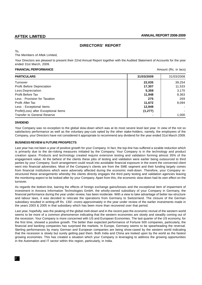# **DIRECTORS' REPORT**

To,

The Members of Aftek Limited,

Your Directors are pleased to present their 22nd Annual Report together with the Audited Statement of Accounts for the year ended 31st March, 2009.

# **FINANCIAL PERFORMANCE Amount (Rs. in lacs) Amount (Rs. in lacs)**

| <b>PARTICULARS</b>                    | 31/03/2009 | 31/03/2008 |
|---------------------------------------|------------|------------|
| Turnover                              | 22,035     | 39,254     |
| Profit Before Depreciation            | 17,307     | 11,533     |
| Less:Depreciation                     | 5,359      | 3,170      |
| Profit Before Tax                     | 11,948     | 8,363      |
| Less: Provision for Taxation          | 275        | 269        |
| <b>Profit After Tax</b>               | 11,672     | 8.094      |
| Less: Exceptional Items               | 12,949     |            |
| Profit/(Loss) after Exceptional Items | (1, 277)   |            |
| <b>Transfer to General Reserve</b>    |            | 1,000      |

# **DIVIDEND**

Your Company was no exception to the global slow-down which was at its most severe level last year. In view of the not so satisfactory performance as well as the voluntary pay-cuts opted by the other stake-holders, namely, the employees of the Company, your Directors have not considered it appropriate to recommend any dividend for the year ended 31st March 2009.

### **BUSINESS REVIEW & FUTURE PROSPECTS**

Last year has not been a year of positive growth for your Company. In fact, the top-line has suffered a sizable reduction which is primarily due to the de-risking measures initiated by the Company. Your Company is in the technology and product creation space. Products and technology created require extensive testing and validation forming almost 35% of the engagement value. At the behest of the clients these jobs of testing and validation were earlier being outsourced to third parties by your Company. Such arrangement could result into avoidable financial exposure in the event the concerned client went into financial adversities. Most of the Company's clients are from the SME segment and their funding largely comes from financial institutions which were adversely affected during the economic melt-down. Therefore, your Company restructured these arrangements whereby the clients directly engages the third party testing and validation agencies leaving the monitoring aspect to be looked after by your Company. Apart from this, the economic slow-down had its own effect on the turnover.

As regards the bottom-line, barring the effects of foreign exchange gains/losses and the exceptional item of impairment of investment in Arexera Information Technologies GmbH, the wholly-owned subsidiary of your Company in Germany, the financial performance during the year under review, has been moderate. With a view to take advantage of better tax-structure and labour laws, it was decided to relocate the operations from Germany to Switzerland. The closure of the German subsidiary resulted in writing-off Rs. 130/- crores approximately in the year under review of the earlier investments made in the years 2003 & 2005 in that subsidiary which has been more than recovered over that period.

Last year, hopefully, was the peaking of the global melt-down and in the recent past the economic revival of the western world seems to be more of a common phenomenon indicating that the western economies are slowly and steadily coming out of the recession. Your Company is more concerned with US and European Economies. The last quarter of the US economy, for the first time, showed a positive growth. The better than expected performance of Fortune 500 companies, particularly, the financial and banking companies has surprised the markets. In Europe, Germany seems to be spearheading the reversal. Sterling performances by many German and European companies are being show-cased by the western world indicating that the recession is slowly but surely getting past them. Both India and China are looked upon by the world as the fastest growing economies. This has created a situation which your Company is leveraging to address the growing opportunities in the Automation and IT sector within this region, particularly, in India.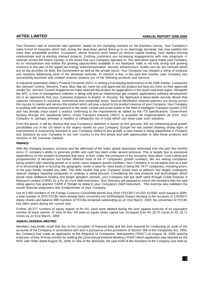Your Directors look at tomorrow with optimism. based on the changing scenario on the business canvas. Your Company's sales funnel of enquiries which had, during the slow-down period dried-up to an alarmingly low-level, has now swelled into more than acceptable position. Customers, whose finances were based on venture capital funding, have started reviving relationships and re-starting shelved projects. Existing customers are increasing engagements with new proposals in verticals across the board, namely, in the areas that your Company operates in. The slow-down years made your Company do an introspection and realize the growing opportunities available in our backyard. India is not only strong and growing economy in this part of the region but energy, telecommunication, security, infrastructure, health-care etc are verticals which are on top priorities for both, the Government as well as the private sector. Your Company has initiated a string of products and solutions addressing most of the aforesaid verticals. To mention a few, in the past few months, your Company has successfully launched and created revenue streams out of the following products and services.

In industrial automation Aftek's Protocol Converter (APC) is setting a trail blazing performance in the SME market. Companies like Johnson Control, Siemens, Trane, Blue Star etc. have not only approved the product but have put them on their approved vendor list. Johnson Control Singapore too have selected this product for applications in the south-east Asia region. Alongwith the APC, a host of management software is being sold and as relationships get created, applications software development too is an opportunity that your Company proposes to exploit. In Security, the SpyGuard a stand-alone security device that captures intrusions in industrial, commercial and residential areas. Several distribution channel-partners are acting across the country to market and service this product which will give a boost to the product revenue of your Company. Your Company is working with several channel partners in the north, central and south zones in the field of Intelligent Transport System (ITS) and has already show-cased a product confirming to the requirements as tabled by the ITS specifications. Government funding through the Jawaharlal Nehru Urban Transport initiative (JNUT) is available for implementation till 2010. Your Company is, perhaps amongst a handful of companies out of India which can show-case such solutions.

From the above, it will be obvious that your Company's optimism is based on firm grounds. We are witnessing good growth possibilities out of the US which is the largest market for your Company. Europe too has started showing strong signs of improvement in outsourcing business to your Company. Added to this growth, a new market is being established in Products and Solutions by your Company in our own country in the first phase and with opportunities to take these products and services to the overseas markets.

# **FINANCE**

With the changing business scenario and the aftermath of the major global slow-down witnessed over the past few months every IT company's ability to generate profits and cash has been under severe pressure. This is largely due to excessive dependency on the western economies that were, in turn, under the pressures of the economic slow-down. Cost-cutting and postponement of decisions has further affected most of the IT companies' growth numbers. We are seeing companies being content with retaining growth or in some cases negative growth numbers. Your Company is no exception and as a part of re-structuring and re-focusing the geographic zones a need for more funds is being felt. All IT companies, including yours, in the past hardly needed any debt. The debt market that your Company would want to address has largely undergone several changes requiring companies to undergo a rating process. Considering the new products and technologies which would need additional funding and longer gestation periods, your Company has got itself rated through Credit Analysis & Research Limited (CARE) for a Rs 50 crore debt instrument. Your Directors are pleased to inform the members that the said rating agency has granted 'CARE A '[Single A] rating to your Company's Debt Instrument . This exercise also validates the sound financial projections and fundamentals of your Company.

Out of 3,450 numbers of 1% Foreign Currency Convertible Bonds Due 2010 ("FCCBs") of USD 10,000/- each issued in 2005, a total number of 2570 FCCBs have already been converted into GDRs/equity shares resulting in the issuance of 12029471 equity shares and balance 880 numbers of FCCBs remained outstanding as on 31st March, 2009. No conversion of FCCBs has taken place during the current year.

Further, 45,277 numbers of equity shares of Rs 02/- each were allotted during the year against exercise of an equivalent number of stock options. In view of this, the paid-up equity share capital has increased from Rs 18.70 crores to Rs 18.71 crores as on 31st March, 2009.

# **ANNUAL GENERAL MEETING**

Members may kindly recall that due to the corruption of financial data and the time required for conducting an audit of the accounts of the Company, in accordance with and in pursuance of the provisions of Section 166 of the Companies Act, 1956, the Company had made an application to the Registrar of Companies, Maharashtra ("ROC") on August 18, 2009 seeking extension of time of three months for holding the 22nd Annual General Meeting ("AGM') which application was rejected by the ROC vide Order dated August 25, 2009. In view of the aforesaid, the said AGM of the members of the Company was held on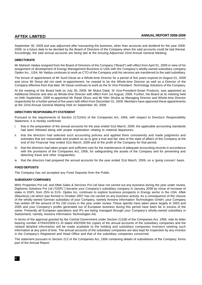September 30, 2009 and was adjourned after transacting the business, other than accounts and dividend for the year 2008- 2009, to a future date to be decided by the Board of Directors of the Company when the said accounts could be laid thereat. Accordingly, the said annual accounts are being laid at the ensuing Adjourned 22nd Annual General Meeting.

# **DIRECTORATE**

Mr Mahesh Vaidya resigned from the Board of Directors of the Company ("Board") with effect from April 01, 2009 in view of his assignment of development of Energy Management Business in USA with the Company's wholly-owned subsidiary company Opdex Inc., USA. Mr Vaidya continues to work as CTO of the Company until his services are transferred to the said subsidiary.

The tenure of appointment of Mr Sunil Desai as a Whole-time Director for a period of five years expired on August 01, 2009 and since Mr Desai did not seek re-appointment, he ceased to be the Whole-time Director as well as a Director of the Company effective from that date. Mr Desai continues to work as the Sr Vice President -Technology Solutions of the Company.

At the meeting of the Board held on July 30, 2009, Mr Mukul Dalal, Sr Vice-President-Smart Products, was appointed as Additional Director and also as Whole-time Director with effect from 1st August, 2009. Further, the Board at its meeting held on 04th September, 2009 re-appointed Mr Ranjit Dhuru and Mr Nitin Shukla as Managing Director and Whole-time Director respectively for a further period of five years with effect from December 01, 2009. Members have approved these appointments at the 22nd Annual General Meeting held on September 30, 2009.

# **DIRECTORS' RESPONSIBILITY STATEMENT**

Pursuant to the requirements of Section 217(2AA) of the Companies Act, 1956, with respect to Directors' Responsibility Statement, it is hereby confirmed:

- i. that in the preparation of the annual accounts for the year ended 31st March, 2009, the applicable accounting standards had been followed along with proper explanation relating to material departures;
- ii. that the directors had selected such accounting policies and applied them consistently and made judgments and estimates that are reasonable and prudent so as to give a true and fair view of the state of affairs of the Company at the end of the Financial Year ended 31st March, 2009 and of the profit of the Company for that period;
- iii. that the directors had taken proper and sufficient care for the maintenance of adequate accounting records in accordance with the provisions of the Companies Act, 1956, for safeguarding the assets of the Company and for preventing and detecting fraud and other irregularities;
- iv. that the directors had prepared the annual accounts for the year ended 31st March, 2009, on a 'going concern' basis.

# **FIXED DEPOSITS**

The Company has not accepted any Fixed Deposits from the Public.

# **SUBSIDIARY COMPANIES**

Mihir Properties Pvt Ltd. and Aftek Sales & Services Pvt Ltd have not carried out any business during the year under review. Digihome Solutions Pvt Ltd ("DSPL") became your Company's subsidiary company in January 2008 by virtue of increase of stake in DSPL from 25% to 51%. Opdex Inc. continues to explore business prospects in Energy sector in the USA. Aftek (Mauritius) Ltd which was formed in October 2007 has not carried on any business activity. As a consequence of the closure of the wholly-owned German subsidiary of your Company, namely Arexera Information Technologies GmbH, your Company has written off the amount of Rs 130 crores in the year under review. These spends have taken place largely in 2003 and 2005 and your Company's profits generated out of European business during this period have been far in excess of the same. Presently all European operations and IPs are being managed through your Company's wholly-owned subsidiary in Switzerland, namely, Arexera Information Technologies AG.

In terms of the approval granted by the Central Government under Section 212(8) of the Companies Act, 1956, vide its letter bearing number 47/543/2009-CL-III dated 4/8/2009 the copies of the annual accounts of the subsidiary companies and the related detailed information will be made available to the holding and subsidiary companies investors seeking such information at any point of time. The annual accounts of the subsidiary companies are also kept for inspection by any investor in the Company's Registered and Head Office and that of the subsidiary companies concerned.

The statement pursuant to Section 212 of the Companies Act, 1956 containing details of subsidiaries of the Company, forms part of the Annual Report.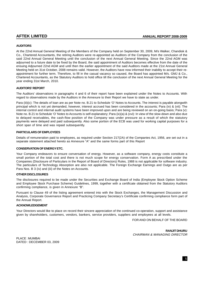# **AUDITORS**

At the 22nd Annual General Meeting of the Members of the Company held on September 30, 2009, M/s Walker, Chandiok & Co., Chartered Accountants, the retiring Auditors were re-appointed as Auditors of the Company from the conclusion of the said 22nd Annual General Meeting until the conclusion of the next Annual General Meeting. Since the 22nd AGM was adjourned to a future date to be fixed by the Board, the said appointment of Auditors becomes effective from the date of the ensuing Adjourned 22nd AGM and until then the earlier appointment of the said Auditors made at the 21st Annual General Meeting held on 31st October, 2008 remains valid. However, the Auditors have now informed their inability to accept their reappointment for further term. Therefore, to fill in the casual vacancy so caused, the Board has appointed M/s. GMJ & Co., Chartered Accountants, as the Statutory Auditors to hold office till the conclusion of the next Annual General Meeting for the year ending 31st March, 2010.

# **AUDITORS' REPORT**

The Auditors' observations in paragraphs 4 and 6 of their report have been explained under the Notes to Accounts. With regard to observations made by the Auditors in the Annexure to their Report we have to state as under.

Para (iii)(c): The details of loan are as per Note no. B.21 to Schedule 'O' Notes to Accounts. The interest is payable alongwith principal which is not yet demanded, however, interest accrued has been considered in the accounts; Para (iv) & (vii): The internal control and internal audit systems have been improved upon and are being reviewed on an on-going basis; Para (v): Note no. B.21 to Schedule 'O' Notes to Accounts is self-explanatory; Para (ix)(a) & (xvi): In view of the slow-down and also due to delayed receivables, the cash-flow position of the Company was under pressure as a result of which the statutory payments were delayed and paid subsequently. Also some portion of the ECB was used for working capital purposes for a short span of time and was repaid subsequently.

# **PARTICULARS OF EMPLOYEES**

Details of remuneration paid to employees, as required under Section 217(2A) of the Companies Act, 1956, are set out in a separate statement attached hereto as Annexure "A" and the same forms part of this Report

# **CONSERVATION OF ENERGY ETC.**

Your Company endeavors to ensure conversation of energy. However, as a software company, energy costs constitute a small portion of the total cost and there is not much scope for energy conservation. Form A as prescribed under the Companies (Disclosure of Particulars in the Report of Board of Directors) Rules, 1988 is not applicable for software industry. The particulars of Technology Absorption are also not applicable. The Foreign Exchange Earnings and Outgo are as per Para Nos. B 3 (iv) and (iii) of the Notes on Accounts.

# **OTHER DISCLOSURES**

The disclosures required to be made under the Securities and Exchange Board of India (Employee Stock Option Scheme and Employee Stock Purchase Scheme) Guidelines, 1999, together with a certificate obtained from the Statutory Auditors confirming compliance, is given in Annexure "B".

Pursuant to Clause 49 of the listing agreement entered into with the Stock Exchanges, the Management Discussion and Analysis, Corporate Governance Report and Practicing Company Secretary's Certificate confirming compliance form part of the Annual Report.

# **ACKNOWLEDGEMENT**

Your Directors would like to place on record their sincere appreciation of the continued co-operation, support and assistance given by shareholders, customers, vendors, bankers, service providers, suppliers and employees at all levels.

FOR AND ON BEHALF OF THE BOARD

**RANJIT DHURU** CHAIRMAN & MANAGING DIRECTOR

PLACE : MUMBAI DATED : DECEMBER 03, 2009

5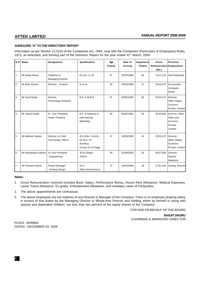# **ANNEXURE "A" TO THE DIRECTORS' REPORT**

Information as per Section 217(2A) of the Companies Act, 1956, read with the Companies (Particulars of Employees) Rules, 1975, as amended, and forming part of the Directors' Report for the year ended 31<sup>st</sup> March, 2009.

| SN.            | Name                  | <b>Designation</b>                            | Qualification                                                  | Age<br>(Years) | Date of<br>Joining | <b>Experience</b><br>(Years) | <b>Gross</b><br>Remuneration Employment<br>(Rs.) | Previous                                                      |
|----------------|-----------------------|-----------------------------------------------|----------------------------------------------------------------|----------------|--------------------|------------------------------|--------------------------------------------------|---------------------------------------------------------------|
| $\mathbf{1}$   | Mr Ranjit Dhuru       | Chairman &<br><b>Managing Director</b>        | B.Com. LL.M.                                                   | 57             | 25/03/1986         | 28                           | 72,21,153                                        | Self-employed                                                 |
| $\overline{2}$ | Mr Nitin Shukla       | Director - Finance                            | B.Com.                                                         | 52             | 25/03/1986         | 27                           | 29,93,472                                        | Accountant,<br>Computer<br>Shack                              |
| 3              | Mr Sunil Desai        | Director -<br><b>Technology Solutions</b>     | <b>B.E. &amp; M.M.S.</b>                                       | 47             | 10/05/1986         | 26                           | 29,93,472                                        | Director,<br>Aftek Digital<br>Systems<br>Private Limited      |
| 4.             | Mr. Mukul Dadal       | Sr. Vice President<br><b>Smart Products</b>   | B.A. & Diploma in<br>International<br>Marketing                | 50             | 06/02/1992         | 29                           | 30,00,000                                        | Director Aftek<br>Sales and<br>Services<br>Private<br>Limited |
| 5              | Mr Mahesh Vaidya      | Director & Chief<br><b>Technology Officer</b> | B.E.(Elec Comm),<br>M.Tech, IIT,<br>Bombay<br>(Comp.Sc & Engg) | 47             | 10/05/1995         | 24                           | 29,93,472                                        | Director,<br>Aftek Digital<br>Systems<br>Private Limited      |
| 6              | Mr Dhananjay Kulkarni | Sr Vice President<br>- Engineering            | B.Sc.(Stats)<br>& MCA                                          | 45             | 01/09/2005         | 23                           | 49,57,904                                        | Director,<br>Starent<br>Networks                              |
| $\overline{7}$ | Mr Praveen Hoizal     | Project Manager<br>- Analog Design            | M.S.<br>(Micro Electronics)                                    | 37             | 03/02/2006         | 16                           | 27,91,204                                        | Analog Devices                                                |

# **Notes:**

- 1. Gross Remuneration received includes Basic Salary, Performance Bonus, House Rent Allowance, Medical Expenses, Leave Travel Allowance, Ex-gratia, Entertainment Allowance, and monetary value of Perquisites.
- 2. The above appointments are contractual.
- 3. The above employees are not relatives of any Director or Manager of the Company. There is no employee drawing salary in excess of that drawn by the Managing Director or Whole-time Director and holding, either by himself or along with spouse and dependent children, not less than two percent of the equity shares of the Company.

FOR AND ON BEHALF OF THE BOARD

**RANJIT DHURU** CHAIRMAN & MANAGING DIRECTOR

PLACE : MUMBAI DATED : DECEMBER 03, 2009

6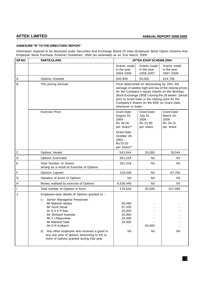# **ANNEXURE "B" TO THE DIRECTORS' REPORT**

Information required to be disclosed under Securities And Exchange Board Of India (Employee Stock Option Scheme And Employee Stock Purchase Scheme) Guidelines, 1999 (as amended) as on 31st March, 2009

| SR <sub>NO</sub> | <b>PARTICULARS</b>                                                                                                                                                                                                                                                                                                                                                           |                                                                  | <b>AFTEK ESOP SCHEME 2004</b>                                                                                                                                                                  |                                                                                                             |
|------------------|------------------------------------------------------------------------------------------------------------------------------------------------------------------------------------------------------------------------------------------------------------------------------------------------------------------------------------------------------------------------------|------------------------------------------------------------------|------------------------------------------------------------------------------------------------------------------------------------------------------------------------------------------------|-------------------------------------------------------------------------------------------------------------|
|                  |                                                                                                                                                                                                                                                                                                                                                                              | Grants made<br>in the year<br>2004-2005                          | Grants made<br>in the year<br>2006-2007                                                                                                                                                        | Grants made<br>in the year<br>2007-2008                                                                     |
| Α                | <b>Options Granted</b>                                                                                                                                                                                                                                                                                                                                                       | 640,990                                                          | 50,000                                                                                                                                                                                         | 224,788                                                                                                     |
| B                | The pricing formula                                                                                                                                                                                                                                                                                                                                                          | whichever is lower.                                              | Price determined on discounting by 20%, the<br>for the Company's equity shares on the Bombay<br>prior to Grant Date or the closing price for the<br>Company's shares on the BSE on Grant Date, | average of weekly high and low of the closing prices<br>Stock Exchange ('BSE') during the 26 weeks ' period |
|                  | <b>Exercise Price</b>                                                                                                                                                                                                                                                                                                                                                        | Grant Date:<br>August 25,<br>$2004 -$<br>Rs 56.00<br>per share** | Grant Date:<br>July 31,<br>2006 -<br>Rs 51.90<br>per share                                                                                                                                     | Grant Date:<br>March 24,<br>$2008 -$<br>Rs 34.15<br>per share                                               |
|                  |                                                                                                                                                                                                                                                                                                                                                                              | Grant Date:<br>October 28,<br>$2004 -$<br>Rs70.00<br>per share** |                                                                                                                                                                                                |                                                                                                             |
| C                | <b>Options Vested</b>                                                                                                                                                                                                                                                                                                                                                        | 543,944                                                          | 25,000                                                                                                                                                                                         | 78,544                                                                                                      |
| D                | <b>Options Exercised</b>                                                                                                                                                                                                                                                                                                                                                     | 351,318                                                          | Nil                                                                                                                                                                                            | Nil                                                                                                         |
| E                | Total Number of shares<br>arising as a result of Exercise of Options                                                                                                                                                                                                                                                                                                         | 351,318                                                          | Nil                                                                                                                                                                                            | Nil                                                                                                         |
| F                | Options Lapsed                                                                                                                                                                                                                                                                                                                                                               | 119,038                                                          | Nil                                                                                                                                                                                            | 67,700                                                                                                      |
| G                | Variation of terms of Options                                                                                                                                                                                                                                                                                                                                                | Nil                                                              | Nil                                                                                                                                                                                            | Nil                                                                                                         |
| H                | Money realised by exercise of Options                                                                                                                                                                                                                                                                                                                                        | 9,536,446                                                        | Nil                                                                                                                                                                                            | Nil                                                                                                         |
| $\mathbf{I}$     | Total number of Options in force                                                                                                                                                                                                                                                                                                                                             | 170,634                                                          | 50,000                                                                                                                                                                                         | 157,088                                                                                                     |
| J                | Employee-wise details of Options granted to :-<br>Senior Managerial Personnel :<br>i)<br>Mr Mahesh Vaidya<br>Mr Sunil Desai<br>Dr S S S P Rao<br>Mr Shrikant Inamdar<br>Mr V J Masurekar<br>Mr Mahesh Naik<br>Mr D R Kulkarni<br>Any other employee who receives a grant in<br>ii)<br>any one year of options amounting to 5% or<br>more of options granted during that year | 59,490<br>57,205<br>25,000<br>25,000<br>25,000<br>25,000<br>Nil  | 50,000<br>Nil                                                                                                                                                                                  | Nil                                                                                                         |
|                  |                                                                                                                                                                                                                                                                                                                                                                              |                                                                  |                                                                                                                                                                                                |                                                                                                             |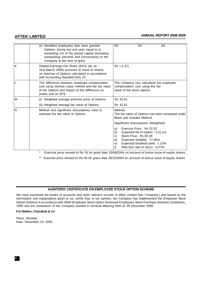# **AFTEK LIMITED ANNUAL REPORT 2008-2009**

|    | iii) Identified employees who were granted<br>Options, during any one year, equal to or<br>exceeding 1% of the issued capital (excluding<br>outstanding warrants and conversions) of the<br>Company at the time of grant | Nil<br>Nil<br>Nil                                                                                                                                                                                                              |
|----|--------------------------------------------------------------------------------------------------------------------------------------------------------------------------------------------------------------------------|--------------------------------------------------------------------------------------------------------------------------------------------------------------------------------------------------------------------------------|
| ΙK | Diluted Earnings Per Share (EPS) (as on<br>31st March 2009) pursuant to issue of shares<br>on exercise of Options calculated in accordance<br>with Accounting Standard (AS) 20                                           | Rs (-1.37)                                                                                                                                                                                                                     |
| L  | The difference between employee compensation<br>cost using intrinsic value method and the fair value<br>of the Options and impact of this difference on<br>profits and on EPS                                            | The Company has calculated the employee<br>compensation cost using the fair<br>value of the stock options                                                                                                                      |
| ΙM | (i) Weighted average exercise price of Options                                                                                                                                                                           | Rs 52.02                                                                                                                                                                                                                       |
|    | (ii) Weighted average fair value of Options                                                                                                                                                                              | Rs 41.61                                                                                                                                                                                                                       |
| N  | Method and significant assumptions used to<br>estimate the fair value of Options                                                                                                                                         | Method<br>The fair value of Options has been computed under<br>Black and Scholes Method.                                                                                                                                       |
|    |                                                                                                                                                                                                                          | Significant Assumptions (Weighted)                                                                                                                                                                                             |
|    |                                                                                                                                                                                                                          | Exercise Price: Rs 52.02<br>a)<br>b)<br>Expected life of Option: 3.21 yrs<br>Stock Price: Rs 69.39<br>C)<br>d)<br>Expected Volatility: 77.06%<br>Expected Dividend yield: 1.22%<br>e)<br>Risk free rate of return: 6.47%<br>f) |

Exercise price revised to Rs 26 for grant date 25/08/2004 on account of bonus issue of equity shares

\*\* Exercise price revised to Rs 40 for grant date 28/10/2004 on account of bonus issue of equity shares

# **AUDITORS' CERTIFICATE ON EMPLOYEE STOCK OPTION SCHEME**

We have examined the books of accounts and other relevent records of Aftek Limited (the 'Company') and based on the information and explanations given to us, certify that, in our opinion, the Company has implemented the Employee Stock Option Scheme in accordance with SEBI (Employee Stock Option Scheme& Employees Stock Purchase Scheme) Guidelines, 1999 and the resolutions of the Company passed in General Meeting held on 29 December 2000.

# **For Walker, Chandiok & Co**

Place: Mumbai Date: November 19, 2009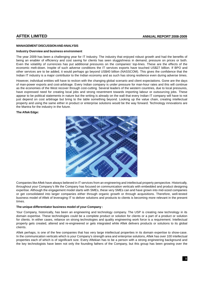# **MANAGEMENT DISCUSSION AND ANALYSIS**

# **Industry Overview and business environment**

The year 2009 has been a challenging year for IT Industry. The industry that enjoyed robust growth and had the benefits of being an enabler of efficiency and cost saving for clients has seen sluggishness in demand, pressure on prices or both. Even the volatility of currencies has put additional pressures on the companies' top-lines. These are the effects of the economic melt-down. Inspite of such adverse conditions the IT services exports have touched US\$27 billion. If BPO and other services are to be added, it would perhaps go beyond US\$40 billion (NASSCOM). This gives the confidence that the Indian IT industry is a major contributor to the Indian economy and as such has strong resilience even during adverse times.

However, individual entities will have to reckon with the changing global scenario and client expectations. Gone are the days of man-power exports and cost-arbitrage. Every Indian company is under pressure for man-hour rates and this will continue as the economies of the West recover through cost-cutting. Several leaders of the western countries, due to local pressures, have expressed need for creating local jobs and strong resentment towards importing labour or outsourcing jobs. These appear to be political statements in nature but the writing is already on the wall that every Indian IT company will have to not just depend on cost arbitrage but bring to the table something beyond. Looking up the value chain, creating intellectual property and using the same either in product or enterprise solutions would be the way forward. Technology innovations are the Mantra for the industry in the future.

# **The Aftek Edge:**



Companies like Aftek have always believed in IT services from an engineering and intellectual property perspective. Historically, throughout your Company's life the Company has focused on communication verticals with embedded and product designing expertise. Although the engagement model starts with SMEs, these very SMEs can and have grown into mid-sized companies or get consolidated into larger companies either through organic growth or through acquisitions. Therefore, well-tested business model of Aftek of leveraging IT to deliver solutions and products to clients is becoming more relevant in the present times.

# **The unique differentiator business model of your Company :**

Your Company, historically, has been an engineering and technology company. The USP is creating new technology in its domain expertise. These technologies could be a complete product or solution for clients or a part of a product or solution for clients. In either cases, reliance on strong technologies and quality engineering work force is a requirement. Intellectual property gets created, altered and re-engineered or gets integrated while Aftek delivers products or solutions to its global clients.

Aftek perhaps, is one of the few companies that has very large intellectual properties in its domain expertise to show-case. In the communication verticals which is your Company's strength area and enterprise solutions, Aftek has over 100 intellectual properties each of which is of significant size. Every Aftekian has to be a person with a strong engineering background and the key technologists have been not only the founding fathers of the Company, but this group has been growing over the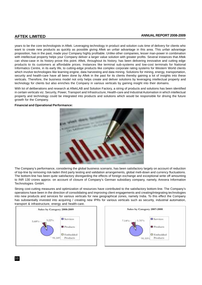# **AFTEK LIMITED ANNUAL REPORT 2008-2009**

years to be the core technologists in Aftek. Leveraging technology in product and solution cuts time of delivery for clients who want to create new products as quickly as possible giving Aftek an unfair advantage in this area. This unfair advantage proposition, has in the past, made your Company highly profitable. Unlike other companies, lesser man-power in combination with intellectual property helps your Company deliver a larger value solution with greater profits. Several instances that Aftek can show-case in its history prove this point. Aftek, throughout its history, has been delivering innovative and cutting edge products to its customers at affordable prices. Instances like terminal sub-systems and low-cost terminals for National Informatics Centre, in its early life, to cutting-edge products like complex corporate rating systems for Western World clients which involve technologies like learning engine, data harvesting and data mining. Solutions for mining, energy, transportation, security and health-care have all been done by Aftek in the past for its clients thereby gaining a lot of insights into these verticals. Therefore, the business model not only helps create and deliver solutions by leveraging intellectual property and technology for clients but also enriches the Company in various verticals by gaining insight into their domains.

With lot of deliberations and research at AftekLAB and Solution Factory, a string of products and solutions has been identified in certain verticals viz. Security, Power, Transport and Infrastructure, Health-care and Industrial Automation in which intellectual property and technology could be integrated into products and solutions which would be responsible for driving the future growth for the Company.

### **Financial and Operational Performance:**



The Company's performance, considering the global business scenario, has been satisfactory largely on account of reduction of top-line by removing risk-laden third party testing and validation arrangements, global melt-down and currency fluctuations. The bottom-line has been quite satisfactory disregarding the effects of foreign exchange and exceptional write off amounting to INR 130 crores approx. on account of closure of Company's German subsidiary company, namely, Arexera Information Technologies GmbH.

Strong cost-cutting measures and optimization of resources have contributed to the satisfactory bottom-line. The Company's operations have been in the direction of consolidating and improving client engagements and creating/integrating technologies into new products and services for various verticals for new geographical zones, namely India. To this effect the Company has substantially invested into acquiring / creating new IPRs for various verticals such as security, industrial automation, transport & infrastructure, energy and health-care.



10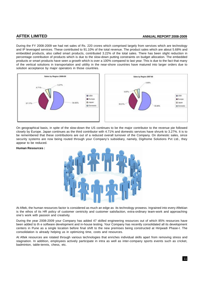# **AFTEK LIMITED ANNUAL REPORT 2008-2009**

During the FY 2008-2009 we had net sales of Rs. 220 crores which comprised largely from services which are technology and IP leveraged services. These contributed to 91.10% of the total revenue. The product sales which are about 5.68% and embedded products, also called smart products, contributed 3.22% of the total sales. There has been slight reduction in percentage contribution of products which is due to the slow-down putting constraints on budget allocation. The embedded products or smart products have seen a growth which is over a 100% compared to last year. This is due to the fact that many of the vertical solutions in transportation and uitility in the near-shore countries have matured into larger orders due to solution acceptance by major operators in those countries.



On geographical basis, in spite of the slow-down the US continues to be the major contributor to the revenue pie followed closely by Europe. Japan continues as the third contributor with 4.71% and domestic services have shrunk to 3.27%. It is to be remembered that these contributions are out of a reduced overall turnover of the Company. On domestic sales, since security systems are now being routed through your Company's subsidiary, namely, Digihome Solutions Pvt Ltd., they appear to be reduced.

# **Human Resources :**



At Aftek, the human resources factor is considered as much an edge as its technology prowess. Ingrained into every Aftekian is the ethos of its HR policy of customer centricity and customer satisfaction, extra-ordinary team-work and approaching one's work with passion and creativity.

During the year 2008-2009 your Company has added 47 skilled engineering resources out of which 85% resources have been added to th e software development and in-house testing. Your Company has recently consolidated all its development centers in Pune as a single location before final shift to the new premises being constructed at Hinjwadi Phase-I. The consolidation is already helping us in optimizing time, costs and resources.

At Aftek resources are rotated through various technologies that enriches individual skills apart from removing stress and stagnation. In addition, employees actively participate in intra as well as inter-company sports events such as cricket, badminton, table-tennis, chess, etc.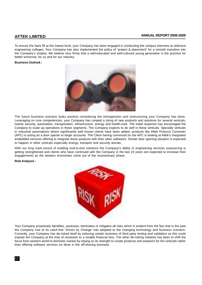To ensure the back fill at the lowest level, your Company has been engaged in conducting the campus interview at selective engineering colleges. Your Company has also implemented the policy of "project & placement" for a smooth transition into the Company's employ. We believe very firmly that a well-educated and well-cultured young generation is the promise for better tomorrow, for us and for our industry.

# **Business Outlook :**



The future business scenario looks positive considering the introspection and restructuring your Company has done. Leveraging on core competencies, your Company has created a string of new products and solutions for several verticals, mainly security, automation, transporation, infrastructure, energy and health-care. The initial response has encouraged the Company to scale up operations in these segments. The Company expects to do well in these verticals. Specially verticals in industrial automations where significantly well known clients have been added, products like Aftek Protocol Converter (APC) is acting as a door opener to larger accounts. The Client having convinced on the APC is looking at Aftek's integrated embedded services offering to integrate these products with their other softwares. Similar door opening situation is expected to happen in other verticals especially energy, transport and security arenas.

With our long track-record of building end-to-end solutions the Company's ability in engineering services outsourcing is getting strengthened and clients who have continued with the Company in the last 23 years are expected to increase their engagements as the western economies come out of the recessionary phase.

### **Risk Analysis :**



Your Company proactively identifies, assesses, eliminates or mitigates all risks which is evident from the fact that in the past the Company true to its catch-line 'Driven by Change' has adapted to the changing technology and business scenario. Currently, your Company has de-risked itself by reducing certain business of third party testing and validation as this could expose the Company at the time of recession to a sizable financial loss. The other de-risking initiative has been to shift the focus from western world to domestic market by relying on its strength to create products and solutions for the verticals rather than offering software services as done in the off-shoring business.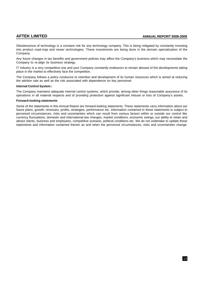Obsolescence of technology is a constant risk for any technology company. This is being mitigated by constantly investing into product road-map and newer technologies. These investments are being done in the domain specialization of the Company.

Any future changes in tax benefits and government policies may affect the Company's business which may necessitate the Company to re-align its business strategy.

IT industry is a very competitive one and your Company constantly endeavors to remain abreast of the developments taking place in the market to effectively face the competition.

The Company follows a policy conducive to retention and development of its human resources which is aimed at reducing the attrition rate as well as the risk associated with dependence on key personnel.

### **Internal Control System :**

The Company maintains adequate internal control systems, which provide, among other things reasonable assurance of its operations in all material respects and of providing protection against significant misuse or loss of Company's assets.

### **Forward-looking statements**

Some of the statements in this Annual Report are forward-looking statements. These statements carry information about our future plans, growth, revenues, profits, strategies, performance etc. Information contained in these statements is subject to perceived circumstances, risks and uncertainties which can result from various factors within or outside our control like currency fluctuations, domestic and international law changes, market conditions, economic swings, our ability to retain and attract clients, business and employees, competitive scenario, political conditions etc. We do not undertake to update these statements and information contained therein as and when the perceived circumstances, risks and uncertainties change.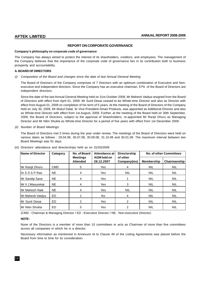# **REPORT ON CORPORATE GOVERNANCE**

# **Company's philosophy on corporate code of governance**

The Company has always aimed to protect the interest of its shareholders, creditors, and employees. The management of the Company believes that the importance of the corporate code of governance lies in its contribution both to business prosperity and accountability.

# **A. BOARD OF DIRECTORS**

# (i) Composition of the Board and changes since the date of last Annual General Meeting

The Board of Directors of the Company comprises of 7 Directors with an optimum combination of Executive and Nonexecutive and independent directors. Since the Company has an executive chairman, 57% of the Board of Directors are independent directors.

Since the date of the last Annual General Meeting held on 31st October 2008, Mr Mahesh Vaidya resigned from the Board of Directors with effect from April 01, 2009. Mr Sunil Desai ceased to be Whole-time Director and also as Director with effect from August 01, 2009 on completion of his term of 5 years. At the meeting of the Board of Directors of the Company held on July 30, 2009, Mr Mukul Dalal, Sr Vice-President-Smart Products, was appointed as Additional Director and also as Whole-time Director with effect from 1st August, 2009. Further, at the meeting of the Board held on 30th September, 2009, the Board of Directors, subject to the approval of Shareholders, re-appointed Mr Ranjit Dhuru as Managing Director and Mr Nitin Shukla as Whole-time Director for a period of five years with effect from 1st December 2009.

# (ii) Number of Board Meetings:

The Board of Directors met 5 times during the year under review. The meetings of the Board of Directors were held on various dates as follows : 29.04.08, 30.07.08, 30.09.08, 31.10.08 and 30.01.09. The maximum interval between two Board Meetings was 91 days.

| Name of Director | Category   | No. of Board                       | Attendance at                    | <b>Directorship</b>      |                   | No. of other Committees |
|------------------|------------|------------------------------------|----------------------------------|--------------------------|-------------------|-------------------------|
|                  |            | <b>Meetings</b><br><b>Attended</b> | <b>AGM held on</b><br>28.12.2007 | of other<br>Company(ies) | <b>Membership</b> | Chairmanship            |
| Mr Ranjit Dhuru  | <b>CMD</b> | 5                                  | Yes                              | 4                        | <b>NIL</b>        | <b>NIL</b>              |
| Dr S S S P Rao   | <b>NE</b>  | 4                                  | Yes                              | <b>NIL</b>               | <b>NIL</b>        | <b>NIL</b>              |
| Mr Sandip Save   | <b>NE</b>  | 4                                  | Yes                              |                          | <b>NIL</b>        | <b>NIL</b>              |
| IMr∨J Masurekar  | <b>NE</b>  | 4                                  | Yes                              | 3                        | <b>NIL</b>        | <b>NIL</b>              |
| lMr Mahesh Naik  | <b>NE</b>  | 4                                  | Yes                              | <b>NIL</b>               | <b>NIL</b>        | <b>NIL</b>              |
| Mr Mahesh Vaidya | <b>ED</b>  |                                    | No.                              | 4                        | <b>NIL</b>        | <b>NIL</b>              |
| IMr Sunil Desai  | ED         | 2                                  | <b>Yes</b>                       | 2                        | <b>NIL</b>        | <b>NIL</b>              |
| lMr Nitin Shukla | ED         | 5                                  | Yes                              | $\overline{2}$           | <b>NIL</b>        | <b>NIL</b>              |

(iii) Directors' attendance and directorships held as on 31/03/2009

(CMD : Chairman & Managing Director / ED : Executive Director / NE : Non-executive Director)

# **NOTE :**

None of the Directors is a member of more than 10 committees or acts as Chairman of more than five committees across all companies in which he is a director.

Necessary information as mentioned in Annexure IA to Clause 49 of the Listing Agreements was placed before the Board from time to time for its consideration.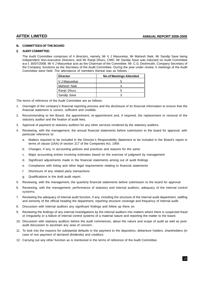# **B. COMMITTEES OF THE BOARD**

### **i) AUDIT COMMITTEE:**

The Audit Committee comprises of 4 directors, namely, Mr V J Masurekar, Mr Mahesh Naik, Mr Sandip Save being Independent Non-executive Directors, and Mr Ranjit Dhuru, CMD. Mr Sandip Save was inducted on Audit Committee w.e.f. 30/07/2008. Mr V J Masurekar acts as the Chairman of the Committee. Mr. C.G. Deshmukh, Company Secretary of the Company, functions as the Secretary of the Audit Committee. During the year under review, 5 meetings of the Audit Committee were held. The attendance of members thereat was as follows :

| <b>Director</b> | No of Meetings Attended |
|-----------------|-------------------------|
| V J Masurekar   |                         |
| Mahesh Naik     |                         |
| Ranjit Dhuru    | h                       |
| Sandip Save     |                         |

The terms of reference of the Audit Committee are as follows:

- 1. Oversight of the company's financial reporting process and the disclosure of its financial information to ensure that the financial statement is correct, sufficient and credible.
- 2. Recommending to the Board, the appointment, re-appointment and, if required, the replacement or removal of the statutory auditor and the fixation of audit fees.
- 3. Approval of payment to statutory auditors for any other services rendered by the statutory auditors.
- 4. Reviewing, with the management, the annual financial statements before submission to the board for approval, with particular reference to:
	- a. Matters required to be included in the Director's Responsibility Statement to be included in the Board's report in terms of clause (2AA) of section 217 of the Companies Act, 1956
	- b. Changes, if any, in accounting policies and practices and reasons for the same
	- c. Major accounting entries involving estimates based on the exercise of judgment by management
	- d. Significant adjustments made in the financial statements arising out of audit findings
	- e. Compliance with listing and other legal requirements relating to financial statements
	- f. Disclosure of any related party transactions
	- g. Qualifications in the draft audit report.
- 5. Reviewing, with the management, the quarterly financial statements before submission to the board for approval
- 6. Reviewing, with the management, performance of statutory and internal auditors, adequacy of the internal control systems.
- 7. Reviewing the adequacy of internal audit function, if any, including the structure of the internal audit department, staffing and seniority of the official heading the department, reporting structure coverage and frequency of internal audit.
- 8. Discussion with internal auditors any significant findings and follow up there on.
- 9. Reviewing the findings of any internal investigations by the internal auditors into matters where there is suspected fraud or irregularity or a failure of internal control systems of a material nature and reporting the matter to the board.
- 10. Discussion with statutory auditors before the audit commences, about the nature and scope of audit as well as postaudit discussion to ascertain any area of concern.
- 11. To look into the reasons for substantial defaults in the payment to the depositors, debenture holders, shareholders (in case of non payment of declared dividends) and creditors.
- 12. Carrying out any other function as is mentioned in the terms of reference of the Audit Committee.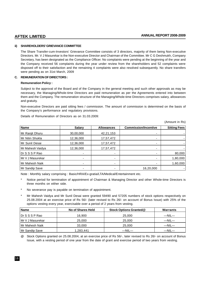# **ii) SHAREHOLDERS' GRIEVANCE COMMITTEE**

The Share Transfer-cum-Investors' Grievance Committee consists of 3 directors, majority of them being Non-executive Directors. Mr. V J Masurekar is the Non-executive Director and Chairman of the Committee. Mr C G Deshmukh, Company Secretary, has been designated as the Compliance Officer. No complaints were pending at the beginning of the year and the Company received 56 complaints during the year under review from the shareholders and 52 complaints were disposed off to their satisfaction and the remaining 4 complaints were also resolved subsequently. No share transfers were pending as on 31st March, 2009

# **C. REMUNERATION OF DIRECTORS :**

# **Remuneration Policy :**

Subject to the approval of the Board and of the Company in the general meeting and such other approvals as may be necessary, the Managing/Whole-time Directors are paid remuneration as per the Agreements entered into between them and the Company. The remuneration structure of the Managing/Whole-time Directors comprises salary, allowances and gratuity.

Non-executive Directors are paid sitting fees / commission. The amount of commission is determined on the basis of the Company's performance and regulatory provisions.

Details of Remuneration of Directors as on 31.03.2009:

(Amount in Rs)

| <b>Name</b>      | <b>Salary</b> | <b>Allowances</b> | <b>Commission/Incentive</b> | <b>Sitting Fees</b> |
|------------------|---------------|-------------------|-----------------------------|---------------------|
| Mr Ranjit Dhuru  | 30,00,000     | 42,21,153         |                             |                     |
| Mr Nitin Shukla  | 12,36,000     | 17,57,472         |                             |                     |
| Mr Sunil Desai   | 12,36,000     | 17,57,472         |                             |                     |
| Mr Mahesh Vaidya | 12,36,000     | 17,57,472         |                             |                     |
| Dr S S S P Rao   |               |                   |                             | 80,000              |
| Mr V J Masurekar | ۰             |                   |                             | 1,80,000            |
| Mr Mahesh Naik   |               |                   |                             | 1,60,000            |
| Mr Sandip Save   | ۰             |                   | 16,20,000                   |                     |

Note : Monthly salary comprising : Basic/HRA/Ex-gratia/LTA/Medical/Entertainment etc.

- Notice period for termination of appointment of Chairman & Managing Director and other Whole-time Directors is three months on either side.
- No severance pay is payable on termination of appointment.
- Mr Mahesh Vaidya and Mr Sunil Desai were granted 59490 and 57205 numbers of stock options respectively on 25.08.2004 at an exercise price of Rs 56/- (later revised to Rs 26/- on account of Bonus Issue) with 25% of the options vesting every year, exercisable over a period of 2 years from vesting.

| <b>Name</b>        | No of Shares Held | <b>Stock Options Granted@</b> | Warrants    |
|--------------------|-------------------|-------------------------------|-------------|
| I Dr S S S P Rao   | 16.900            | 25,000                        | $-NIL-$     |
| l Mr V J Masurekar | 25,000            | 25,000                        | $-NIL-$     |
| Mr Mahesh Naik     | 33,000            | 25,000                        | $-$ NIL $-$ |
| Mr Sandip Save     | 1,283,441         | $-NIL-$                       | $-$ NIL $-$ |

@ Stock Options granted on 25.08.2004, at an exercise price of Rs 56/-, later revised to Rs 26/- on account of Bonus Issue, with a vesting period of one year from the date of grant and exercise period of two years from vesting.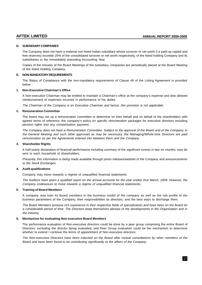# **D. SUBSIDIARY COMPANIES**

The Company does not have a material non-listed Indian subsidiary whose turnover or net worth (i e paid-up capital and free reserves) exceeds 20% of the consolidated turnover or net worth respectively, of the listed holding Company and its subsidiaries in the immediately preceding Accounting Year.

Copies of the minutes of the Board Meetings of the subsidiary companies are periodically placed at the Board Meeting of the listed Holding Company.

# **E. NON-MANDATORY REQUIREMENTS**

The Status of Compliance with the non-mandatory requirements of Clause 49 of the Listing Agreement is provided below :

# **1. Non-Executive Chairman's Office**

A Non-executive Chairman may be entitled to maintain a Chairman's office at the company's expense and also allowed reimbursement of expenses incurred in performance of his duties.

The Chairman of the Company is an Executive Chairman and hence, this provision is not applicable.

# **2. Remuneration Committee**

The board may set up a remuneration committee to determine on their behalf and on behalf of the shareholders with agreed terms of reference, the company's policy on specific remuneration packages for executive directors including pension rights and any compensation payment.

The Company does not have a Remuneration Committee. Subject to the approval of the Board and of the Company, in the General Meeting and such other approvals as may be necessary, the Managing/Whole-time Directors are paid remuneration as per the Agreements entered into between them and the Company.

# **3. Shareholder Rights**

A half-yearly declaration of financial performance including summary of the significant events in last six months, may be sent to each household of shareholders.

Presently, this information is being made available through press releases/website of the Company and announcements to the Stock Exchanges.

# **4. Audit qualifications**

Company may move towards a regime of unqualified financial statements.

The Auditors have given a qualified report on the annual accounts for the year ended 31st March, 2009. However, the Company endeavours to move towards a regime of unqualified financial statements.

# **5. Training of Board Members**

A company may train its Board members in the business model of the company as well as the risk profile of the business parameters of the Company, their responsibilities as directors, and the best ways to discharge them.

The Board Members possess rich experience in their respective fields of specialization and have been on the Board for a considerable period of time. The Directors keep themselves abreast of the developments in the Organisation and in the industry.

# **6. Mechanism for evaluating Non-executive Board Members**

The performance evaluation of Non-executive directors could be done by a peer group comprising the entire Board of Directors, excluding the director being evaluated; and Peer Group evaluation could be the mechanism to determine whether to extend / continue the terms of appointment of Non-executive directors.

The Non-executive Directors have been inducted on the Board after mutual consultations by other members of the Board and have been found to be contributing significantly to the affairs of the Company.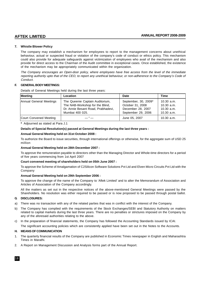# **7. Whistle Blower Policy**

The company may establish a mechanism for employees to report to the management concerns about unethical behaviour, actual or suspected fraud or violation of the company's code of conduct or ethics policy. This mechanism could also provide for adequate safeguards against victimization of employees who avail of the mechanism and also provide for direct access to the Chairman of the Audit committee in exceptional cases. Once established, the existence of the mechanism may be appropriately communicated within the organization.

The Company encourages an Open-door policy, where employees have free access from the level of the immediate reporting authority upto that of the CEO, to report any unethical behaviour, or non-adherence to the Company's Code of Conduct.

# **F. GENERAL BODY MEETINGS:**

Details of General Meetings held during the last three years:

| Meeting                 | <b>Location</b>                                                                                                             | Date                                                                                | <b>Time</b>                                              |
|-------------------------|-----------------------------------------------------------------------------------------------------------------------------|-------------------------------------------------------------------------------------|----------------------------------------------------------|
| Annual General Meetings | The Queenie Captain Auditorium,<br>The NAB-Workshop for the Blind,<br>Dr. Annie Besant Road, Prabhadevi,<br>Mumbai 400 025. | September, 30, 2009*<br>October 31, 2008<br>December 28, 2007<br>September 29, 2006 | $10.30$ a.m.<br>10.30 a.m.<br>10.30 a.m.<br>$10.30$ a.m. |
| Court Convened Meeting  | — " —                                                                                                                       | June 05, 2007                                                                       | $10.30$ a.m.                                             |

**\*** Adjourned as stated at Para J.1

# **Details of Special Resolution(s) passed at General Meetings during the last three years :**

# **Annual General Meeting held on 31st October 2008 :**

To authorize the Board to issue securities, through international offerings or otherwise, for the aggregate sum of USD 25 million

# **Annual General Meeting held on 28th December 2007 :**

To approve the remuneration payable to directors other than the Managing Director and Whole-time directors for a period of five years commencing from 1st April 2007

# **Court convened meeting of shareholders held on 05th June 2007 :**

To approve the Scheme of Amalgamation of C2Silicon Software Solutions Pvt Ltd and Elven Micro Circuits Pvt Ltd with the Company

# **Annual General Meeting held on 29th September 2006 :**

To approve the change of the name of the Company to 'Aftek Limited' and to alter the Memorandum of Association and Articles of Association of the Company accordingly.

All the matters as set out in the respective notices of the above-mentioned General Meetings were passed by the Shareholders. No resolution was either required to be passed or is now proposed to be passed through postal ballot.

# **G. DISCLOSURES:**

- a) There was no transaction with any of the related parties that was in conflict with the interest of the Company.
- b) The Company has complied with the requirements of the Stock Exchanges/SEBI and Statutory Authority on matters related to capital markets during the last three years. There are no penalties or strictures imposed on the Company by any of the aforesaid authorities relating to the above.

c) In the preparation of financial statements, the Company has followed the Accounting Standards issued by ICAI.

The significant accounting policies which are consistently applied have been set out in the Notes to the Accounts.

# **H. MEANS OF COMMUNICATION**

- 1. The quarterly financial results of the Company are published in Economic Times newspaper in English and Maharashtra Times in Marathi.
- 2. A Report on Management Discussion and Analysis forms part of the Annual Report.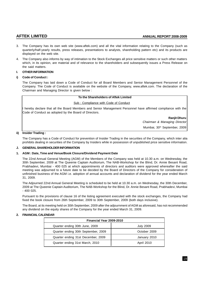- 3. The Company has its own web site (www.aftek.com) and all the vital information relating to the Company (such as quarterly/half-yearly results, press releases, presentations to analysts, shareholding pattern etc) and its products are displayed on the web site.
- 4. The Company also informs by way of intimation to the Stock Exchanges all price sensitive matters or such other matters which, in its opinion, are material and of relevance to the shareholders and subsequently issues a Press Release on the said matters.

# **I. OTHER INFORMATION**

# **i) Code of Conduct :**

The Company has laid down a Code of Conduct for all Board Members and Senior Management Personnel of the Company. The Code of Conduct is available on the website of the Company, www.aftek.com. The declaration of the Chairman and Managing Director is given below :

# **To the Shareholders of Aftek Limited**

# Sub : Compliance with Code of Conduct

I hereby declare that all the Board Members and Senior Management Personnel have affirmed compliance with the Code of Conduct as adopted by the Board of Directors.

> **Ranjit Dhuru** Chairman & Managing Director Mumbai, 30<sup>th</sup> September, 2009

# **ii) Insider Trading :**

The Company has a Code of Conduct for prevention of Insider Trading in the securities of the Company, which inter alia prohibits dealing in securities of the Company by Insiders while in possession of unpublished price sensitive information.

# **J. GENERAL SHAREHOLDER INFORMATION**

# **1. AGM : Date, Time and Venue/Book Closure/Dividend Payment Date**

The 22nd Annual General Meeting (AGM) of the Members of the Company was held at 10.30 a.m. on Wednesday, the 30th September, 2009 at The Queenie Captain Auditorium, The NAB-Workshop for the Blind, Dr. Annie Besant Road, Prabhadevi, Mumbai - 400 025 at which appointments of directors and auditors were approved whereafter the said meeting was adjourned to a future date to be decided by the Board of Directors of the Company for consideration of unfinished business of the AGM i.e. adoption of annual accounts and declaration of dividend for the year ended March 31, 2009.

The Adjourned 22nd Annual General Meeting is scheduled to be held at 10.30 a.m. on Wednesday, the 30th December, 2009 at The Queenie Captain Auditorium, The NAB-Workshop for the Blind, Dr. Annie Besant Road, Prabhadevi, Mumbai - 400 025.

Pursuant to the provisions of clause 16 of the listing agreement executed with the stock exchanges, the Company had fixed the book closure from 26th September, 2009 to 30th September, 2009 (both days inclusive).

The Board, at its meeting held on 30th September, 2009 after the adjournment of AGM as aforesaid, has not recommended any dividend on the equity shares of the Company for the year ended March 31, 2009.

# **2. FINANCIAL CALENDAR**

| Financial Year 2009-2010            |                  |  |  |  |
|-------------------------------------|------------------|--|--|--|
| Quarter ending 30th June, 2009      | <b>July 2009</b> |  |  |  |
| Quarter ending 30th September, 2009 | October 2009     |  |  |  |
| Quarter ending 31st December, 2009  | January 2010     |  |  |  |
| Quarter ending 31st March, 2010     | April 2010       |  |  |  |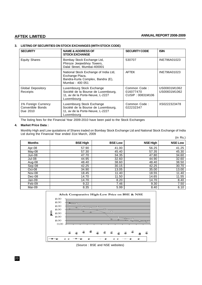# **3. LISTING OF SECURITIES ON STOCK EXCHANGES (WITH STOCK CODE)**

| <b>SECURITY</b>                                      | <b>NAME &amp; ADDRESS OF</b><br><b>STOCK EXCHANGE</b>                                                              | <b>SECURITY CODE</b>                          | <b>ISIN</b>                  |
|------------------------------------------------------|--------------------------------------------------------------------------------------------------------------------|-----------------------------------------------|------------------------------|
| <b>Equity Shares</b>                                 | Bombay Stock Exchange Ltd,<br>Phiroze Jeejeebhoy Towers,<br>Dalal Street, Mumbai-400001                            | 530707                                        | INE796A01023                 |
|                                                      | National Stock Exchange of India Ltd,<br>Exchange Plaza,<br>Bandra-Kurla Complex, Bandra (E),<br>Mumbai - 400 051  | <b>AFTEK</b>                                  | INE796A01023                 |
| <b>Global Depository</b><br>Receipts                 | Luxembourg Stock Exchange<br>Société de la Bourse de Luxembourg,<br>11, av de la Porte-Neuve, L-2227<br>Luxembourg | Common Code:<br>016077470<br>CUSIP: 00831M106 | US00831M1062<br>US00831M1062 |
| 1% Foreign Currency<br>Convertible Bonds<br>Due 2010 | Luxembourg Stock Exchange<br>Société de la Bourse de Luxembourg,<br>11, av de la Porte-Neuve, L-2227<br>Luxembourg | Common Code:<br>022232347                     | XS0222323478                 |

The listing fees for the Financial Year 2009-2010 have been paid to the Stock Exchanges

# **4. Market Price Data :**

Monthly High and Low quotations of Shares traded on Bombay Stock Exchange Ltd and National Stock Exchange of India Ltd during the Financial Year ended 31st March, 2009  $(in Rs.)$ 

|               |                 |                |                 | וטרווון,       |
|---------------|-----------------|----------------|-----------------|----------------|
| <b>Months</b> | <b>BSE High</b> | <b>BSE Low</b> | <b>NSE High</b> | <b>NSE Low</b> |
| Apr-08        | 57.90           | 41.00          | 56.25           | 41.25          |
| May-08        | 57.30           | 45.40          | 57.35           | 45.30          |
| Jun-08        | 47.70           | 34.35          | 47.80           | 34.60          |
| Jul-08        | 44.95           | 32.60          | 44.90           | 32.60          |
| Aug-08        | 48.40           | 38.60          | 48.40           | 38.50          |
| Sep-08        | 42.25           | 30.15          | 42.25           | 30.70          |
| $Oct-08$      | 34.90           | 13.05          | 35.00           | 13.00          |
| <b>Nov-08</b> | 18.45           | 11.40          | 18.55           | 11.40          |
| Dec-08        | 14.70           | 11.50          | 14.65           | 11.55          |
| Jan-09        | 14.70           | 8.20           | 14.70           | 8.40           |
| Feb-09        | 9.22            | 7.46           | 9.30            | 7.50           |
| Mar-09        | 8.35            | 5.99           | 8.40            | 6.10           |



(Source : BSE and NSE websites)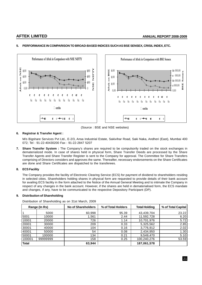

# **5. PERFORMANCE IN COMPARISON TO BROAD-BASED INDICES SUCH AS BSE SENSEX, CRISIL INDEX, ETC.**

(Source : BSE and NSE websites)

# **6. Registrar & Transfer Agent :**

M/s Bigshare Services Pvt Ltd., E-2/3, Ansa Industrial Estate, Sakivihar Road, Saki Naka, Andheri (East), Mumbai 400 072; Tel : 91-22-40430200 Fax : 91-22-2847 5207

**7. Share Transfer System :** The Company's shares are required to be compulsorily traded on the stock exchanges in dematerialized mode. In case of shares held in physical form, Share Transfer Deeds are processed by the Share Transfer Agents and Share Transfer Register is sent to the Company for approval. The Committee for Share Transfers comprising of Directors considers and approves the same. Thereafter, necessary endorsements on the Share Certificates are done and Share Certificates are dispatched to the transferees.

# **8. ECS Facility**

The Company provides the facility of Electronic Clearing Service (ECS) for payment of dividend to shareholders residing in selected cities. Shareholders holding shares in physical form are requested to provide details of their bank account for availing ECS facility in the form attached to the Notice of the Annual General Meeting and to intimate the Company in respect of any changes in the bank account. However, if the shares are held in dematerialised form, the ECS mandate and changes, if any, have to be communicated to the respective Depository Participant (DP).

# **9. Distribution of Shareholding**

Distribution of Shareholding as on 31st March, 2009

| Range (In Rs) |          | <b>No of Shareholders</b> | % of Total Holders | <b>Total Holding</b> | % of Total Capital |
|---------------|----------|---------------------------|--------------------|----------------------|--------------------|
|               | 5000     | 60,998                    | 95.39              | 43.439.704           | 23.22              |
| 5001          | 10000    | .561                      | 2.44               | 11,592,728           | 6.20               |
| 10001         | 20000    | 726                       | 1.14               | 10.701.976           | 5.72               |
| 20001         | 30000    | 209                       | 0.33               | 5,325,562            | 2.85               |
| 30001         | 40000    | 104                       | 0.16               | 3,776,912            | 2.02               |
| 40001         | 50000    | 54                        | 0.08               | 2,434,950            | 1.30               |
| 50001         | 100000   | 134                       | 0.21               | 9,549,470            | 5.10               |
| 100001        | 99999999 | 158                       | 0.25               | 100,240,276          | 53.59              |
| <b>Total</b>  |          | 63,944                    |                    | 187,061,578          |                    |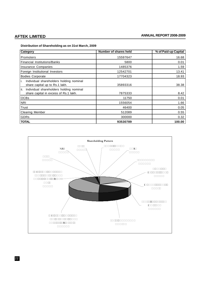# **AFTEK LIMITED ANNUAL REPORT 2008-2009**

# **Distribution of Shareholding as on 31st March, 2009**

| Category                                                                                | Number of shares held | % of Paid-up Capital |
|-----------------------------------------------------------------------------------------|-----------------------|----------------------|
| Promoters                                                                               | 15597647              | 16.68                |
| <b>Financial Institutions/Banks</b>                                                     | 5800                  | 0.01                 |
| Insurance Companies                                                                     | 1485376               | 1.59                 |
| Foreign Institutional Investors                                                         | 12542701              | 13.41                |
| <b>Bodies Corporate</b>                                                                 | 17704323              | 18.93                |
| Individual shareholders holding nominal<br>i.<br>share capital up to Rs.1 lakh.         | 35893316              | 38.38                |
| ii.<br>Individual shareholders holding nominal<br>share capital in excess of Rs.1 lakh. | 7875333               | 8.42                 |
| <b>OCBs</b>                                                                             | 11750                 | 0.01                 |
| <b>NRI</b>                                                                              | 1556054               | 1.66                 |
| Trust                                                                                   | 46400                 | 0.05                 |
| <b>Clearing Member</b>                                                                  | 512089                | 0.55                 |
| GDRs                                                                                    | 300000                | 0.32                 |
| <b>TOTAL</b>                                                                            | 93530789              | 100.00               |



22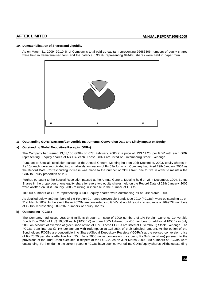# **10. Dematerialisation of Shares and Liquidity**

As on March 31, 2009, 99.10 % of Company's total paid-up capital, representing 92686306 numbers of equity shares were held in dematerialised form and the balance 0.90 %, representing 844483 shares were held in paper form.



# **11. Outstanding GDRs/Warrants/Convertible Instruments, Conversion Date and Likely Impact on Equity**

# **a) Outstanding Global Depository Receipts (GDRs) :**

The Company had issued 13,33,100 GDRs on 07th February, 2003 at a price of US\$ 11.25, per GDR with each GDR representing 3 equity shares of Rs.10/- each. These GDRs are listed on Luxembourg Stock Exchange.

Pursuant to Special Resolution passed at the Annual General Meeting held on 29th December, 2003, equity shares of Rs.10/- each were sub-divided into smaller denomination of Rs.02/- for which Company had fixed 29th January, 2004 as the Record Date. Corresponding increase was made to the number of GDRs from one to five in order to maintain the GDR to Equity proportion of 1: 3.

Further, pursuant to the Special Resolution passed at the Annual General Meeting held on 28th December, 2004, Bonus Shares in the proportion of one equity share for every two equity shares held on the Record Date of 28th January, 2005 were allotted on 31st January, 2005 resulting in increase in the number of GDRs.

100000 numbers of GDRs representing 300000 equity shares were outstanding as at 31st March, 2009.

As detailed below, 880 numbers of 1% Foreign Currency Convertible Bonds Due 2010 (FCCBs), were outstanding as on 31st March, 2009. In the event these FCCBs are converted into GDRs, it would result into issuance of 1699734 numbers of GDRs representing 5099202 numbers of equity shares.

# **b) Outstanding FCCBs :**

The Company had raised US\$ 34.5 millions through an issue of 3000 numbers of 1% Foreign Currency Convertible Bonds Due 2010 of US\$ 10,000 each ("FCCBs") in June 2005 followed by 450 numbers of additional FCCBs in July 2005 on account of exercise of green shoe option of 15%. These FCCBs are listed at Luxembourg Stock Exchange. The FCCBs bear interest @ 1% per annum with redemption at 128.25% of their principal amount. At the option of the Bondholders FCCBs are convertible into Shares/Global Depository Receipts ("GDRs") at the revised conversion price of Rs 75.20 per share effective from 25th June 2006 (initial conversion price being Rs 94/- per share) pursuant to the provisions of the Trust Deed executed in respect of the FCCBs. As on 31st March 2009, 880 numbers of FCCBs were outstanding. Further, during the current year, no FCCBs have been converted into GDRs/equity shares. All the outstanding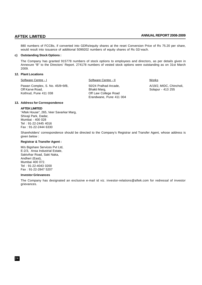880 numbers of FCCBs, if converted into GDRs/equity shares at the reset Conversion Price of Rs 75.20 per share, would result into issuance of additional 5099202 numbers of equity shares of Rs 02/-each.

### **c) Outstanding Stock Options :**

The Company has granted 915778 numbers of stock options to employees and directors, as per details given in Annexure "B" to the Directors' Report. 274178 numbers of vested stock options were outstanding as on 31st March 2009.

### **12. Plant Locations**

Software Centre - I Software Centre - II Works

Pawan Complex, S. No. 45/8+9/B, 60/24 Pralhad Arcade, 61/19/2, MIDC, Chincholi, Chincholi, Chincholi, Chincholi, Chincholi, Chincholi, Chincholi, Chincholi, Chincholi, Chincholi, Chincholi, Chincholi, Chincholi, Chincholi, Off Karve Road, based, and the Solapur - 413 255<br>
Solapur - 413 255 (Solapur - 413 255 ) Solapur - 413 255 Off Law College Road Erandwane, Pune 411 004

### **13. Address for Correspondence**

### **AFTEK LIMITED**

"Aftek House", 265, Veer Savarkar Marg, Shivaji Park, Dadar, Mumbai - 400 028 Tel : 91-22-2445 4016 Fax : 91-22-2444 6330

Shareholders' correspondence should be directed to the Company's Registrar and Transfer Agent, whose address is given below :

### **Registrar & Transfer Agent :**

M/s Bigshare Services Pvt Ltd, E-2/3, Ansa Industrial Estate, Sakivihar Road, Saki Naka, Andheri (East), Mumbai 400 072. Tel : 91-22-4043 0200 Fax : 91-22-2847 5207

### **Investor Grievances**

The Company has designated an exclusive e-mail id viz. investor-relations@aftek.com for redressal of investor grievances.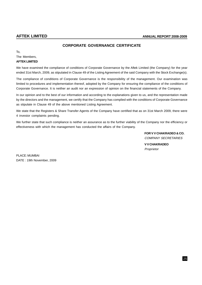# **CORPORATE GOVERNANCE CERTIFICATE**

To, The Members, **AFTEK LIMITED**

We have examined the compliance of conditions of Corporate Governance by the Aftek Limited (the Company) for the year ended 31st March, 2009, as stipulated in Clause 49 of the Listing Agreement of the said Company with the Stock Exchange(s).

The compliance of conditions of Corporate Governance is the responsibility of the management. Our examination was limited to procedures and implementation thereof, adopted by the Company for ensuring the compliance of the conditions of Corporate Governance. It is neither an audit nor an expression of opinion on the financial statements of the Company.

In our opinion and to the best of our information and according to the explanations given to us, and the representation made by the directors and the management, we certify that the Company has complied with the conditions of Corporate Governance as stipulate in Clause 49 of the above mentioned Listing Agreement.

We state that the Registers & Share Transfer Agents of the Company have certified that as on 31st March 2009, there were 4 investor complaints pending.

We further state that such compliance is neither an assurance as to the further viability of the Company nor the efficiency or effectiveness with which the management has conducted the affairs of the Company.

> **FOR V V CHAKRADEO & CO.** COMPANY SECRETARIES

**V V CHAKRADEO** Proprietor

PLACE: MUMBAI DATE : 19th November, 2009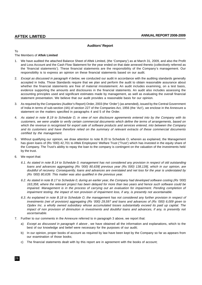# **Auditors' Report**

# To

# The Members of **Aftek Limited**

- 1. We have audited the attached Balance Sheet of Aftek Limited, (the 'Company') as at March 31, 2009, and also the Profit and Loss Account and the Cash Flow Statement for the year ended on that date annexed thereto (collectively referred as the 'financial statements'). These financial statements are the responsibility of the Company's management. Our responsibility is to express an opinion on these financial statements based on our audit.
- 2. Except as discussed in paragraph 4 below, we conducted our audit in accordance with the auditing standards generally accepted in India. Those Standards require that we plan and perform the audit to obtain reasonable assurance about whether the financial statements are free of material misstatement. An audit includes examining, on a test basis, evidence supporting the amounts and disclosures in the financial statements. An audit also includes assessing the accounting principles used and significant estimates made by management, as well as evaluating the overall financial statement presentation. We believe that our audit provides a reasonable basis for our opinion.
- 3. As required by the Companies (Auditor's Report) Order, 2003 (the 'Order') (as amended), issued by the Central Government of India in terms of sub-section (4A) of section 227 of the Companies Act, 1956 (the 'Act'), we enclose in the Annexure a statement on the matters specified in paragraphs 4 and 5 of the Order.
- 4. As stated in note B.19 to Schedule O, in view of non disclosure agreements entered into by the Company with its customers, we were unable to verify certain commercial documents which define the terms of arrangements, based on which the revenue is recognised for export sale of software products and services entered, into between the Company and its customers and have therefore relied on the summary of relevant extracts of these commercial documents certified by the management.
- 5. Without qualifying our opinion, we draw attention to note B.20 to Schedule O, wherein as explained, the Management has given loans of (Rs '000) 42,701 to Aftek Employees' Welfare Trust ('Trust') which has invested in the equity share of the Company. The Trust's ability to repay the loan to the company is contingent on the valuation of the investments held by the trust.
- 6. We report that:
	- 6.1. As stated in note B.14 to Schedule 0, management has not considered any provision in respect of old outstanding loans and advances aggregating (Rs '000) 80,639[ previous year (Rs.'000) 138,139], which in our opinion, are doubtful of recovery. Consequently, loans and advances are overstated and net loss for the year is understated by (Rs '000) 80,639. This matter was also qualified in the previous year.
	- 6.2. As stated in note B.17 to Schedule 0, during an earlier year, the Company had developed software costing (Rs '000) 163,358, where the relevant project has been delayed for more than two years and hence such software could be impaired. Management is in the process of carrying out an evaluation for impairment. Pending completion of impairment testing, the impact of non provision of impairment loss, if any, is presently not ascertainable.
	- 6.3. As explained in note B.18 to Schedule O, the management has not considered any further provision in respect of investments (net of provision) aggregating (Rs '000) 29,597 and loans and advances of (Rs '000) 6,009 given to Opdex Inc. a wholly owned subsidiary whose accumulated losses substantially exceed its paid up capital. The impact of non provision of diminution in investments and doubtful loans and advances, if any, is presently not ascertainable.
- 7. Further to our comments in the Annexure referred to in paragraph 3 above, we report that:
	- a) Except as discussed in paragraph 4 above, we have obtained all the information and explanations, which to the best of our knowledge and belief were necessary for the purposes of our audit;
	- b) In our opinion, proper books of account as required by law have been kept by the Company so far as appears from our examination of those books;
	- c) The financial statements dealt with by this report are in agreement with the books of account;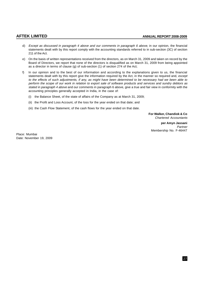- d) Except as discussed in paragraph 4 above and our comments in paragraph 6 above, in our opinion, the financial statements dealt with by this report comply with the accounting standards referred to in sub-section (3C) of section 211 of the Act.
- e) On the basis of written representations received from the directors, as on March 31, 2009 and taken on record by the Board of Directors, we report that none of the directors is disqualified as on March 31, 2009 from being appointed as a director in terms of clause (g) of sub-section (1) of section 274 of the Act;
- f) In our opinion and to the best of our information and according to the explanations given to us, the financial statements dealt with by this report give the information required by the Act, in the manner so required and, except to the effects of such adjustments, if any, as might have been determined to be necessary had we been able to perform the scope of our work in relation to export sale of software products and services and sundry debtors as stated in paragraph 4 above and our comments in paragraph 6 above, give a true and fair view in conformity with the accounting principles generally accepted in India, in the case of:
	- (i) the Balance Sheet, of the state of affairs of the Company as at March 31, 2009;
	- (ii) the Profit and Loss Account, of the loss for the year ended on that date; and
	- (iii) the Cash Flow Statement, of the cash flows for the year ended on that date.

**For Walker, Chandiok & Co** Chartered Accountants

**per Amyn Jassani Partner** Membership No. F-46447

Place: Mumbai Date: November 19, 2009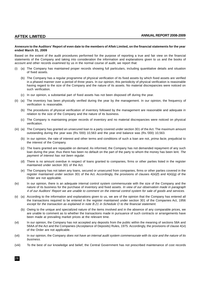### **Annexure to the Auditors' Report of even date to the members of Aftek Limited, on the financial statements for the year ended March 31, 2009**

Based on the extent of the audit procedures performed for the purpose of reporting a true and fair view on the financial statements of the Company and taking into consideration the information and explanations given to us and the books of account and other records examined by us in the normal course of audit, we report that:

- (i) (a) The Company has maintained proper records showing full particulars, including quantitative details and situation of fixed assets.
	- (b) The Company has a regular programme of physical verification of its fixed assets by which fixed assets are verified in a phased manner over a period of three years. In our opinion, this periodicity of physical verification is reasonable having regard to the size of the Company and the nature of its assets. No material discrepancies were noticed on such verification.
	- (c) In our opinion, a substantial part of fixed assets has not been disposed off during the year.
- (ii) (a) The inventory has been physically verified during the year by the management. In our opinion, the frequency of verification is reasonable.
	- (b) The procedures of physical verification of inventory followed by the management are reasonable and adequate in relation to the size of the Company and the nature of its business.
	- (c) The Company is maintaining proper records of inventory and no material discrepancies were noticed on physical verification.
- (iii) (a) The Company has granted an unsecured loan to a party covered under section 301 of the Act. The maximum amount outstanding during the year was (Rs.'000) 10,563 and the year end balance was (Rs.'000) 10,563.
	- (b) In our opinion, the rate of interest and other terms and conditions of such a loan are not, *prima facie*, prejudicial to the interest of the Company.
	- (c) The loans granted are repayable on demand. As informed, the Company has not demanded repayment of any such loan during the year, thus there has been no default on the part of the party to whom the money has been lent. The payment of interest has not been regular.
	- (d) There is no amount overdue in respect of loans granted to companies, firms or other parties listed in the register maintained under section 301 of the Act.
	- (e) The Company has not taken any loans, secured or unsecured from companies, firms or other parties covered in the register maintained under section 301 of the Act. Accordingly, the provisions of clauses  $4(iii)(f)$  and  $4(iii)(g)$  of the Order are not applicable.
- (iv) In our opinion, there is an adequate internal control system commensurate with the size of the Company and the nature of its business for the purchase of inventory and fixed assets. In view of our observation made in paragraph 4 of our Auditors' Report we are unable to comment on the internal control system for sale of goods and services.
- (v) (a) According to the information and explanations given to us, we are of the opinion that the Company has entered all the transactions required to be entered in the register maintained under section 301 of the Companies Act, 1956 except for the transaction as explained in note B.21 in Schedule O to the financial statement.
	- (b) Owing to the unique and specialized nature of the items involved and in the absence of any comparable prices, we are unable to comment as to whether the transactions made in pursuance of such contracts or arrangements have been made at prevailing market prices at the relevant time.
- (vi) In our opinion, the Company has not accepted any deposits from the public within the meaning of sections 58A and 58AA of the Act and the Companies (Acceptance of Deposits) Rules, 1975. Accordingly, the provisions of clause 4(vi) of the Order are not applicable.
- (vii) In our opinion, the Company does not have an internal audit system commensurate with its size and the nature of its business.
- (viii) To the best of our knowledge and belief, the Central Government has not prescribed maintenance of cost records

28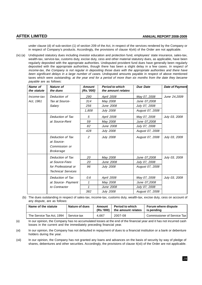under clause (d) of sub-section (1) of section 209 of the Act, in respect of the services rendered by the Company or in respect of Company's products. Accordingly, the provisions of clause 4(viii) of the Order are not applicable.

(ix) (a) Undisputed statutory dues including investor education and protection fund, employees' state insurance, sales-tax, wealth-tax, service-tax, customs duty, excise duty, cess and other material statutory dues, as applicable, have been regularly deposited with the appropriate authorities. Undisputed provident fund dues have generally been regularly deposited with the appropriate authorities, though there has been a slight delay in a few cases. In respect of income-tax, the Company is not regular in depositing those dues with the appropriate authorities and there have been significant delays in a large number of cases. Undisputed amounts payable in respect of above mentioned taxes which were outstanding, at the year end for a period of more than six months from the date they became payable are as follows:

| Name of<br>the statute | <b>Nature of</b><br>the dues                                        | <b>Amount</b><br>(Rs.7000) | <b>Period to which</b><br>the amount relates | Due Date        | <b>Date of Payment</b> |
|------------------------|---------------------------------------------------------------------|----------------------------|----------------------------------------------|-----------------|------------------------|
| Income-tax             | Deduction of                                                        | 290                        | April 2008                                   | May 07, 2008    | June 24,2009           |
| Act. 1961              | Tax at Source-                                                      | 314                        | May 2008                                     | June 07,2008    |                        |
|                        | Salary                                                              | 256                        | June 2008                                    | July 07, 2008   |                        |
|                        |                                                                     | 1,808                      | July 2008                                    | August 07, 2008 |                        |
|                        | Deduction of Tax                                                    | 5                          | April 2008                                   | May 07, 2008    | July 03, 2009          |
|                        | at Source-Rent                                                      | 59                         | May 2008                                     | June 07,2008    |                        |
|                        |                                                                     | 82                         | June 2008                                    | July 07, 2008   |                        |
|                        |                                                                     | 428                        | <b>July 2008</b>                             | August 07, 2008 |                        |
|                        | Deduction of Tax<br>at Source-<br>Commission or<br><b>Brokerage</b> | 2                          | <b>July 2008</b>                             | August 07, 2008 | July 03, 2009          |
|                        | Deduction of Tax                                                    | 20                         | May 2008                                     | June 07,2008    | July 03, 2009          |
|                        | at Source-Fees                                                      | 20                         | June 2008                                    | July 07, 2008   |                        |
|                        | for Professional or<br><b>Technical Services</b>                    | 96                         | <b>July 2008</b>                             | August 07, 2008 |                        |
|                        | Deduction of Tax                                                    | 0.6                        | April 2008                                   | May 07, 2008    | July 03, 2009          |
|                        | at Source- Payment                                                  | 1                          | May 2008                                     | June 07,2008    |                        |
|                        | to Contractor                                                       | 1                          | June 2008                                    | July 07, 2008   |                        |
|                        |                                                                     | 382                        | July 2008                                    | August 07, 2008 |                        |

(b) The dues outstanding in respect of sales-tax, income-tax, customs duty, wealth-tax, excise duty, cess on account of any dispute, are as follows:

| Name of the statute       | Nature of dues | Amount<br>(Rs.'000) | <b>Period to which</b><br>the amount relates | <b>Forum where dispute</b><br>is pendina |
|---------------------------|----------------|---------------------|----------------------------------------------|------------------------------------------|
| The Service Tax Act, 1994 | l Service tax  | 4.667               | 2007-08                                      | Commissioner of Service Tax              |

(x) In our opinion, the Company has no accumulated losses at the end of the financial year and it has not incurred cash losses in the current and the immediately preceding financial year.

(xi) In our opinion, the Company has not defaulted in repayment of dues to a financial institution or a bank or debenture holders during the year.

(xii) In our opinion, the Company has not granted any loans and advances on the basis of security by way of pledge of shares, debentures and other securities. Accordingly, the provisions of clause 4(xii) of the Order are not applicable.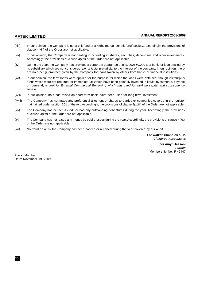- (xiii) In our opinion, the Company is not a chit fund or a nidhi/ mutual benefit fund/ society. Accordingly, the provisions of clause 4(xiii) of the Order are not applicable.
- (xiv) In our opinion, the Company is not dealing in or trading in shares, securities, debentures and other investments. Accordingly, the provisions of clause 4(xiv) of the Order are not applicable.
- (xv) During the year, the Company has provided a corporate guarantee of (Rs.'000) 50,000 to a bank for loan availed by its subsidiary which are not considered, *prima facie*, prejudicial to the interest of the company. In our opinion, there are no other guarantees given by the Company for loans taken by others from banks or financial institutions.
- (xvi) In our opinion, the term loans were applied for the purpose for which the loans were obtained, though idle/surplus funds which were not required for immediate utilization have been gainfully invested in liquid investments, payable on demand, except for External Commercial Borrowing which was used for working capital and subsequently repaid.
- (xvii) In our opinion, no funds raised on short-term basis have been used for long-term investment.
- (xviii) The Company has not made any preferential allotment of shares to parties or companies covered in the register maintained under section 301 of the Act. Accordingly, the provisions of clause 4(xviii) of the Order are not applicable.
- (xix) The Company has neither issued nor had any outstanding debentures during the year. Accordingly, the provisions of clause 4(xix) of the Order are not applicable.
- $(xx)$  The Company has not raised any money by public issues during the year. Accordingly, the provisions of clause  $4(xx)$ of the Order are not applicable.
- (xxi) No fraud on or by the Company has been noticed or reported during the year covered by our audit.

**For Walker, Chandiok & Co** Chartered Accountants

**per Amyn Jassani** Partner Membership No. F-46447

Place: Mumbai Date: November 19, 2009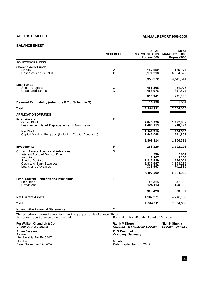# **AFTEK LIMITED ANNUAL REPORT 2008-2009**

# **BALANCE SHEET**

|                                                                                                                   | <b>SCHEDULE</b> | <b>ASAT</b><br><b>MARCH 31, 2009</b><br>Rupees'000 | AS AT<br>MARCH 31, 2008<br>Rupees'000 |
|-------------------------------------------------------------------------------------------------------------------|-----------------|----------------------------------------------------|---------------------------------------|
| <b>SOURCES OF FUNDS</b>                                                                                           |                 |                                                    |                                       |
| <b>Shareholders' Funds</b>                                                                                        |                 |                                                    |                                       |
| Capital<br>Reserves and Surplus                                                                                   | Α<br>B          | 187,062<br>6,171,210                               | 186,971<br>6,324,570                  |
|                                                                                                                   |                 | 6,358,272                                          | 6,511,541                             |
| <b>Loan Funds</b>                                                                                                 |                 |                                                    |                                       |
| Secured Loans<br>Unsecured Loans                                                                                  | C<br>Ď          | 451,365<br>458,976                                 | 434,075<br>357,571                    |
|                                                                                                                   |                 | 910,341                                            | 791,646                               |
| Deferred Tax Liability (refer note B.7 of Schedule O)                                                             |                 | 16,298                                             | 1,501                                 |
| <b>Total</b>                                                                                                      |                 | 7,284,911                                          | 7,304,688                             |
| <b>APPLICATION OF FUNDS</b>                                                                                       |                 |                                                    |                                       |
| <b>Fixed Assets</b>                                                                                               | E               |                                                    |                                       |
| Gross Block<br>Less: Accumulated Depreciation and Amortisation                                                    |                 | 2,845,929<br>1,484,213                             | 2,122,842<br>948,324                  |
| Net Block<br>Capital Work-in-Progress (including Capital Advances)                                                |                 | 1,361,716<br>1,447,098                             | 1,174,518<br>221,863                  |
|                                                                                                                   |                 | 2,808,814                                          | 1,396,381                             |
| <b>Investments</b>                                                                                                | F               | 288,126                                            | 1,162,198                             |
| <b>Current Assets, Loans and Advances</b><br>Interest Accrued But Not Due<br>Inventories<br><b>Sundry Debtors</b> | G               | 259<br>3,207<br>1,317,239                          | 5,859<br>2,206<br>1,176,021           |
| Cash and Bank Balances<br>Loans and Advances                                                                      |                 | 2,837,697<br>338,997                               | 3,398,285<br>701,839                  |
|                                                                                                                   |                 | 4,497,399                                          | 5,284,210                             |
| <b>Less: Current Liabilities and Provisions</b><br>Liabilities                                                    | H               |                                                    |                                       |
| Provisions                                                                                                        |                 | 185,315<br>124,113                                 | 387,536<br>150,565                    |
|                                                                                                                   |                 | 309,428                                            | 538,101                               |
| <b>Net Current Assets</b>                                                                                         |                 | 4,187,971                                          | 4,746,109                             |
| Total                                                                                                             |                 | 7,284,911                                          | 7,304,688                             |
| <b>Notes to the Financial Statements</b>                                                                          | O               |                                                    |                                       |

The schedules referred above form an integral part of the Balance Sheet As per our report of even date attached For and on behalf of the Board of Directors

**Amyn Jassani C. G. Deshmukh** Membership No.F-46447 Mumbai Mumbai Date: November 19, 2009 Date: September 30, 2009

**For Walker, Chandiok & Co Ranjit M Dhuru Nitin K Shukla**

Chartered Accountants Chairman & Managing Director Director - Finance Company Secretary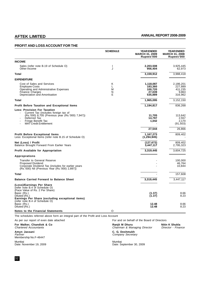# **PROFIT AND LOSS ACCOUNT FOR THE**

|                                                                                                                                                                                                        | <b>SCHEDULE</b>               | <b>YEAR ENDED</b><br><b>MARCH 31, 2009</b><br>Rupees'000 | <b>YEAR ENDED</b><br><b>MARCH 31, 2008</b><br>Rupees'000 |
|--------------------------------------------------------------------------------------------------------------------------------------------------------------------------------------------------------|-------------------------------|----------------------------------------------------------|----------------------------------------------------------|
| <b>INCOME</b>                                                                                                                                                                                          |                               |                                                          |                                                          |
| Sales (refer note B.19 of Schedule O)<br>Other Income                                                                                                                                                  | $\overline{\phantom{a}}$<br>J | 2,203,508<br>956,404                                     | 3,925,445<br>62,973                                      |
| Total                                                                                                                                                                                                  |                               | 3,159,912                                                | 3,988,418                                                |
| <b>EXPENDITURE</b>                                                                                                                                                                                     |                               |                                                          |                                                          |
| Cost of Sales and Services<br><b>Employee Costs</b><br>Operating and Administrative Expenses<br><b>Finance Charges</b><br>Depreciation and Amortisation                                                | Κ<br>L<br>М<br>N<br>E         | 1,118,087<br>183,360<br>100,720<br>27,039<br>535,889     | 2,186,201<br>227,889<br>411,235<br>9.863<br>316,962      |
| Total                                                                                                                                                                                                  |                               | 1,965,095                                                | 3,152,150                                                |
| <b>Profit Before Taxation and Exceptional Items</b>                                                                                                                                                    |                               | 1,194,817                                                | 836,268                                                  |
| <b>Less: Provision For Taxation</b><br>Current Tax (includes foreign tax of<br>(Rs.'000) 8,705 (Previous year (Rs.'000) 7,947))<br>Deferred Tax<br>Fringe Benefit Tax<br><b>MAT Credit Entitlement</b> |                               | 11,705<br>14,797<br>1,042                                | 113,642<br>2,557<br>2,170<br>(91, 503)                   |
|                                                                                                                                                                                                        |                               | 27,544                                                   | 26,866                                                   |
| <b>Profit Before Exceptional Items</b><br>Less: Exceptional Items (refer note B.15 of Schedule O)                                                                                                      |                               | 1,167,273<br>(1, 294, 945)                               | 809,402                                                  |
| Net (Loss) / Profit<br>Balance Brought Forward From Earlier Years                                                                                                                                      |                               | (127, 672)<br>3,447,117                                  | 809,402<br>2,795,323                                     |
| <b>Profit Available for Appropriation</b>                                                                                                                                                              |                               | 3,319,445                                                | 3,604,725                                                |
| Approprations                                                                                                                                                                                          |                               |                                                          |                                                          |
| <b>Transfer to General Reserve</b><br><b>Proposed Dividend</b><br>Corporate Dividend Tax (includes for earlier years<br>(Rs.'000) Nil (Previous Year (Rs.'000) 2,897))                                 |                               |                                                          | 100.000<br>46,764<br>10,844                              |
| Total                                                                                                                                                                                                  |                               |                                                          | 157,608                                                  |
| <b>Balance Carried Forward to Balance Sheet</b>                                                                                                                                                        |                               | 3,319,445                                                | 3,447,117                                                |
| (Loss)/Earnings Per Share<br>(refer note B.4 of Schedule O)<br>(Face Value of Rs. 2 Per Share)<br>Basic (Rs.)<br>Diluted (Rs.)<br>Earnings Per Share (excluding exceptional items)                     |                               | (1.37)<br>(1.37)                                         | 8.66<br>8.23                                             |
| (refer note B.4 of Schedule O)<br>Basic (Rs.)<br>Diluted (Rs.)<br><b>Notes to the Financial Statements</b>                                                                                             | O                             | 12.48<br>12.48                                           | 8.66<br>8.23                                             |
|                                                                                                                                                                                                        |                               |                                                          |                                                          |

The schedules referred above form an integral part of the Profit and Loss Account

As per our report of even date attached For and on behalf of the Board of Directors<br> **For Walker, Chandiok & Co**<br> **For and on behalf of the Board of Directors**<br> **Ranjit M Dhuru**<br> *Chairman & Managing Director Director* **For Walker, Chandiok & Co Ranjit M Dhuru Nitin K Shukla**

**Amyn Jassani C. G. Deshmukh** Partner Company Secretary (1999) and the company Secretary (1999) and the company Secretary (1999) and the company  $\mathcal{C}$  ompany Secretary (1999) and the company  $\mathcal{C}$  ompany  $\mathcal{C}$  on  $\mathcal{C}$  and the company  $\mathcal{$ Amyn Jassani<br>Partner<br>Membership No.F-46447

Mumbai **Mumbai Mumbai Mumbai Mumbai Mumbai** Mumbai Mumbai Mumbai Mumbai Mumbai Mumbai Mumbai Mumbai Mumbai Mumbai

Chartered Accountants Chairman & Managing Director Director - Finance

Date: November 19, 2009 Date: September 30, 2009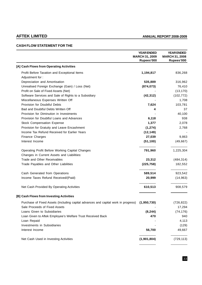# **CASH FLOW STATEMENT FOR THE**

|                                                                                                | <b>YEAR ENDED</b><br><b>MARCH 31, 2009</b><br>Rupees'000 | <b>YEAR ENDED</b><br><b>MARCH 31, 2008</b><br>Rupees'000 |
|------------------------------------------------------------------------------------------------|----------------------------------------------------------|----------------------------------------------------------|
| [A] Cash Flows from Operating Activities                                                       |                                                          |                                                          |
| Profit Before Taxation and Exceptional Items                                                   | 1,194,817                                                | 836,268                                                  |
| Adjustment for:                                                                                |                                                          |                                                          |
| Depreciation and Amortisation                                                                  | 535,889                                                  | 316,962                                                  |
| Unrealised Foreign Exchange (Gain) / Loss (Net)                                                | (874, 073)                                               | 76,410                                                   |
| Profit on Sale of Fixed Assets (Net)                                                           |                                                          | (13, 170)                                                |
| Software Services and Sale of Rights to a Subsidiary                                           | (42, 312)                                                | (102, 772)                                               |
| Miscellaneous Expenses Written Off                                                             |                                                          | 1,708                                                    |
| Provision for Doubtful Debts                                                                   | 7,624                                                    | 103,781                                                  |
| Bad and Doubtful Debts Written Off                                                             | 4                                                        | 37                                                       |
| Provision for Diminution in Investments                                                        |                                                          | 40,100                                                   |
| Provision for Doubtful Loans and Advances                                                      | 6,118                                                    | 938                                                      |
| <b>Stock Compensation Expense</b>                                                              | 1,377                                                    | 2,078                                                    |
| Provision for Gratuity and Leave Encashment                                                    | (1, 274)                                                 | 2,768                                                    |
| Income Tax Refund Received for Earlier Years                                                   | (12, 149)                                                |                                                          |
| <b>Finance Charges</b>                                                                         | 27,039                                                   | 9,863                                                    |
| Interest Income                                                                                | (51, 100)                                                | (49, 667)                                                |
| <b>Operating Profit Before Working Capital Changes</b>                                         | 791,960                                                  | 1,225,304                                                |
| Changes in Current Assets and Liabilities:                                                     |                                                          |                                                          |
| Trade and Other Receivables                                                                    | 23,312                                                   | (484, 314)                                               |
| Trade Payables and Other Liabilities                                                           | (225, 758)                                               | 182,552                                                  |
| Cash Generated from Operations                                                                 | 589,514                                                  | 923,542                                                  |
| Income Taxes Refund Received/(Paid)                                                            | 20,999                                                   | (14, 963)                                                |
| Net Cash Provided By Operating Activities                                                      | 610,513                                                  | 908,579                                                  |
| [B] Cash Flows from Investing Activities                                                       |                                                          |                                                          |
| Purchase of Fixed Assets (Including capital advances and capital work in progress) (1,950,730) |                                                          | (726, 822)                                               |
| Sale Proceeds of Fixed Assets                                                                  |                                                          | 17,294                                                   |
| Loans Given to Subsidiaries                                                                    | (8, 244)                                                 | (74, 176)                                                |
| Loan Given to Aftek Employee's Welfare Trust Received Back                                     | 470                                                      | 940                                                      |
| Loan Repaid                                                                                    |                                                          | 4,113                                                    |
| Investments in Subsidiaries                                                                    |                                                          | (129)                                                    |
| Interest Income                                                                                | 56,700                                                   | 49,667                                                   |
| Net Cash Used in Investing Activities                                                          | (1,901,804)                                              | (729, 113)                                               |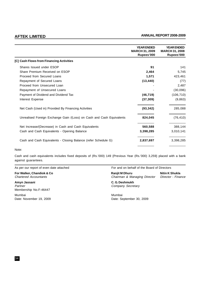|                                                                       | <b>YEAR ENDED</b><br><b>MARCH 31, 2009</b><br>Rupees'000 | <b>YEAR ENDED</b><br><b>MARCH 31, 2008</b><br>Rupees'000 |
|-----------------------------------------------------------------------|----------------------------------------------------------|----------------------------------------------------------|
| [C] Cash Flows from Financing Activities                              |                                                          |                                                          |
| Shares Issued under ESOP                                              | 91                                                       | 141                                                      |
| Share Premium Received on ESOP                                        | 2,464                                                    | 5,745                                                    |
| Proceed from Secured Loans                                            | 1,571                                                    | 423,461                                                  |
| Repayment of Secured Loans                                            | (13, 440)                                                | (77)                                                     |
| Proceed from Unsecured Loan                                           |                                                          | 2,487                                                    |
| Repayment of Unsecured Loans                                          |                                                          | (30,096)                                                 |
| Payment of Dividend and Dividend Tax                                  | (46, 719)                                                | (106, 710)                                               |
| Interest Expense                                                      | (37, 309)                                                | (9,863)                                                  |
| Net Cash (Used in) Provided By Financing Activities                   | (93, 342)                                                | 285,088                                                  |
| Unrealised Foreign Exchange Gain /(Loss) on Cash and Cash Equivalents | 824,045                                                  | (76, 410)                                                |
| Net Increase/(Decrease) in Cash and Cash Equivalents                  | 560,588                                                  | 388,144                                                  |
| Cash and Cash Equivalents - Opening Balance                           | 3,398,285                                                | 3,010,141                                                |
| Cash and Cash Equivalents - Closing Balance (refer Schedule G)        | 2,837,697                                                | 3,398,285                                                |

# Note:

Cash and cash equivalents includes fixed deposits of (Rs.'000) 149 {Previous Year (Rs.'000) 3,259} placed with a bank against guarantees.

For Walker, Chandiok & Co **Ranjit M Dhuru** Ranjit M Dhuru Nitin K Shukla Chartered Accountants Chairman & Managing Director Director - Finance

**Amyn Jassani C. G. Deshmukh** Partner Company Secretary Membership No.F-46447

Mumbai Mumbai Date: November 19, 2009 **Date: September 30, 2009** 

As per our report of even date attached For and on behalf of the Board of Directors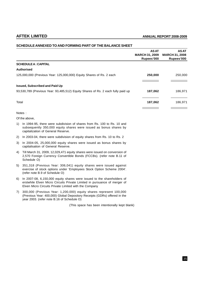|       |                                                                                                                                                                                                             | <b>ASAT</b><br><b>MARCH 31, 2009</b><br>Rupees'000 | <b>ASAT</b><br><b>MARCH 31, 2008</b><br>Rupees'000 |
|-------|-------------------------------------------------------------------------------------------------------------------------------------------------------------------------------------------------------------|----------------------------------------------------|----------------------------------------------------|
|       | <b>SCHEDULE A: CAPITAL</b>                                                                                                                                                                                  |                                                    |                                                    |
|       | Authorised                                                                                                                                                                                                  |                                                    |                                                    |
|       | 125,000,000 (Previous Year: 125,000,000) Equity Shares of Rs. 2 each                                                                                                                                        | 250,000                                            | 250,000                                            |
|       | <b>Issued, Subscribed and Paid Up</b>                                                                                                                                                                       |                                                    |                                                    |
|       | 93,530,789 (Previous Year: 93,485,512) Equity Shares of Rs. 2 each fully paid up                                                                                                                            | 187,062                                            | 186,971                                            |
| Total |                                                                                                                                                                                                             | 187,062                                            | 186,971                                            |
|       | Notes:                                                                                                                                                                                                      |                                                    |                                                    |
|       | Of the above,                                                                                                                                                                                               |                                                    |                                                    |
|       | 1) In 1994-95, there were subdivision of shares from Rs. 100 to Rs. 10 and<br>subsequently 350,000 equity shares were issued as bonus shares by<br>capitalization of General Reserve.                       |                                                    |                                                    |
| 2)    | In 2003-04, there were subdivision of equity shares from Rs. 10 to Rs. 2                                                                                                                                    |                                                    |                                                    |
| 3)    | In 2004-05, 25,000,000 equity shares were issued as bonus shares by<br>capitalisation of General Reserve.                                                                                                   |                                                    |                                                    |
| 4)    | Till March 31, 2009, 12,029,471 equity shares were issued on conversion of<br>2,570 Foreign Currency Convertible Bonds (FCCBs). (refer note B.11 of<br>Schedule O)                                          |                                                    |                                                    |
| 5)    | 351,318 (Previous Year: 306,041) equity shares were issued against<br>exercise of stock options under 'Employees Stock Option Scheme 2004'.<br>(refer note B.9 of Schedule O)                               |                                                    |                                                    |
| 6)    | In 2007-08, 6,150,000 equity shares were issued to the shareholders of<br>erstwhile Elven Micro Circuits Private Limited in pursuance of merger of<br>Elven Micro Circuits Private Limited with the Company |                                                    |                                                    |
| 7)    | 300,000 (Previous Year: 1,200,000) equity shares represent 100,000<br>(Previous Year: 400,000) Global Depository Receipts (GDRs) offered in the<br>year 2003. (refer note B.16 of Schedule O)               |                                                    |                                                    |
|       | (This space has been intentionally kept blank)                                                                                                                                                              |                                                    |                                                    |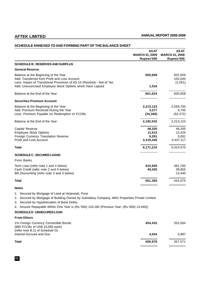|                                                                                                                                                                                                                                                                                                    | <b>ASAT</b><br><b>MARCH 31, 2009</b><br>Rupees'000 | <b>ASAT</b><br><b>MARCH 31, 2008</b><br>Rupees'000 |
|----------------------------------------------------------------------------------------------------------------------------------------------------------------------------------------------------------------------------------------------------------------------------------------------------|----------------------------------------------------|----------------------------------------------------|
| <b>SCHEDULE B: RESERVES AND SURPLUS</b>                                                                                                                                                                                                                                                            |                                                    |                                                    |
| <b>General Reserve</b>                                                                                                                                                                                                                                                                             |                                                    |                                                    |
| Balance at the Beginning of the Year<br>Add: Transferred from Profit and Loss Account<br>Less: Impact of Transitional Provisions of AS-15 (Revised) - Net of Tax<br>Add: Unexcercised Employee Stock Options which have Lapsed                                                                     | 600,608<br>1,016                                   | 502,659<br>100,000<br>(2,051)                      |
| Balance at the End of the Year                                                                                                                                                                                                                                                                     | 601,624                                            | 600,608                                            |
| <b>Securities Premium Account</b>                                                                                                                                                                                                                                                                  |                                                    |                                                    |
| Balance at the Beginning of the Year<br>Add: Premium Received During the Year<br>Less: Premium Payable on Redemption of FCCBs                                                                                                                                                                      | 2,213,123<br>3,277<br>(34, 368)                    | 2,269,750<br>5,745<br>(62, 372)                    |
| Balance at the End of the Year                                                                                                                                                                                                                                                                     | 2,182,032                                          | 2,213,123                                          |
| Capital Reserve<br><b>Employee Stock Options</b><br>Foreign Currency Translation Reserve<br><b>Profit and Loss Account</b>                                                                                                                                                                         | 48,205<br>11,613<br>8,291<br>3,319,445             | 48,205<br>12,426<br>3,091<br>3,447,117             |
| Total                                                                                                                                                                                                                                                                                              | 6,171,210                                          | 6,324,570                                          |
| <b>SCHEDULE C: SECURED LOANS</b>                                                                                                                                                                                                                                                                   |                                                    |                                                    |
| From Banks                                                                                                                                                                                                                                                                                         |                                                    |                                                    |
| Term Loan (refer note 1 and 4 below)<br>Cash Credit (refer note 2 and 4 below)<br>Bill Discounting (refer note 3 and 4 below)                                                                                                                                                                      | 410,940<br>40,425                                  | 381,780<br>38,855<br>13,440                        |
| <b>Total</b>                                                                                                                                                                                                                                                                                       | 451,365                                            | 434,075                                            |
| <b>Notes</b>                                                                                                                                                                                                                                                                                       |                                                    |                                                    |
| 1. Secured by Mortgage of Land at Hinjewadi, Pune<br>2. Secured by Mortgage of Building Owned by Subsidiary Company, Mihir Properties Private Limited<br>3. Secured by Hypothecation of Book Debts.<br>4. Amount Repayable Within One Year is (Rs.'000) 143,160 (Previous Year: (Rs.'000) 13,440)) |                                                    |                                                    |
| <b>SCHEDULE D: UNSECURED LOAN</b>                                                                                                                                                                                                                                                                  |                                                    |                                                    |
| <b>From Others</b>                                                                                                                                                                                                                                                                                 |                                                    |                                                    |

| 454.432 | 353.584 |
|---------|---------|
| 4.544   | 3.987   |
| 458.976 | 357.571 |
|         |         |

36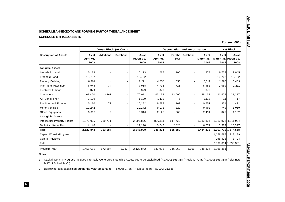|                            |                  |                          |                              |                            |                 |                  |                           |                                      | <b>Net Block</b>                                                                                      |
|----------------------------|------------------|--------------------------|------------------------------|----------------------------|-----------------|------------------|---------------------------|--------------------------------------|-------------------------------------------------------------------------------------------------------|
| As at<br>April 01,<br>2008 | <b>Additions</b> | <b>Deletions</b>         | As at<br>March 31,<br>2009   | As at<br>April 01,<br>2008 | For the<br>Year | <b>Deletions</b> | As at<br>March 31<br>2009 | As at<br>2009                        | As at<br>2008                                                                                         |
|                            |                  |                          |                              |                            |                 |                  |                           |                                      |                                                                                                       |
| 10,113                     |                  |                          | 10,113                       | 268                        | 106             |                  | 374                       | 9,739                                | 9,845                                                                                                 |
| 12,702                     |                  |                          | 12,702                       |                            |                 |                  |                           | 12,702                               | 12,702                                                                                                |
| 8,291                      |                  |                          | 8,291                        | 4,858                      | 653             |                  | 5,511                     | 2,780                                | 3,433                                                                                                 |
| 6,944                      | 74               |                          | 7,018                        | 4,733                      | 725             |                  | 5,458                     | 1,560                                | 2,211                                                                                                 |
| 379                        |                  | $\blacksquare$           | 379                          | 379                        |                 |                  | 379                       |                                      |                                                                                                       |
| 67,450                     | 3,161            | $\overline{\phantom{a}}$ | 70,611                       | 46,133                     | 13,000          |                  | 59,133                    | 11,478                               | 21,317                                                                                                |
| 1,129                      |                  | $\blacksquare$           | 1,129                        | 1,112                      | 6               |                  | 1,118                     | 11                                   | 17                                                                                                    |
| 10,110                     | 72               |                          | 10,182                       | 9,689                      | 162             |                  | 9,851                     | 331                                  | 421                                                                                                   |
| 10,242                     |                  |                          | 10,242                       | 9,173                      | 320             |                  | 9,493                     | 749                                  | 1,069                                                                                                 |
| 3,307                      | 9                |                          | 3,316                        | 2,125                      | 366             |                  | 2,491                     | 825                                  | 1,182                                                                                                 |
|                            |                  |                          |                              |                            |                 |                  |                           |                                      |                                                                                                       |
| 1,978,035                  | 719,771          |                          | 2,697,806                    | 866,111                    | 517,723         |                  | 1,383,834                 |                                      |                                                                                                       |
| 14,140                     |                  |                          | 14,140                       | 3,743                      | 2,828           |                  | 6,571                     | 7,569                                | 10,397                                                                                                |
| 2,122,842                  | 723,087          |                          | 2,845,929                    | 948,324                    | 535,889         |                  | 1,484,213                 |                                      |                                                                                                       |
|                            |                  |                          |                              |                            |                 |                  |                           |                                      | 213,139                                                                                               |
|                            |                  |                          |                              |                            |                 |                  |                           | 288,415                              | 8,724                                                                                                 |
|                            |                  |                          |                              |                            |                 |                  |                           |                                      |                                                                                                       |
| 1,455,681                  | 672,894          | 5,733                    | 2,122,842                    | 632,971                    | 316,962         | 1,609            | 948,324                   | 1,396,381                            |                                                                                                       |
|                            |                  |                          | <b>Gross Block (At Cost)</b> |                            |                 |                  |                           | <b>Depreciation and Amortisation</b> | March 31, March 31.<br>1,313,972 1,111,924<br>1,361,716 1,174,518<br>1,158,683<br>2,808,814 1,396,381 |

# 37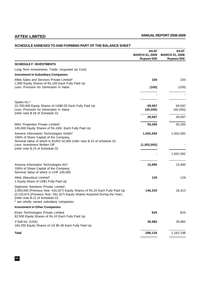|                                                                                                                                                                                                                                                                               | <b>ASAT</b><br><b>MARCH 31, 2009</b><br>Rupees'000 | <b>ASAT</b><br><b>MARCH 31, 2008</b><br>Rupees'000 |
|-------------------------------------------------------------------------------------------------------------------------------------------------------------------------------------------------------------------------------------------------------------------------------|----------------------------------------------------|----------------------------------------------------|
| <b>SCHEDULE F: INVESTMENTS</b>                                                                                                                                                                                                                                                |                                                    |                                                    |
| Long Term Investments, Trade, Unquoted (at Cost)                                                                                                                                                                                                                              |                                                    |                                                    |
| <b>Investment in Subsidiary Companies</b>                                                                                                                                                                                                                                     |                                                    |                                                    |
| Aftek Sales and Services Private Limited*<br>1,000 Equity Shares of Rs.100 Each Fully Paid Up                                                                                                                                                                                 | 100                                                | 100                                                |
| Less: Provision for Diminution in Value                                                                                                                                                                                                                                       | (100)                                              | (100)                                              |
| Opdex Inc.*                                                                                                                                                                                                                                                                   |                                                    |                                                    |
| 31,700,000 Equity Shares of US\$0.05 Each Fully Paid Up<br>Less: Provision for Diminution in Value<br>(refer note B.18 of Schedule O)                                                                                                                                         | 69,597<br>(40,000)                                 | 69,597<br>(40,000)                                 |
|                                                                                                                                                                                                                                                                               | 29,597                                             | 29,597                                             |
| Mihir Properties Private Limited*<br>145,000 Equity Shares of Rs.100/- Each Fully Paid Up                                                                                                                                                                                     | 55,265                                             | 55,265                                             |
| Arexera Information Technologies Gmbh*<br>100% of Share Capital of the Company,<br>Nominal Value of which is EURO 52,000 (refer note B.15 of schedule O)                                                                                                                      | 1,002,092                                          | 1,002,092                                          |
| Less: Investment Written Off<br>(refer note B.15 of Schedule O)                                                                                                                                                                                                               | (1,002,092)                                        |                                                    |
|                                                                                                                                                                                                                                                                               |                                                    | 1,002,092                                          |
| Arexera Information Technologies AG*<br>100% of Share Capital of the Company,<br>Nominal Value of which is CHF 100,000                                                                                                                                                        | 15,995                                             | 15,995                                             |
| Aftek (Mauritius) Limited*<br>1 Equity Share of US\$1 Fully Paid Up                                                                                                                                                                                                           | 129                                                | 129                                                |
| Digihome Solutions Private Limited<br>2,550,000 (Previous Year: 416,327) Equity Shares of Rs.10 Each Fully Paid Up<br>(2,133,673 (Previous Year: 291,327) Equity Shares Acquired During the Year)<br>(refer note B.21 of Schedule O)<br>are wholly owned subsidiary companies | 146,333                                            | 18,313                                             |
| <b>Investment in Other Companies</b>                                                                                                                                                                                                                                          |                                                    |                                                    |
| Elven Technologies Private Limited<br>82,500 Equity Shares of Rs.10 Each Fully Paid Up                                                                                                                                                                                        | 825                                                | 825                                                |
| V Soft Inc. (USA)<br>164,250 Equity Shares of US \$5.48 Each Fully Paid Up                                                                                                                                                                                                    | 39,982                                             | 39,982                                             |
| <b>Total</b>                                                                                                                                                                                                                                                                  | 288,126                                            | 1,162,198                                          |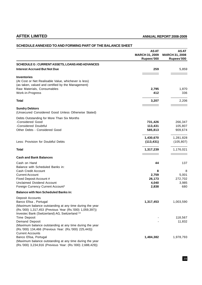|                                                                                                                       | <b>ASAT</b><br><b>MARCH 31, 2009</b><br>Rupees'000 | <b>ASAT</b><br><b>MARCH 31, 2008</b><br>Rupees'000 |
|-----------------------------------------------------------------------------------------------------------------------|----------------------------------------------------|----------------------------------------------------|
| SCHEDULE G: CURRENT ASSETS, LOANS AND ADVANCES                                                                        |                                                    |                                                    |
| <b>Interest Accrued But Not Due</b>                                                                                   | 259                                                | 5,859                                              |
| <b>Inventories</b>                                                                                                    |                                                    |                                                    |
| (At Cost or Net Realisable Value, whichever is less)                                                                  |                                                    |                                                    |
| (as taken, valued and certified by the Management)                                                                    |                                                    |                                                    |
| Raw Materials, Consumables                                                                                            | 2,795                                              | 1,870                                              |
| Work-in-Progress                                                                                                      | 412                                                | 336                                                |
| Total                                                                                                                 | 3,207                                              | 2,206                                              |
| <b>Sundry Debtors</b>                                                                                                 |                                                    |                                                    |
| (Unsecured Considered Good Unless Otherwise Stated)                                                                   |                                                    |                                                    |
| Debts Outstanding for More Than Six Months                                                                            |                                                    |                                                    |
| -Considered Good                                                                                                      | 731,426                                            | 266,347                                            |
| -Considered Doubtful                                                                                                  | 113,431                                            | 105,807                                            |
| Other Debts - Considered Good                                                                                         | 585,813                                            | 909,674                                            |
|                                                                                                                       | 1,430,670                                          | 1,281,828                                          |
| Less: Provision for Doubtful Debts                                                                                    | (113, 431)                                         | (105, 807)                                         |
| Total                                                                                                                 | 1,317,239                                          | 1,176,021                                          |
| <b>Cash and Bank Balances</b>                                                                                         |                                                    |                                                    |
| Cash on Hand                                                                                                          | 44                                                 | 137                                                |
| Balance with Scheduled Banks in:                                                                                      |                                                    |                                                    |
| Cash Credit Account                                                                                                   | 8                                                  | 8                                                  |
| <b>Current Account</b>                                                                                                | 2,759                                              | 5,001                                              |
| Fixed Deposit Account #                                                                                               | 26,173                                             | 272,702                                            |
| <b>Unclaimed Dividend Account</b>                                                                                     | 4,040                                              | 3,985                                              |
| Foreign Currency Current Account*                                                                                     | 2,838                                              | 680                                                |
| <b>Balance with Non Scheduled Banks in:</b>                                                                           |                                                    |                                                    |
| Deposit Accounts                                                                                                      |                                                    |                                                    |
| Banco Efisa, Portugal                                                                                                 | 1,317,453                                          | 1,003,590                                          |
| (Maximum balance outstanding at any time during the year<br>(Rs.'000) 1,317,453 (Previous Year (Rs.'000) 1,059,397))  |                                                    |                                                    |
| Investec Bank (Switzerland) AG, Switzerland **                                                                        |                                                    |                                                    |
| Time Deposit                                                                                                          |                                                    | 118,567                                            |
| Demand Deposit                                                                                                        |                                                    | 11,832                                             |
| (Maximum balance outstanding at any time during the year                                                              |                                                    |                                                    |
| (Rs.'000) 134,466 (Previous Year: (Rs.'000) 225,443))                                                                 |                                                    |                                                    |
| <b>Current Accounts</b>                                                                                               |                                                    |                                                    |
| Banco Efisa, Portugal                                                                                                 | 1,484,382                                          | 1,978,793                                          |
| (Maximum balance outstanding at any time during the year<br>(Rs.'000) 3,234,916 (Previous Year: (Rs.'000) 2,688,429)) |                                                    |                                                    |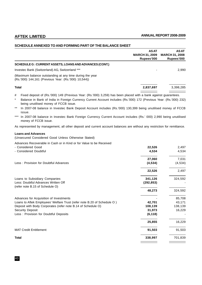|                                                                                                                  | <b>ASAT</b><br><b>MARCH 31, 2009</b><br>Rupees'000 | <b>ASAT</b><br><b>MARCH 31, 2008</b><br>Rupees'000 |
|------------------------------------------------------------------------------------------------------------------|----------------------------------------------------|----------------------------------------------------|
| SCHEDULE G: CURRENT ASSETS, LOANS AND ADVANCES (CONT.)                                                           |                                                    |                                                    |
| Investec Bank (Switzerland) AG, Switzerland ***                                                                  |                                                    | 2.990                                              |
| (Maximum balance outstanding at any time during the year<br>(Rs.'000) 144,161 (Previous Year: (Rs.'000) 10,544)) |                                                    |                                                    |
| <b>Total</b>                                                                                                     | 2,837,697                                          | 3,398,285                                          |

# Fixed deposit of (Rs.'000) 149 (Previous Year: (Rs.'000) 3,259) has been placed with a bank against guarantees.

\* Balance in Bank of India in Foreign Currency Current Account includes (Rs.'000) 172 (Previous Year: (Rs.'000) 232) being unutilised money of FCCB issue.

\*\* In 2007-08 balance in Investec Bank Deposit Account includes (Rs.'000) 130,399 being unutilised money of FCCB issue.

\*\*\* In 2007-08 balance in Investec Bank Foreign Currency Current Account includes (Rs.' 000) 2,990 being unutilised money of FCCB issue.

As represented by management, all other deposit and current account balances are without any restriction for remittance.

# **Loans and Advances**

(Unsecured Considered Good Unless Otherwise Stated)

Advances Recoverable in Cash or in Kind or for Value to be Received

| - Considered Good                                                       | 22,526     | 2,497    |
|-------------------------------------------------------------------------|------------|----------|
| - Considered Doubtful                                                   | 4,534      | 4,534    |
|                                                                         | 27,060     | 7,031    |
| Less: Provision for Doubtful Advances                                   | (4, 534)   | (4, 534) |
|                                                                         | 22,526     | 2,497    |
| Loans to Subsidiary Companies                                           | 341,126    | 324,592  |
| Less: Doubtful Advances Written Off                                     | (292, 853) |          |
| (refer note B.15 of Schedule O)                                         | 48,273     | 324,592  |
| Advances for Acquisition of Investments                                 |            | 85,708   |
| Loans to Aftek Employees' Welfare Trust (refer note B.20 of Schedule O) | 42,701     | 43,171   |
| Deposit with Body Corporates (refer note B.14 of Schedule O)            | 108,139    | 138,139  |
| <b>Security Deposit</b>                                                 | 31,973     | 16,229   |
| Less: Provision for Doubtful Deposits                                   | (6, 118)   |          |
|                                                                         | 25,855     | 16,229   |
| <b>MAT Credit Entitlement</b>                                           | 91,503     | 91,503   |
| <b>Total</b>                                                            | 338,997    | 701,839  |
|                                                                         |            |          |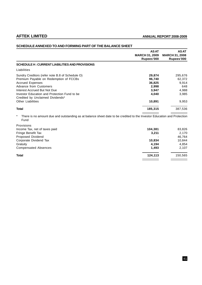|                                                                                                                                           | <b>ASAT</b><br><b>MARCH 31, 2009</b><br>Rupees'000 | <b>ASAT</b><br><b>MARCH 31, 2008</b><br>Rupees'000 |
|-------------------------------------------------------------------------------------------------------------------------------------------|----------------------------------------------------|----------------------------------------------------|
| SCHEDULE H: CURRENT LIABILITIES AND PROVISIONS                                                                                            |                                                    |                                                    |
| Liabilities                                                                                                                               |                                                    |                                                    |
| Sundry Creditors (refer note B.8 of Schedule O)                                                                                           | 29,874                                             | 295,676                                            |
| Premium Payable on Redemption of FCCBs                                                                                                    | 96,740                                             | 62,372                                             |
| <b>Accrued Expenses</b>                                                                                                                   | 36,825                                             | 9,914                                              |
| <b>Advance from Customers</b>                                                                                                             | 2,998                                              | 648                                                |
| Interest Accrued But Not Due                                                                                                              | 3,947                                              | 4,988                                              |
| Investor Education and Protection Fund to be<br>Credited by Unclaimed Dividends*                                                          | 4,040                                              | 3,985                                              |
| <b>Other Liabilities</b>                                                                                                                  | 10,891                                             | 9,953                                              |
| <b>Total</b>                                                                                                                              | 185,315                                            | 387,536                                            |
| $\ast$<br>There is no amount due and outstanding as at balance sheet date to be credited to the Investor Education and Protection<br>Fund |                                                    |                                                    |
| Provisions                                                                                                                                |                                                    |                                                    |
| Income Tax, net of taxes paid                                                                                                             | 104,381                                            | 83,826                                             |
| Fringe Benefit Tax                                                                                                                        | 3,211                                              | 2,170                                              |
| Proposed Dividend                                                                                                                         |                                                    | 46,764                                             |
| Corporate Dividend Tax                                                                                                                    | 10,834                                             | 10,844                                             |
| Gratuity                                                                                                                                  | 4,194                                              | 4,854                                              |
| <b>Compensated Absences</b>                                                                                                               | 1,493                                              | 2,107                                              |
| <b>Total</b>                                                                                                                              | 124,113                                            | 150,565                                            |

# **SCHEDULE ANNEXED TO AND FORMING PART OF THE BALANCE SHEET**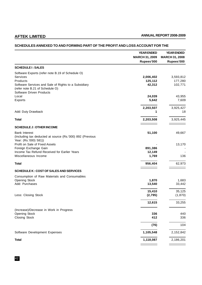# **SCHEDULES ANNEXED TO AND FORMING PART OF THE PROFIT AND LOSS ACCOUNT FOR THE**

|                                                                                                                                                                            | <b>YEAR ENDED</b><br><b>MARCH 31, 2009</b><br>Rupees'000 | <b>YEAR ENDED</b><br><b>MARCH 31, 2008</b><br>Rupees'000 |
|----------------------------------------------------------------------------------------------------------------------------------------------------------------------------|----------------------------------------------------------|----------------------------------------------------------|
| <b>SCHEDULE I: SALES</b>                                                                                                                                                   |                                                          |                                                          |
| Software Exports (refer note B.19 of Schedule O)<br><b>Services</b><br>Products<br>Software Services and Sale of Rights to a Subsidiary<br>(refer note B.21 of Schedule O) | 2,006,402<br>125,112<br>42,312                           | 3,593,812<br>177,280<br>102,771                          |
| <b>Software Driven Products</b><br>Local                                                                                                                                   | 24,039                                                   | 43,955                                                   |
| Exports                                                                                                                                                                    | 5,642                                                    | 7,609                                                    |
| Add: Duty Drawback                                                                                                                                                         | 2,203,507<br>1                                           | 3,925,427<br>18                                          |
| <b>Total</b>                                                                                                                                                               | 2,203,508                                                | 3,925,445                                                |
| <b>SCHEDULE J: OTHER INCOME</b>                                                                                                                                            |                                                          |                                                          |
| <b>Bank Interest</b><br>(Including tax deducted at source (Rs.'000) 892 (Previous<br>Year: (Rs.'000) 581))                                                                 | 51,100                                                   | 49,667                                                   |
| Profit on Sale of Fixed Assets<br>Foreign Exchange Gain<br>Income Tax Refund Received for Earlier Years                                                                    | 891,386<br>12,149                                        | 13,170                                                   |
| Miscellaneous Income                                                                                                                                                       | 1,769                                                    | 136                                                      |
| <b>Total</b>                                                                                                                                                               | 956,404                                                  | 62,973                                                   |
| <b>SCHEDULE K: COST OF SALES AND SERVICES</b>                                                                                                                              |                                                          |                                                          |
| Consumption of Raw Materials and Consumables<br><b>Opening Stock</b><br>Add: Purchases                                                                                     | 1,870<br>13,540                                          | 1,683<br>33,442                                          |
| Less: Closing Stock                                                                                                                                                        | 15,410<br>(2,795)                                        | 35,125<br>(1,870)                                        |
|                                                                                                                                                                            | 12,615                                                   | 33,255                                                   |
| (Increase)/Decrease in Work in Progress<br><b>Opening Stock</b><br><b>Closing Stock</b>                                                                                    | 336<br>412                                               | 440<br>336                                               |
|                                                                                                                                                                            | (76)                                                     | 104                                                      |
| Software Development Expenses                                                                                                                                              | 1,105,548                                                | 2,152,842                                                |
| <b>Total</b>                                                                                                                                                               | 1,118,087                                                | 2,186,201                                                |
|                                                                                                                                                                            |                                                          |                                                          |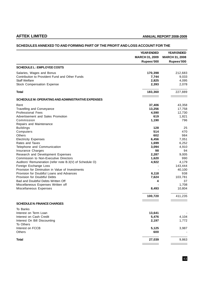# **SCHEDULES ANNEXED TO AND FORMING PART OF THE PROFIT AND LOSS ACCOUNT FOR THE**

|                                                                           | <b>YEAR ENDED</b>                   | <b>YEAR ENDED</b>                   |
|---------------------------------------------------------------------------|-------------------------------------|-------------------------------------|
|                                                                           | <b>MARCH 31, 2009</b><br>Rupees'000 | <b>MARCH 31, 2008</b><br>Rupees'000 |
| <b>SCHEDULE L: EMPLOYEE COSTS</b>                                         |                                     |                                     |
| Salaries, Wages and Bonus                                                 | 170,398                             | 212,683                             |
| Contribution to Provident Fund and Other Funds                            | 7,744                               | 9,033                               |
| <b>Staff Welfare</b>                                                      | 2,825                               | 4,095                               |
| <b>Stock Compensation Expense</b>                                         | 2,393                               | 2,078                               |
| <b>Total</b>                                                              | 183,360                             | 227,889                             |
| SCHEDULE M: OPERATING AND ADMINISTRATIVE EXPENSES                         |                                     |                                     |
|                                                                           |                                     |                                     |
| Rent                                                                      | 37,406                              | 43,358                              |
| Travelling and Conveyance<br><b>Professional Fees</b>                     | 13,256                              | 17,758                              |
| Advertisement and Sales Promotion                                         | 4,590<br>619                        | 12,730<br>1,821                     |
| Commission                                                                |                                     | 796                                 |
|                                                                           | 1,190                               |                                     |
| Repairs and Maintenance<br><b>Buildings</b>                               | 128                                 | 25                                  |
| Computers                                                                 | 514                                 | 470                                 |
| <b>Others</b>                                                             | 602                                 | 984                                 |
| <b>Electricity Expenses</b>                                               | 6,456                               | 7,051                               |
| Rates and Taxes                                                           | 1,699                               | 6,252                               |
| Telephone and Communication                                               | 3,094                               | 4,910                               |
| Insurance Charges                                                         | 98                                  | 94                                  |
| Research and Development Expenses                                         | 2,287                               | 9,005                               |
| Commission to Non-Executive Directors                                     | 1,620                               | 990                                 |
| Auditors' Remuneration (refer note B.3(V) of Schedule O)                  | 4,922                               | 4,179                               |
|                                                                           |                                     |                                     |
| Foreign Exchange Loss<br>Provision for Diminution in Value of Investments |                                     | 143,444                             |
|                                                                           |                                     | 40,100                              |
| Provision for Doubtful Loans and Advances                                 | 6,118                               | 938                                 |
| Provision for Doubtful Debts                                              | 7,624                               | 103,781                             |
| Bad and Doubtful Debts Written Off                                        | 4                                   | 37                                  |
| Miscellaneous Expenses Written off<br>Miscellaneous Expenses              | 8,493                               | 1,708<br>10,804                     |
|                                                                           | 100,720                             | 411,235                             |
|                                                                           |                                     |                                     |
| <b>SCHEDULE N: FINANCE CHARGES</b>                                        |                                     |                                     |
| To Banks                                                                  |                                     |                                     |
| Interest on Term Loan                                                     | 13,641                              |                                     |
| Interest on Cash Credit                                                   | 5,476                               | 4,104                               |
| Interest On Bill Discounting<br>To Others                                 | 2,197                               | 1,772                               |
| Interest on FCCB                                                          | 5,125                               | 3,987                               |
| <b>Others</b>                                                             | 600                                 |                                     |
| <b>Total</b>                                                              | 27,039                              | 9,863                               |
|                                                                           |                                     |                                     |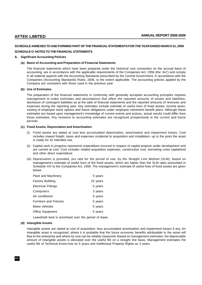# **SCHEDULE ANNEXED TO AND FORMING PART OF THE FINANCIAL STATEMENTS FOR THE YEAR ENDED MARCH 31, 2009**

# **SCHEDULE O: NOTES TO THE FINANCIAL STATEMENTS**

# **A. Significant Accounting Policies**

### **(a) Basis of Accounting and Preparation of Financial Statements**

The financial statements which have been prepared under the historical cost convention on the accrual basis of accounting, are in accordance with the applicable requirements of the Companies Act, 1956 (the 'Act') and comply in all material aspects with the Accounting Standards prescribed by the Central Government, in accordance with the Companies (Accounting Standards) Rules, 2006, to the extent applicable. The accounting policies applied by the Company are consistent with those used in the previous year.

### **(b) Use of Estimates**

The preparation of the financial statements in conformity with generally accepted accounting principles requires management to make estimates and assumptions that affect the reported amounts of assets and liabilities, disclosure of contingent liabilities as at the date of financial statements and the reported amounts of revenues and expenses during the reporting year. Key estimates include estimate of useful lives of fixed assets, income taxes, vesting of employee stock options and future obligations under employee retirement benefit plans. Although these estimates are based upon management's knowledge of current events and actions, actual results could differ from those estimates. Any revisions to accounting estimates are recognized prospectively in the current and future periods.

### **(c) Fixed Assets, Depreciation and Amortisation**

- (i) Fixed assets are stated at cost less accumulated depreciation, amortisation and impairment losses. Cost includes inward freight, taxes and expenses incidental to acquisition and installation, up to the point the asset is ready for its intended use.
- (ii) Capital work in progress represents expenditure incurred in respect of capital projects under development and are carried at cost. Cost includes related acquisition expenses, construction cost, borrowing costs capitalized and other direct expenditure
- (iii) Depreciation is provided, pro rata for the period of use, by the Straight Line Method (SLM), based on management's estimate of useful lives of the fixed assets, which are higher than the SLM rates prescribed in Schedule XIV to the Companies Act, 1956. The management's estimate of useful lives of fixed assets are given below:

| <b>Plant and Machinery</b>    | 5 years  |
|-------------------------------|----------|
| <b>Factory Building</b>       | 15 years |
| <b>Electrical Fittings</b>    | 5 years  |
| Computers                     | 3 years  |
| Air conditioner               | 5 years  |
| <b>Furniture and Fixtures</b> | 5 years  |
| Motor Vehicles                | 5 years  |
| Office Equipment              | 5 years  |
|                               |          |

Leasehold land is amortised over the period of lease.

### **(d) Intangible Assets**

Intangible assets are stated at cost of acquisition, less accumulated amortisation and impairment losses if any. An intangible asset is recognized, where it is probable that the future economic benefits attributable to the asset will flow to the enterprise and where its cost can be reliably measured. Based on management estimates, the depreciable amount of intangible assets is allocated over the useful life on a straight line basis. Management estimates the useful life of Technical Know-how as 5 years and Intellectual Property Rights as 3 years.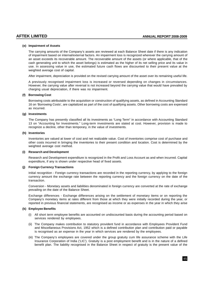# **(e) Impairment of Assets**

The carrying amounts of the Company's assets are reviewed at each Balance Sheet date if there is any indication of impairment based on internal/external factors. An impairment loss is recognized wherever the carrying amount of an asset exceeds its recoverable amount. The recoverable amount of the assets (or where applicable, that of the cash generating unit to which the asset belongs) is estimated as the higher of its net selling price and its value in use. In assessing value in use, the estimated future cash flows are discounted to their present value at the weighted average cost of capital.

After impairment, depreciation is provided on the revised carrying amount of the asset over its remaining useful life.

A previously recognised impairment loss is increased or reversed depending on changes in circumstances. However, the carrying value after reversal is not increased beyond the carrying value that would have prevailed by charging usual depreciation, if there was no impairment.

# **(f) Borrowing Cost**

Borrowing costs attributable to the acquisition or construction of qualifying assets, as defined in Accounting Standard 16 on 'Borrowing Costs', are capitalized as part of the cost of qualifying assets. Other borrowing costs are expensed as incurred.

# **(g) Investments**

The Company has presently classified all its investments as "Long Term" in accordance with Accounting Standard 13 on "Accounting for Investments." Long-term investments are stated at cost. However, provision is made to recognize a decline, other than temporary, in the value of investments.

# **(h) Inventories**

Inventories are valued at lower of cost and net realizable value. Cost of inventories comprise cost of purchase and other costs incurred in bringing the inventories to their present condition and location. Cost is determined by the weighted average cost method.

# **(i) Research and Development**

Research and Development expenditure is recognized in the Profit and Loss Account as and when incurred. Capital expenditure, if any is shown under respective head of fixed assets.

# **(j) Foreign Currency Transactions**

Initial recognition - Foreign currency transactions are recorded in the reporting currency, by applying to the foreign currency amount the exchange rate between the reporting currency and the foreign currency on the date of the transaction.

Conversion - Monetary assets and liabilities denominated in foreign currency are converted at the rate of exchange prevailing on the date of the Balance Sheet.

Exchange differences - Exchange differences arising on the settlement of monetary items or on reporting the Company's monetary items at rates different from those at which they were initially recorded during the year, or reported in previous financial statements, are recognised as income or as expenses in the year in which they arise

# **(k) Employee Benefits**

- (i) All short term employee benefits are accounted on undiscounted basis during the accounting period based on services rendered by employees.
- (ii) The Company makes contribution to statutory provident fund in accordance with Employees Provident Fund and Miscellaneous Provisions Act, 1952 which is a defined contribution plan and contribution paid or payable is recognised as an expense in the year in which services are rendered by the employees.
- (iii) The Company's employees are covered under the group gratuity cum life assurance scheme with the Life Insurance Corporation of India ('LIC'). Gratuity is a post employment benefit and is in the nature of a defined benefit plan. The liability recognised in the Balance Sheet in respect of gratuity is the present value of the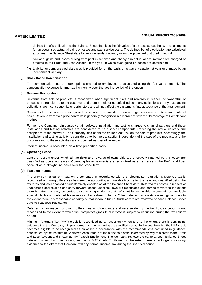defined benefit/ obligation at the Balance Sheet date less the fair value of plan assets, together with adjustments for unrecognised actuarial gains or losses and past service costs. The defined benefit/ obligation are calculated at or near the Balance Sheet date by an independent actuary using the projected unit credit method.

Actuarial gains and losses arising from past experience and changes in actuarial assumptions are charged or credited to the Profit and Loss Account in the year in which such gains or losses are determined.

(iv) Liability for compensated absences is provided for on the basis of actuarial valuation at year-end, made by an independent actuary.

### **(l) Stock Based Compensation**

The compensation cost of stock options granted to employees is calculated using the fair value method. The compensation expense is amortized uniformly over the vesting period of the option.

## **(m) Revenue Recognition**

Revenue from sale of products is recognized when significant risks and rewards in respect of ownership of products are transferred to the customer and there are either no unfulfilled company obligations or any outstanding obligations are inconsequential or perfunctory and will not affect the customer's final acceptance of the arrangement.

Revenues from services are recognized as services are provided when arrangements are on a time and material basis. Revenue from fixed price contracts is generally recognised in accordance with the "Percentage of Completion" method.

Further, the Company reimburses certain software installation and testing charges to channel partners and these installation and testing activities are considered to be distinct components preceding the actual delivery and acceptance of the software. The Company also bears the entire credit risk on the sale of products. Accordingly, the installation and testing activity is considered to be the transaction independent of the sale of the products and the costs relating to these activities are accounted as cost of revenues.

Interest income is accounted on a time proportion basis.

### **(n) Operating Lease**

Lease of assets under which all the risks and rewards of ownership are effectively retained by the lessor are classified as operating leases. Operating lease payments are recognized as an expense in the Profit and Loss Account on a straight-line basis over the lease term.

# **(o) Taxes on Income**

The provision for current taxation is computed in accordance with the relevant tax regulations. Deferred tax is recognised on timing differences between the accounting and taxable income for the year and quantified using the tax rates and laws enacted or substantively enacted as at the Balance Sheet date. Deferred tax assets in respect of unabsorbed depreciation and carry forward losses under tax laws are recognised and carried forward to the extent there is virtual certainty supported by convincing evidence that sufficient future taxable income will be available against which such deferred tax assets can be realised in future. Other deferred tax assets are recognised only to the extent there is a reasonable certainty of realisation in future. Such assets are reviewed at each Balance Sheet date to reassess realisation.

Deferred tax in respect of timing differences which originate and reverse during the tax holiday period is not recognized to the extent to which the Company's gross total income is subject to deduction during the tax holiday period.

Minimum Alternate Tax (MAT) credit is recognized as an asset only when and to the extent there is convincing evidence that the Company will pay normal income tax during the specified period. In the year in which the MAT credit becomes eligible to be recognized as an asset in accordance with the recommendations contained in guidance note issued by the Institute of Chartered Accountants of India, the said asset is created by way of a credit to the Profit and Loss Account and shown as MAT Credit Entitlement. The Company reviews the same at each Balance Sheet date and writes down the carrying amount of MAT Credit Entitlement to the extent there is no longer convincing evidence to the effect that Company will pay normal Income Tax during the specified period.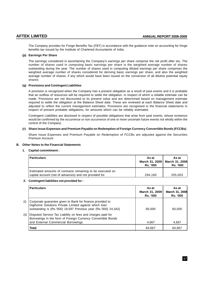The Company provides for Fringe Benefits Tax (FBT) in accordance with the guidance note on accounting for fringe benefits tax issued by the Institute of Chartered Accountants of India.

# **(p) Earnings Per Share**

The earnings considered in ascertaining the Company's earnings per share comprise the net profit after tax. The number of shares used in computing basic earnings per share is the weighted average number of shares outstanding during the year. The number of shares used in computing diluted earnings per share comprises the weighted average number of shares considered for deriving basic earnings per share, and also the weighted average number of shares, if any which would have been issued on the conversion of all dilutive potential equity shares

# **(q) Provisions and Contingent Liabilities**

A provision is recognized when the Company has a present obligation as a result of past events and it is probable that an outflow of resources will be required to settle the obligation, in respect of which a reliable estimate can be made. Provisions are not discounted to its present value and are determined based on management estimate required to settle the obligation at the Balance Sheet date. These are reviewed at each Balance Sheet date and adjusted to reflect the current management estimates. Provisions are recognised in the financial statements in respect of present probable obligations, for amounts which can be reliably estimated.

Contingent Liabilities are disclosed in respect of possible obligations that arise from past events, whose existence would be confirmed by the occurrence or non occurrence of one or more uncertain future events not wholly within the control of the Company.

### **(r) Share Issue Expenses and Premium Payable on Redemption of Foreign Currency Convertible Bonds (FCCBs)**

Share Issue Expenses and Premium Payable on Redemption of FCCBs are adjusted against the Securities Premium Account.

# **B. Other Notes to the Financial Statements**

### **1. Capital commitment :**

| <b>Particulars</b>                                                                                                    | As at<br>March 31, 2009<br><b>Rs. '000</b> | As at<br>March 31, 2008<br><b>Rs. '000</b> |
|-----------------------------------------------------------------------------------------------------------------------|--------------------------------------------|--------------------------------------------|
| Estimated amounts of contracts remaining to be executed on<br>capital account (net of advances) and not provided for. | 294.160                                    | 255,003                                    |

# **2. Contingent liabilities not provided for :**

|      | <b>Particulars</b>                                                                                                                                                                    | As at<br>March 31, 2009<br><b>Rs. '000</b> | As at<br>March 31, 2008<br><b>Rs. '000</b> |
|------|---------------------------------------------------------------------------------------------------------------------------------------------------------------------------------------|--------------------------------------------|--------------------------------------------|
| (i)  | Corporate guarantee given to Bank for finance provided to<br>Digihome Solutions Private Limited against which loan<br>outstanding is (Rs.'000) 19,597 Previous year (Rs.'000) 24,342} | 80.000                                     | 60.000                                     |
| (ii) | Disputed Service Tax Liability on fees and charges paid for<br>Borrowings in the form of Foreign Currency Convertible Bonds<br>and External Commercial Borrowings                     | 4,667                                      | 4,667                                      |
|      | <b>Total</b>                                                                                                                                                                          | 84,667                                     | 64,667                                     |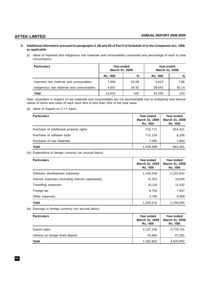# **3. Additional information pursuant to paragraphs 3, 4B and 4D of Part II of Schedule VI to the Companies Act, 1956, as applicable**

(i) Value of imported and indigenous raw materials and consumables consumed and percentage of each to total consumption:

| <b>Particulars</b>                      | Year ended<br>March 31, 2009 |       | Year ended<br>March 31, 2008 |       |
|-----------------------------------------|------------------------------|-------|------------------------------|-------|
|                                         | <b>Rs. '000</b>              | %     | <b>Rs. '000</b>              | %     |
| Imported raw material and consumables   | 7,958                        | 63.08 | 2,613                        | 7.86  |
| Indigenous raw material and consumables | 4.657                        | 36.92 | 30,642                       | 92.14 |
| <b>Total</b>                            | 12.615                       | 100   | 33.255                       | 100   |

Note: Quantities in respect of raw materials and consumables are not ascertainable due to multiplicity and diverse nature of items and value of each such item is less than 10% of the total value.

(ii) Value of imports on C.I.F basis:

| <b>Particulars</b>                       | Year ended<br>March 31, 2009<br><b>Rs. '000</b> | Year ended<br>March 31, 2008<br>Rs. '000 |
|------------------------------------------|-------------------------------------------------|------------------------------------------|
| Purchase of intellectual property rights | 719,771                                         | 654,421                                  |
| Purchase of software tools               | 713,130                                         | 6,206                                    |
| Purchase of raw materials                | 7,095                                           | 1,864                                    |
| <b>Total</b>                             | 1,439,996                                       | 662,491                                  |

(iii) Expenditure in foreign currency (on accrual basis):

| <b>Particulars</b>                                 | Year ended<br>March 31, 2009<br><b>Rs. '000</b> | Year ended<br>March 31, 2008<br><b>Rs. '000</b> |
|----------------------------------------------------|-------------------------------------------------|-------------------------------------------------|
| Software development expenses                      | 1,105,548                                       | 2,152,842                                       |
| Interest expenses (including interest capitalized) | 31,051                                          | 19,645                                          |
| Travelling expenses                                | 10,116                                          | 11,532                                          |
| Foreign tax                                        | 8,705                                           | 7,947                                           |
| Other expenses                                     | 3,796                                           | 4,699                                           |
| <b>Total</b>                                       | 1,159,216                                       | 2,196,665                                       |

(iv) Earnings in foreign currency (on accrual basis):

| <b>Particulars</b>                | Year ended<br>March 31, 2009<br><b>Rs. '000</b> | Year ended<br>March 31, 2008<br>Rs. '000 |
|-----------------------------------|-------------------------------------------------|------------------------------------------|
| Export sales                      | 2,137,156                                       | 3,778,701                                |
| Interest on foreign fixed deposit | 45.666                                          | 47,291                                   |
| <b>Total</b>                      | 2,182,822                                       | 3,825,992                                |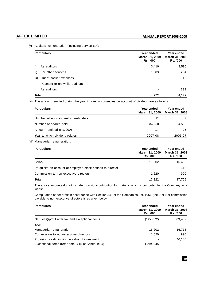(v) Auditors' remuneration (including service tax):

|              | <b>Particulars</b>            | Year ended<br>March 31, 2009<br><b>Rs. '000</b> | Year ended<br>March 31, 2008<br><b>Rs. '000</b> |
|--------------|-------------------------------|-------------------------------------------------|-------------------------------------------------|
|              | As auditors                   | 3,419                                           | 3,596                                           |
| ii)          | For other services            | 1,503                                           | 234                                             |
| iii)         | Out of pocket expenses        | ٠                                               | 10                                              |
|              | Payment to erstwhile auditors |                                                 |                                                 |
|              | As auditors                   | ٠                                               | 339                                             |
| <b>Total</b> |                               | 4,922                                           | 4,179                                           |

(vi) The amount remitted during the year in foreign currencies on account of dividend are as follows:

| <b>Particulars</b>                  | Year ended<br>March 31, 2009 | Year ended<br>March 31, 2008 |
|-------------------------------------|------------------------------|------------------------------|
| Number of non-resident shareholders | 11                           |                              |
| Number of shares held               | 34,250                       | 24,500                       |
| Amount remitted (Rs.'000)           | 17                           | 25                           |
| Year to which dividend relates      | 2007-08                      | 2006-07                      |

(vii) Managerial remuneration:

| <b>Particulars</b>                                          | Year ended<br>March 31, 2009<br><b>Rs. '000</b> | Year ended<br><b>March 31, 2008</b><br><b>Rs. '000</b> |
|-------------------------------------------------------------|-------------------------------------------------|--------------------------------------------------------|
| Salary                                                      | 16.202                                          | 16,400                                                 |
| Perquisite on account of employee stock options to director | $\overline{\phantom{a}}$                        | 315                                                    |
| Commission to non executive directors                       | 1,620                                           | 990                                                    |
| Total                                                       | 17,822                                          | 17.705                                                 |

The above amounts do not include provision/contribution for gratuity, which is computed for the Company as a whole.

Computation of net profit in accordance with Section 349 of the Companies Act, 1956 (the 'Act') for commission payable to non executive directors is as given below:

| <b>Particulars</b>                                | Year ended<br>March 31, 2009<br><b>Rs. '000</b> | Year ended<br>March 31, 2008<br><b>Rs. '000</b> |
|---------------------------------------------------|-------------------------------------------------|-------------------------------------------------|
| Net (loss)/profit after tax and exceptional items | (127, 672)                                      | 809,402                                         |
| Add:                                              |                                                 |                                                 |
| Managerial remuneration                           | 16,202                                          | 16,715                                          |
| Commission to non-executive directors             | 1,620                                           | 990                                             |
| Provision for diminution in value of investment   |                                                 | 40,100                                          |
| Exceptional items (refer note B.15 of Schedule O) | 1,294,945                                       |                                                 |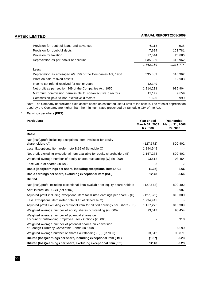| Provision for doubtful loans and advances                    | 6,118     | 938       |
|--------------------------------------------------------------|-----------|-----------|
| Provision for doubtful debts                                 | 7,624     | 103,781   |
| Provision for taxation                                       | 27,544    | 26,886    |
| Depreciation as per books of account                         | 535,889   | 316,962   |
|                                                              | 1,762,269 | 1,315,774 |
| Less:                                                        |           |           |
| Depreciation as envisaged u/s 350 of the Companies Act, 1956 | 535,889   | 316,962   |
| Profit on sale of fixed assets                               |           | 12.908    |
| Income tax refund received for earlier years                 | 12,149    |           |
| Net profit as per section 349 of the Companies Act, 1956     | 1,214,231 | 985,904   |
| Maximum commission permissible to non-executive directors    | 12.142    | 9,859     |
| Commission paid to non executive directors                   | 1,620     | 990       |

Note: The Company depreciates fixed assets based on estimated useful lives of the assets. The rates of depreciation used by the Company are higher than the minimum rates prescribed by Schedule XIV of the Act.

# **4. Earnings per share (EPS):**

| <b>Particulars</b>                                                                                           | Year ended<br>March 31, 2009<br><b>Rs. '000</b> | Year ended<br>March 31, 2008<br><b>Rs. '000</b> |
|--------------------------------------------------------------------------------------------------------------|-------------------------------------------------|-------------------------------------------------|
| <b>Basic</b>                                                                                                 |                                                 |                                                 |
| Net (loss)/profit including exceptional item available for equity<br>shareholders (A)                        | (127, 672)                                      | 809,402                                         |
| Less: Exceptional item (refer note B.15 of Schedule O)                                                       | 1,294,945                                       |                                                 |
| Net profit excluding exceptional item available for equity shareholders (B)                                  | 1,167,273                                       | 809,402                                         |
| Weighted average number of equity shares outstanding (C) (in '000)                                           | 93,512                                          | 93,454                                          |
| Face value of shares (in Rs.)                                                                                | 2                                               | 2                                               |
| Basic (loss)/earnings per share, including exceptional item (A/C)                                            | (1.37)                                          | 8.66                                            |
| Basic earnings per share, excluding exceptional item (B/C)                                                   | 12.48                                           | 8.66                                            |
| <b>Diluted</b>                                                                                               |                                                 |                                                 |
| Net (loss)/profit including exceptional item available for equity share holders                              | (127, 672)                                      | 809,402                                         |
| Add: Interest on FCCB (net of tax)                                                                           |                                                 | 3,987                                           |
| Adjusted profit including exceptional item for diluted earnings per share - (D)                              | (127, 672)                                      | 813,389                                         |
| Less: Exceptional item (refer note B.15 of Schedule O)                                                       | 1,294,945                                       |                                                 |
| Adjusted profit excluding exceptional item for diluted earnings per share $-$ (E)                            | 1,167,273                                       | 813,389                                         |
| Weighted average number of equity shares outstanding (in '000)                                               | 93,512                                          | 93,454                                          |
| Weighted average number of potential shares on<br>account of outstanding Employee Stock Options (in '000)    |                                                 | 318                                             |
| Weighted average number of potential shares on conversion<br>of Foreign Currency Convertible Bonds (in '000) |                                                 | 5,099                                           |
| Weighted average number of shares outstanding - (F) (in '000)                                                | 93,512                                          | 98,871                                          |
| Diluted (loss)/earnings per share, including exceptional item (D/F)                                          | (1.37)                                          | 8.23                                            |
| Diluted (loss)/earnings per share, excluding exceptional item (E/F)                                          | 12.48                                           | 8.23                                            |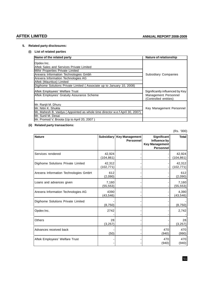# **5. Related party disclosures:**

# **(i) List of related parties**

| Name of the related party                                                                                                                                                                                                                                                        | Nature of relationship                                                           |
|----------------------------------------------------------------------------------------------------------------------------------------------------------------------------------------------------------------------------------------------------------------------------------|----------------------------------------------------------------------------------|
| Opdex Inc.<br>Aftek Sales and Services Private Limited<br>Mihir Properties Private Limited<br>Arexera Information Technologies Gmbh<br>Arexera Information Technologies AG<br>Aftek (Mauritius) Limited<br>Digihome Solutions Private Limited (Associate up to January 10, 2008) | <b>Subsidiary Companies</b>                                                      |
| Aftek Employees' Welfare Trust<br>Aftek Employees' Gratuity Assurance Scheme                                                                                                                                                                                                     | Significantly influenced by Key<br>Management Personnel<br>(Controlled entities) |
| Mr. Ranjit M. Dhuru<br>lMr. Nitin K. Shukla<br>Mr. Mahesh B. Vaidya (Appointed as whole time director w.e.f April 30, 2007)<br>lMr. Sunil M. Desai                                                                                                                               | Key Management Personnel                                                         |
| Mr. Promod V. Broota (Up to April 20, 2007)                                                                                                                                                                                                                                      |                                                                                  |

# **(ii) Related party transactions:**

(Rs. '000)

| <b>Nature</b>                         |                      | Subsidiary   Key Management<br>Personnel | <b>Significant</b><br>Influence by<br><b>Key Management</b><br><b>Personnel</b> | <b>Total</b>         |
|---------------------------------------|----------------------|------------------------------------------|---------------------------------------------------------------------------------|----------------------|
| Services rendered                     | 42,924<br>(104, 861) |                                          |                                                                                 | 42,924<br>(104, 861) |
| Digihome Solutions Private Limited    | 42,312<br>(102,771)  |                                          |                                                                                 | 42,312<br>(102, 771) |
| Arexera Information Technologies GmbH | 612<br>(2,090)       |                                          |                                                                                 | 612<br>(2,090)       |
| Loans and advances given              | 7,160<br>(55, 553)   |                                          |                                                                                 | 7,160<br>(55, 553)   |
| Arexera Information Technologies AG   | 4390<br>(43, 546)    |                                          |                                                                                 | 4,390<br>(43, 546)   |
| Digihome Solutions Private Limited    | (8, 750)             |                                          |                                                                                 | (8, 750)             |
| Opdex Inc.                            | 2742                 |                                          |                                                                                 | 2,742                |
| Others                                | 28<br>(3, 257)       |                                          |                                                                                 | 28<br>(3, 257)       |
| Advances received back                | (50)                 |                                          | 470<br>(940)                                                                    | 470<br>(990)         |
| Aftek Employees' Welfare Trust        |                      |                                          | 470<br>(940)                                                                    | 470<br>(940)         |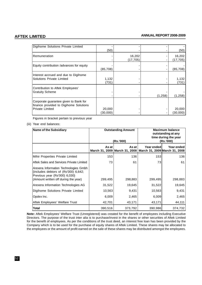| Digihome Solutions Private Limited       |           |           |         |           |
|------------------------------------------|-----------|-----------|---------|-----------|
|                                          |           |           |         |           |
|                                          | (50)      |           |         | (50)      |
| Remuneration                             |           | 16,202    |         | 16,202    |
|                                          |           | (17, 705) |         | (17, 705) |
|                                          |           |           |         |           |
| Equity contribution /advances for equity |           |           |         |           |
|                                          | (85, 708) |           |         | (85,708)  |
| Interest accrued and due to Digihome     |           |           |         |           |
| Solutions Private Limited                | 1,132     |           |         | 1,132     |
|                                          |           |           |         |           |
|                                          | (731)     |           |         | (731)     |
| Contribution to Aftek Employees'         |           |           |         |           |
| <b>Gratuity Scheme</b>                   |           |           |         |           |
|                                          |           |           | (1,258) | (1,258)   |
|                                          |           |           |         |           |
| Corporate guarantee given to Bank for    |           |           |         |           |
| finance provided to Digihome Solutions   |           |           |         |           |
| <b>Private Limited</b>                   | 20,000    |           |         | 20,000    |
|                                          | (30,000)  |           |         | (30,000)  |

Figures in bracket pertain to previous year

# (iii) Year end balances:

| <b>Name of the Subsidiary</b>                                                                                                                            | <b>Outstanding Amount</b> |                                                                      | <b>Maximum balance</b><br>outstanding at any<br>time during the year |            |
|----------------------------------------------------------------------------------------------------------------------------------------------------------|---------------------------|----------------------------------------------------------------------|----------------------------------------------------------------------|------------|
|                                                                                                                                                          | (Rs.'000)                 |                                                                      | (Rs.'000)                                                            |            |
|                                                                                                                                                          | As at                     | As at<br>March 31, 2009 March 31, 2008 March 31, 2009 March 31, 2008 | Year ended                                                           | Year ended |
| Mihir Properties Private Limited                                                                                                                         | 153                       | 136                                                                  | 153                                                                  | 136        |
| Aftek Sales and Services Private Limited                                                                                                                 | 73                        | 61                                                                   | 73                                                                   | 61         |
| Arexera Information Technologies Gmbh<br>{includes debtors of $(Rs'000)$ 6,642;<br>Previous year (Rs'000) 6,030}<br>(Amount written off during the year) | 299,495                   | 298,883                                                              | 299,495                                                              | 298,883    |
| Arexera Information Technologies AG                                                                                                                      | 31,522                    | 19,645                                                               | 31,522                                                               | 19,645     |
| Digihome Solutions Private Limited                                                                                                                       | 10,563                    | 9,431                                                                | 10,563                                                               | 9,431      |
| Opdex Inc.                                                                                                                                               | 6,009                     | 2,465                                                                | 6,009                                                                | 2,465      |
| Aftek Employees' Welfare Trust                                                                                                                           | 42,701                    | 43,171                                                               | 43,171                                                               | 44,111     |
| <b>Total</b>                                                                                                                                             | 390,516                   | 373,792                                                              | 390,986                                                              | 374,732    |

**Note:** Aftek Employees' Welfare Trust (Unregistered) was created for the benefit of employees including Executive Directors. The purpose of the trust inter alia is to purchase/invest in the shares or other securities of Aftek Limited for the benefit of employees. As per the conditions of the trust deed, an interest free loan has been provided by the Company which is to be used for the purchase of equity shares of Aftek Limited. These shares may be allocated to the employees or the amount of profit earned on the sale of these shares may be distributed amongst the employees.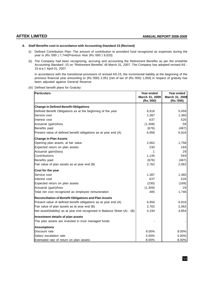# **6. Staff Benefits cost in accordance with Accounting Standard 15 (Revised)**

- (i) Defined Contribution Plan: The amount of contribution to provident fund recognized as expenses during the year is (Rs.'000 ) 7,744{Previous Year (Rs.'000 ) 9,033}
- (ii) The Company had been recognizing, accruing and accounting the Retirement Benefits as per the erstwhile Accounting Standard -15 on "Retirement Benefits" till March 31, 2007. The Company has adopted revised AS - 15 w.e.f. April 01, 2007.

In accordance with the transitional provisions of revised AS-15, the incremental liability at the beginning of the previous financial year amounting to (Rs.'000) 2,051 [net of tax of (Rs.'000) 1,056] in respect of gratuity has been adjusted against General Reserve.

(iii) Defined benefit plans for Gratuity:

| <b>Particulars</b>                                                         | Year ended<br>March 31, 2009<br>(Rs.'000) | Year ended<br>March 31, 2008<br>(Rs.'000) |
|----------------------------------------------------------------------------|-------------------------------------------|-------------------------------------------|
| <b>Change in Defined Benefit Obligations</b>                               |                                           |                                           |
| Defined Benefit Obligations as at the beginning of the year                | 6,916                                     | 5,459                                     |
| Service cost                                                               | 1,387                                     | 1,360                                     |
| Interest cost                                                              | 637                                       | 526                                       |
| Actuarial (gain)/loss                                                      | (1,308)                                   | 58                                        |
| Benefits paid                                                              | (676)                                     | (487)                                     |
| Present value of defined benefit obligations as at year end (A)            | 6,956                                     | 6,916                                     |
| <b>Change in Plan Assets</b>                                               |                                           |                                           |
| Opening plan assets, at fair value                                         | 2,062                                     | 1,758                                     |
| Expected return on plan assets                                             | 230                                       | 169                                       |
| Actuarial gain/(loss)                                                      | 1                                         | 29                                        |
| Contributions                                                              | 1,145                                     | 593                                       |
| Benefits paid                                                              | (676)                                     | (487)                                     |
| Fair value of plan assets as at year end (B)                               | 2,762                                     | 2,062                                     |
| Cost for the year                                                          |                                           |                                           |
| Service cost                                                               | 1,387                                     | 1,360                                     |
| Interest cost                                                              | 637                                       | 526                                       |
| Expected return on plan assets                                             | (230)                                     | (169)                                     |
| Actuarial (gain)/loss                                                      | (1, 309)                                  | 29                                        |
| Total net cost recognized as employee remuneration                         | 485                                       | 1,746                                     |
| Reconciliation of Benefit Obligations and Plan Assets                      |                                           |                                           |
| Present value of defined benefit obligations as at year end (A)            | 6,956                                     | 6,916                                     |
| Fair value of plan assets as at year end (B)                               | 2,762                                     | 2,062                                     |
| Net asset/(liability) as at year end recognised in Balance Sheet (A) - (B) | 4,194                                     | 4,854                                     |
| Investment details of plan assets                                          |                                           |                                           |
| The plan assets are invested in trust managed funds                        |                                           |                                           |
| <b>Assumptions</b>                                                         |                                           |                                           |
| Discount rate                                                              | 8.00%                                     | 8.00%                                     |
| Salary escalation rate                                                     | 5.00%                                     | 5.00%                                     |
| Estimated rate of return on plan assets                                    | 8.00%                                     | 8.00%                                     |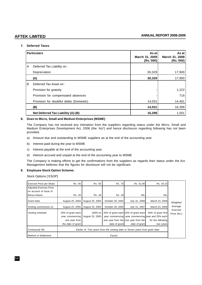# **7. Deferred Taxes**

|   | <b>Particulars</b>                      | As at<br>March 31, 2009<br>(Rs.'000) | As at<br>March 31, 2008<br>(Rs.'000) |
|---|-----------------------------------------|--------------------------------------|--------------------------------------|
| A | Deferred Tax Liability on :             |                                      |                                      |
|   | Depreciation                            | 30,329                               | 17,900                               |
|   | (A)                                     | 30,329                               | 17,900                               |
| B | Deferred Tax Asset on:                  |                                      |                                      |
|   | Provision for gratuity                  |                                      | 1,222                                |
|   | Provision for compensated absences      |                                      | 716                                  |
|   | Provision for doubtful debts (Domestic) | 14,031                               | 14,461                               |
|   | (B)                                     | 14,031                               | 16,399                               |
|   | Net Deferred Tax Liability (A)-(B)      | 16,298                               | 1,501                                |

# **8. Dues to Micro, Small and Medium Enterprises (MSME)**

The Company has not received any intimation from the suppliers regarding status under the Micro, Small and Medium Enterprises Development Act, 2006 (the 'Act') and hence disclosure regarding following has not been provided.

- a) Amount due and outstanding to MSME suppliers as at the end of the accounting year.
- b) Interest paid during the year to MSME
- c) Interest payable at the end of the accounting year.
- d) Interest accrued and unpaid at the end of the accounting year to MSME

The Company is making efforts to get the confirmations from the suppliers as regards their status under the Act. Management believes that the figures for disclosure will not be significant.

# **9. Employee Stock Option Scheme:**

Stock Options [ ESOP]

| Exercise Price per Share | Rs. 56                                                                     | Rs. 56          | Rs. 70                              | Rs. 51.90                           | Rs. 34.15                                         |                         |
|--------------------------|----------------------------------------------------------------------------|-----------------|-------------------------------------|-------------------------------------|---------------------------------------------------|-------------------------|
| Adjusted Exercise Price  |                                                                            |                 |                                     |                                     |                                                   |                         |
| on account of issue of   |                                                                            |                 |                                     |                                     |                                                   |                         |
| Bonus shares             | Rs. 26                                                                     | Rs. 26          | Rs. 40                              | <b>NIL</b>                          | <b>NIL</b>                                        |                         |
| <b>Grant Date</b>        | August 25, 2004                                                            | August 25, 2004 | October 28, 2004                    | July 31, 2006                       | March 24, 2008                                    | Weighted                |
| Vesting commences on     | August 25, 2005                                                            | August 25, 2005 | October 28, 2005                    | July 31, 2007                       | March 24, 2009                                    | Average                 |
| Vesting schedule         | 25% of grant each                                                          | 100% on         | 25% of grant each 25% of grant each |                                     | 50% of grant first                                | Exercise<br>Price (Rs.) |
|                          | year commencing                                                            | August 25, 2005 |                                     |                                     | year commencing vear commencing vear and 25% each |                         |
|                          | one year from                                                              |                 |                                     | one year from the one year from the | for the following                                 |                         |
|                          | the date of grant                                                          |                 | date of grant                       | date of grant                       | two years                                         |                         |
| Contractual life         | Earlier of :Two years from the vesting date or Seven years from grant date |                 |                                     |                                     |                                                   |                         |
| Method of Settlement     | Equity                                                                     |                 |                                     |                                     |                                                   |                         |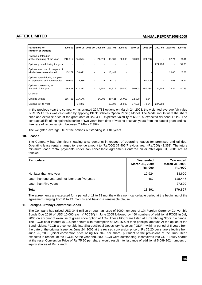| Particulars of<br><b>Number of Options</b>                       | 2008-09 |         | 2007-08 2008-09 2008-09 |        | 2007-08 | 2008-09 | 2007-08 | 2008-09 | 2007-08 | 2008-09 | 2007-08 |
|------------------------------------------------------------------|---------|---------|-------------------------|--------|---------|---------|---------|---------|---------|---------|---------|
| Options outstanding<br>at the beginning of the year              | 212,317 | 274,574 |                         | 21,319 | 40,980  | 50,000  | 50,000  | 224,788 |         | 32.74   | 31.11   |
| Options granted during the year                                  |         |         |                         |        |         |         |         |         | 224,788 |         | 51.90   |
| Options exercised in respect of<br>which shares were allotted    | 45,277  | 56,821  |                         |        | 13,442  |         |         |         |         | 26.00   | 28.68   |
| Options lapsed during the year<br>on separation and non exercise | 10,609  | 5,436   |                         | 7,116  | 6,219   |         |         | 67,700  |         | 33.63   | 33.47   |
| Options outstanding at<br>the end of the year                    | 156,431 | 212,317 |                         | 14,203 | 21,319  | 50,000  | 50,000  | 157,088 | 224,788 | 33.34   | 40.59   |
| Of which -                                                       |         |         |                         |        |         |         |         |         |         |         |         |
| Options vested                                                   | 156,431 | 117,945 |                         | 14,203 | 10,421  | 25,000  | 12,500  | 78,544  |         |         |         |
| Options Yet to vest                                              |         | 94,372  |                         |        | 10,898  | 25,000  | 37,500  | 78,544  | 224,788 |         |         |

In the previous year the company has granted 224,788 options on March 24, 2008, the weighted average fair value is Rs.15.12.This was calculated by applying Black Scholes Option Pricing Model. The Model inputs were the share price and exercise price at the grant date of Rs.34.15, expected volatility of 68.61%, expected dividend 1.11%. The contractual life of the options is earlier of two years from date of vesting or seven years from the date of grant and risk free rate of return ranging between 7.24% - 7.39%.

The weighted average life of the options outstanding is 1.81 years

# **10. Leases**

The Company has significant leasing arrangements in respect of operating leases for premises and utilities. Operating lease rental charged to revenue amount to (Rs.'000) 37,406{Previous year: (Rs.'000) 43,358}. The future minimum lease rental payments under non cancellable agreements entered on or after April 01, 2001 are as follows:

| <b>Particulars</b>                                | Year ended<br>March 31, 2009<br><b>Rs.'000</b> | Year ended<br>March 31, 2008<br><b>Rs.'000</b> |
|---------------------------------------------------|------------------------------------------------|------------------------------------------------|
| Not later than one year                           | 12,924                                         | 33,600                                         |
| Later than one year and not later than five years | 467                                            | 118,447                                        |
| Later than Five years                             | -                                              | 27,820                                         |
| Total                                             | 13,391                                         | 179,867                                        |

The agreements are executed for a period of 11 to 72 months with a non- cancellable period at the beginning of the agreement ranging from 0 to 24 months and having a renewable clause.

# **11. Foreign Currency Convertible Bonds**

The Company had raised USD 34.5 million through an issue of 3000 numbers of 1% Foreign Currency Convertible Bonds Due 2010 of USD 10,000 each ("FCCB") in June 2005 followed by 450 numbers of additional FCCB in July 2005 on account of exercise of green shoe option of 15%. These FCCB are listed at Luxembourg Stock Exchange. The FCCB bear interest @ 1% per annum with redemption at 128.25% of their principal amount. At the option of the Bondholders, FCCB are convertible into Shares/Global Depository Receipts ("GDR") within a period of 5 years from the date of the original issue i.e. June 24, 2005 at the revised conversion price of Rs 75.20 per share effective from June 25, 2006 (initial conversion price being Rs. 94/- per share) pursuant to the provisions of the Trust Deed executed in respect of the FCCB. At the year end, 880 FCCB were outstanding, if converted into GDR/Equity shares at the reset Conversion Price of Rs 75.20 per share, would result into issuance of additional 5,099,202 numbers of equity shares of Rs. 2 each.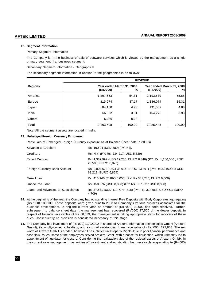# **12. Segment Information**

Primary Segment Information

The Company is in the business of sale of software services which is viewed by the management as a single primary segment, i.e. business segment.

Secondary Segment Information - Geographical

The secondary segment information in relation to the geographies is as follows:

|                | <b>REVENUE</b>            |        |                           |        |  |
|----------------|---------------------------|--------|---------------------------|--------|--|
| <b>Regions</b> | Year ended March 31, 2009 |        | Year ended March 31, 2008 |        |  |
|                | (Rs.'000)                 | %      | (Rs.'000)                 | %      |  |
| America        | 1,207,663                 | 54.81  | 2,193,539                 | 55.88  |  |
| Europe         | 819,074                   | 37.17  | 1,386,074                 | 35.31  |  |
| Japan          | 104,160                   | 4.73   | 191,562                   | 4.88   |  |
| India          | 66,352                    | 3.01   | 154,270                   | 3.93   |  |
| <b>Others</b>  | 6,259                     | 0.28   |                           |        |  |
| <b>Total</b>   | 2,203,508                 | 100.00 | 3,925,445                 | 100.00 |  |

Note: All the segment assets are located in India.

# **13. Unhedged Foreign Currency Exposure:**

Particulars of Unhedged Foreign Currency exposure as at Balance Sheet date in ('000s)

| Advance to Creditors               | Rs. 19,624 (USD 380) (PY: Nil).                                                       |
|------------------------------------|---------------------------------------------------------------------------------------|
| Creditors                          | Rs. Nil/- (PY: Rs. 234,217; USD 5,829)                                                |
| <b>Export Debtors</b>              | Rs. 1,387,997 (USD 19,270; EURO 6,348) (PY: Rs. 1,236,566; USD<br>20,588; EURO 6,827) |
| Foreign Currency Bank Account      | Rs. 2,804,673 (USD 38,014; EURO 13,397) (PY: Rs.3,116,451; USD<br>68,212; EURO 6,854) |
| Term Loan                          | Rs. 410,940 (EURO 6,000) (PY: Rs.381,780; EURO 6,000)                                 |
| Unsecured Loan                     | Rs. 458,976 (USD 8,888) (PY: Rs. 357,571; USD 8,888)                                  |
| Loans and Advances to Subsidiaries | Rs. 37,531 (USD 119, CHF 718) (PY: Rs. 314,963; USD 561; EURO<br>4.709)               |

- **14.** At the beginning of the year, the Company had outstanding Interest Free Deposits with Body Corporates aggregating (Rs '000) 138,139. These deposits were given prior to 2003 to Company's various business associates for the business development. During the current year, an amount of (Rs '000) 30,000 has been received. Further, subsequent to balance sheet date, the management has recovered (Rs'000) 27,500 of the dealer deposit. In respect of balance receivables of Rs 80,639, the management is taking appropriate steps for recovery of these dues. Consequently no provision is considered necessary at this stage.
- **15.** The Company had investment of (Rs'000) 1,002,092 in shares of Arexera Information Technologies GmbH (Arexera GmbH), its wholly-owned subsidiary, and also had outstanding loans receivable of (Rs '000) 292,853. The net worth of Arexera GmbH is eroded; however it has Intellectual Property Rights. Due to poor financial performance and cash flow issues, some of the employees served Arexera GmbH with a notice for liquidation, which ultimately led to appointment of liquidator for closure. Considering the realizable value of the residual assets of Arexera GmbH, in the current year management has written off investment and outstanding loan receivable aggregating to (Rs'000)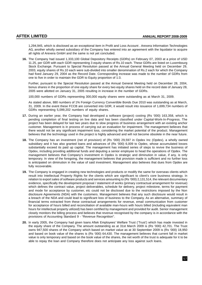1,294,945, which is disclosed as an exceptional item in Profit and Loss Account . Arexera Information Technologies AG, another wholly owned subsidiary of the Company has entered into an agreement with the liquidator to acquire all rights of Arexera GmbH and the same is not yet concluded.

**16.** The Company had issued 1,333,100 Global Depository Receipts (GDRs) on February 07, 2003 at a price of USD 11.25, per GDR with each GDR representing 3 equity shares of Rs.10 each. These GDRs are listed on Luxembourg Stock Exchange. Pursuant to Special Resolution passed at the Annual General Meeting held on December 29, 2003, equity shares of Rs.10 each were sub-divided into smaller denomination of Rs.2 each for which the Company had fixed January 29, 2004 as the Record Date. Corresponding increase was made to the number of GDRs from one to five in order to maintain the GDR to Equity proportion of 1:3.

Further, pursuant to the Special Resolution passed at the Annual General Meeting held on December 28, 2004, bonus shares in the proportion of one equity share for every two equity shares held on the record date of January 28, 2005 were allotted on January 31, 2005 resulting in increase in the number of GDRs.

100,000 numbers of GDRs representing 300,000 equity shares were outstanding as at March 31, 2009.

As stated above, 880 numbers of 1% Foreign Currency Convertible Bonds Due 2010 was outstanding as at March, 31, 2009. In the event these FCCB are converted into GDR, it would result into issuance of 1,699,734 numbers of GDRs representing 5,099,202 numbers of equity shares.

- **17.** During an earlier year, the Company had developed a software (project) costing (Rs '000) 163,358, which is pending completion of final testing on live data and has been classified under Capital-Work-In-Progress. The project has been delayed for last two years due to slow progress of business arrangement with an existing anchor customer. Management is in process of carrying out an evaluation for impairment. The management believes that there would not be any significant impairment loss, considering the market potential of the product. Management believes that the technology used in the project is highly advanced and will not become obsolete in the near future.
- **18.** The Company has an investment (net of provision) of (Rs '000) 29,597 in Opdex Inc (Opdex), a wholly owned subsidiary and it has also granted loans and advances of (Rs '000) 6,009 to Opdex, whose accumulated losses substantially exceed its paid up capital. The management has initiated series of steps to revive the business of Opdex, including providing additional funds and deputing a senior employee to head the operations of Opdex. The management believes that Company's investment in Opdex is strategic and diminution in value, if any, is only temporary. In view of the foregoing, the management believes that provision made is sufficient and no further loss is anticipated on diminution in the value of said investment. Management also believes that dues from Opdex are fully recoverable.
- **19.** The Company is engaged in creating new technologies and products or modify the same for overseas clients which result into Intellectual Property Rights for the clients which are significant to client's core business strategy. In relation to export sales of software products and services amounting to (Rs '000) 2,131,514, the relevant documentary evidence, specifically the development proposal / statement of works (primary contractual arrangement for revenue) which defines the contract value, project deliverables, schedule for delivery, project milestone, terms for payment and mode for acceptance by customer, etc could not be disclosed due to the restrictions imposed by the Non disclosure Agreements (NDA) with the customers. Management believes that any such disclosure would result in a breach of the NDA and could lead to significant loss of business to the Company. As an alternative, summary of financial terms extracted from these contractual arrangements for revenue, email communication from customer for acceptance of hours billed and reconciliation of available man-hours with hours billed (including equivalent man hours for intellectual property utilized) has been certified by management and provided for audit. Senior management closely monitors the billing process and believes that revenue recognised by the company is in accordance with the provisions of Accounting Standard 9 - "Revenue Recognition".
- **20.** In early 2005, the Company had given loans Aftek Employees' Welfare Trust ('Trust') which has made invested in the equity share of the Company. The amount outstanding as at 31st March 2009 is (Rs '000) 42,701. The Trust owns 947,500 shares of the Company which based on market value as at 30 September 2009 is (Rs '000) 18,950 and based on book value of the shares is (Rs '000) 64,430. The management believes that current fall in market value is only temporary and based on the book value of the shares, the net worth of the trust is adequate for it to be able to repay the loan and Company therefore does not anticipate any loss against such loans.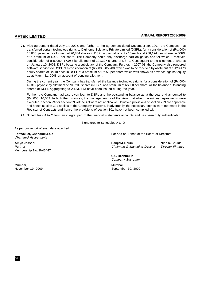**21.** Vide agreement dated July 24, 2005, and further to the agreement dated December 29, 2007; the Company has transferred certain technology rights to Digihome Solutions Private Limited (DSPL), for a consideration of (Rs.'000) 60,000, payable by allotment of 70,834 shares in DSPL at par value of Rs.10 each and 988,194 new shares in DSPL at a premium of Rs.50 per share. The Company could only discharge part obligation and for which it received consideration of (Rs.'000) 17,063 by allotment of 291,327 shares of DSPL. Consequent to the allotment of shares on January 10, 2008, DSPL became a subsidiary of the Company. Further, in 2007-08, the Company also rendered software services to DSPL at a consideration of (Rs.'000) 85,708, which was to be received by allotment of 1,428,473 equity shares of Rs.10 each in DSPL at a premium of Rs.50 per share which was shown as advance against equity as at March 31, 2008 on account of pending allotment.

During the current year, the Company has transferred the balance technology rights for a consideration of (Rs'000) 42,312 payable by allotment of 705,200 shares in DSPL at a premium of Rs. 50 per share. All the balance outstanding shares of DSPL aggregating to 2,133, 673 have been issued during the year.

Further, the Company had also given loan to DSPL and the outstanding balance as at the year end amounted to (Rs.'000) 10,563. In both the instances, the management is of the view, that when the original agreements were executed, section 297 or section 295 of the Act were not applicable. However, provisions of section 299 are applicable and hence section 301 applies to the Company. However, inadvertently, the necessary entries were not made in the Register of Contracts and hence the provisions of section 301 have not been complied with.

**22.** Schedules - A to O form an integral part of the financial statements accounts and has been duly authenticated.

Signatures to Schedules A to O

As per our report of even date attached

Chartered Accountants

Membership No. F-46447

**For Walker, Chandiok & Co** For and on Behalf of the Board of Directors

**Amyn Jassani Ranjit M. Dhuru Nitin K. Shukla** Partner **Chairman & Managing Director Director-Finance** 

**C.G. Deshmukh** Company Secretary

September 30, 2009

Mumbai, Mumbai,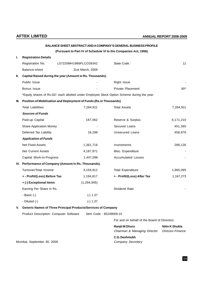|     |                                                                      |                        | BALANCE SHEET ABSTRACT AND A COMPANY'S GENERAL BUSINESS PROFILE                             |           |
|-----|----------------------------------------------------------------------|------------------------|---------------------------------------------------------------------------------------------|-----------|
|     |                                                                      |                        | (Pursuant to Part IV of Schedule VI to the Companies Act, 1956)                             |           |
| I.  | <b>Registration Details</b>                                          |                        |                                                                                             |           |
|     | Registration No.                                                     | L57220MH1986PLCO39342  | State Code:                                                                                 | 11        |
|     | Balance-sheet                                                        | 31st March, 2009       |                                                                                             |           |
| II. | Capital Raised during the year (Amount in Rs. Thousands).            |                        |                                                                                             |           |
|     | Public Issue                                                         |                        | Right Issue                                                                                 |           |
|     | Bonus Issue                                                          |                        | <b>Private Placement</b>                                                                    | $90*$     |
|     |                                                                      |                        | *Equity shares of Rs.02/- each allotted under Employee Stock Option Scheme during the year. |           |
| Ш.  | Position of Mobilisation and Deployment of Funds (Rs.in Thousands)   |                        |                                                                                             |           |
|     | <b>Total Liabilities</b>                                             | 7,284,911              | <b>Total Assets</b>                                                                         | 7,284,911 |
|     | <b>Sources of Funds</b>                                              |                        |                                                                                             |           |
|     | Paid-up Capital                                                      | 187,062                | Reserve & Surplus                                                                           | 6,171,210 |
|     | <b>Share Application Money</b>                                       |                        | Secured Loans                                                                               | 451,365   |
|     | Deferred Tax Liability                                               | 16,298                 | <b>Unsecured Loans</b>                                                                      | 458,976   |
|     | <b>Application of Funds</b>                                          |                        |                                                                                             |           |
|     | <b>Net Fixed Assets</b>                                              | 1,361,716              | Investments                                                                                 | 288,126   |
|     | Net Current Assets                                                   | 4,187,971              | Misc. Expenditure                                                                           |           |
|     | Capital Work-in-Progress                                             | 1,447,098              | <b>Accumulated Losses</b>                                                                   |           |
|     | IV. Performance of Company (Amount in Rs. Thousands).                |                        |                                                                                             |           |
|     | Turnover/Total Income                                                | 3,159,912              | <b>Total Expenditure</b>                                                                    | 1,965,095 |
|     | + - Profit/(Loss) Before Tax                                         | 1,194,817              | + - Profit/(Loss) After Tax                                                                 | 1,167,273 |
|     | + (-) Exceptional items                                              | (1, 294, 945)          |                                                                                             |           |
|     | Earning Per Share in Rs.                                             |                        | Dividend Rate                                                                               |           |
|     | - Basic (-)                                                          | $(-) 1.37$             |                                                                                             |           |
|     | - Diluted (-)                                                        | $(-) 1.37$             |                                                                                             |           |
| V.  | <b>Generic Names of Three Principal Products/Services of Company</b> |                        |                                                                                             |           |
|     | Product Description: Computer Software                               | Item Code: 85249009.10 |                                                                                             |           |

For and on behalf of the Board of Directors

| Ranjit M Dhuru               | <b>Nitin K Shukla</b> |
|------------------------------|-----------------------|
| Chairman & Managing Director | Director-Finance      |

**C.G. Deshmukh**

Mumbai, September 30, 2009. Company Secretary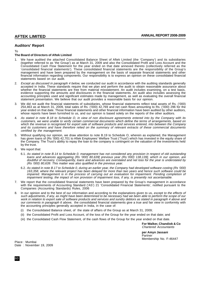# **Auditors' Report**

To

# **The Board of Directors of Aftek Limited**

- 1. We have audited the attached Consolidated Balance Sheet of Aftek Limited (the 'Company') and its subsidiaries (together referred to as 'the Group') as at March 31, 2009 and also the Consolidated Profit and Loss Account and the Consolidated Cash Flow Statement for the year ended on that date annexed thereto (collectively referred as the 'consolidated financial statements'). These consolidated financial statements are the responsibility of the Group's management and have been prepared by the management on the basis of separate financial statements and other financial information regarding components. Our responsibility is to express an opinion on these consolidated financial statements based on our audit.
- 2. Except as discussed in paragraph 4 below, we conducted our audit in accordance with the auditing standards generally accepted in India. These standards require that we plan and perform the audit to obtain reasonable assurance about whether the financial statements are free from material misstatement. An audit includes examining, on a test basis, evidence supporting the amounts and disclosures in the financial statements. An audit also includes assessing the accounting principles used and significant estimates made by management, as well as evaluating the overall financial statement presentation. We believe that our audit provides a reasonable basis for our opinion.
- 3. We did not audit the financial statements of subsidiaries, whose financial statements reflect total assets of Rs. ('000) 254,463 as at March 31, 2009, total sales of Rs. ('000) 42,769 and net cash flows amounting to Rs. ('000) 296 for the year ended on that date. Those financial statements and other financial information have been audited by other auditors, whose reports have been furnished to us, and our opinion is based solely on the reports of the other auditors.
- 4. As stated in note B.18 to Schedule O, in view of non disclosure agreements entered into by the Company with its customers, we were unable to verify certain commercial documents which define the terms of arrangements, based on which the revenue is recognised for export sale of software products and services entered, into between the Company and its customers and have therefore relied on the summary of relevant extracts of these commercial documents certified by the management.
- 5. Without qualifying our opinion, we draw attention to note B.19 to Schedule O, wherein as explained, the Management has given loans of (Rs '000) 42,701 to Aftek Employees' Welfare Trust ('Trust') which has invested in the equity share of the Company. The Trust's ability to repay the loan to the company is contingent on the valuation of the investments held by the trust.
- 6. We report that:
	- 6.1. As stated in note B.14 to Schedule 0, management has not considered any provision in respect of old outstanding loans and advances aggregating (Rs '000) 80,639[ previous year (Rs.'000) 138,139], which in our opinion, are doubtful of recovery. Consequently, loans and advances are overstated and net loss for the year is understated by (Rs '000) 80,639. This matter was also qualified in the previous year.
	- 6.2. As stated in note B.17 to Schedule 0, during an earlier year, the Company had developed software costing (Rs '000) 163,358, where the relevant project has been delayed for more than two years and hence such software could be impaired. Management is in the process of carrying out an evaluation for impairment. Pending completion of impairment testing, the impact of non provision of impairment loss, if any, is presently not ascertainable.
- 7. We report that the consolidated financial statements have been prepared by the Group's management in accordance with the requirements of Accounting Standard ('AS') 21 'Consolidated Financial Statements', notified pursuant to the Companies (Accounting Standards) Rules, 2006
- 8. In our opinion and to the best of our information and according to the explanations given to us, except to the effects of such adjustments, if any, as might have been determined to be necessary had we been able to perform the scope of our work in relation to export sale of software products and services and sundry debtors as stated in paragraph 4 above and our comments in paragraph 6 above, the consolidated financial statements give a true and fair view in conformity with the accounting principles generally accepted in India, in the case of:
	- (i) the Consolidated Balance sheet, of the state of affairs of the Group as at March 31, 2009;
	- (ii) the Consolidated Profit and Loss Account, of the loss of the Group for the year ended on that date; and
	- (iii) the Consolidated Cash Flow Statement, of the cash flows of the Group for the year ended on that date.

**For Walker, Chandiok & Co** Chartered Accountants

**per Amyn Jassani Partner** Membership No. F-46447

Place : Mumbai Date : November 19, 2009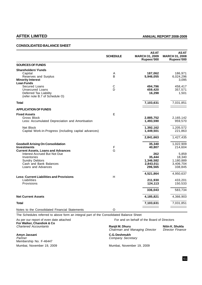# **CONSOLIDATED BALANCE SHEET**

|                                                                                                                                                                                                                       | <b>SCHEDULE</b>            | <b>ASAT</b><br><b>MARCH 31, 2009</b><br>Rupees'000   | AS AT<br><b>MARCH 31, 2008</b><br>Rupees'000                 |
|-----------------------------------------------------------------------------------------------------------------------------------------------------------------------------------------------------------------------|----------------------------|------------------------------------------------------|--------------------------------------------------------------|
| <b>SOURCES OF FUNDS</b>                                                                                                                                                                                               |                            |                                                      |                                                              |
| <b>Shareholders' Funds</b><br>Capital<br>Reserves and Surplus<br><b>Minority Interest</b><br><b>Loan Funds</b><br>Secured Loans<br><b>Unsecured Loans</b><br>Deferred Tax Liability<br>(refer note B.7 of Schedule O) | Α<br>B<br>$\mathsf C$<br>D | 187,062<br>5,946,055<br>494,796<br>459,420<br>16,298 | 186,971<br>6,024,296<br>3,095<br>458,417<br>357,571<br>1,501 |
| <b>Total</b>                                                                                                                                                                                                          |                            | 7,103,631                                            | 7,031,851                                                    |
| <b>APPLICATION OF FUNDS</b>                                                                                                                                                                                           |                            |                                                      |                                                              |
| <b>Fixed Assets</b><br>Gross Block<br>Less: Accumulated Depreciation and Amortisation                                                                                                                                 | E                          | 2,885,752<br>1,493,590                               | 2,165,142<br>959,570                                         |
| Net Block<br>Capital Work-in-Progress (including capital advances)                                                                                                                                                    |                            | 1,392,162<br>1,449,501                               | 1,205,572<br>221,863                                         |
|                                                                                                                                                                                                                       |                            | 2,841,663                                            | 1,427,435                                                    |
| <b>Goodwill Arising On Consolidation</b><br><b>Investments</b><br><b>Current Assets, Loans and Advances</b>                                                                                                           | F<br>G                     | 35,340<br>40,807                                     | 1,022,909<br>214,604                                         |
| Interest Accrued But Not Due<br>Inventories<br><b>Sundry Debtors</b><br>Cash and Bank Balances<br>Loans and Advances                                                                                                  |                            | 262<br>35,444<br>1,346,582<br>2,843,011<br>296,565   | 5,859<br>18,340<br>1,180,889<br>3,406,704<br>338,845         |
| <b>Less: Current Liabilities and Provisions</b><br>Liabilities<br>Provisions                                                                                                                                          | H                          | 4,521,864<br>211,930<br>124,113                      | 4,950,637<br>433,201<br>150,533                              |
|                                                                                                                                                                                                                       |                            | 336,043                                              | 583,734                                                      |
| <b>Net Current Assets</b>                                                                                                                                                                                             |                            | 4,185,821                                            | 4,366,903                                                    |
| Total                                                                                                                                                                                                                 |                            | 7,103,631                                            | 7,031,851                                                    |
| Notes to the Consolidated Financial Statements                                                                                                                                                                        | O                          |                                                      |                                                              |

The Schedules referred to above form an integral part of the Consolidated Balance Sheet

**For Walker, Chandiok & Co**

**Amyn Jassani C.G. Deshmukh** Membership No. F-46447 Mumbai, November 19, 2009 Mumbai, November 19, 2009

As per our report of even date attached For and on behalf of the Board of Directors

Chartered Accountants **Ranjit M. Dhuru Nitin K. Shukla**<br>Chairman and Managing Director **Director Finance** Chairman and Managing Director

Company Secretary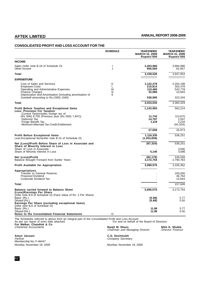# **CONSOLIDATED PROFIT AND LOSS ACCOUNT FOR THE**

|                                                                                                                                                                                                                              | <b>SCHEDULE</b>       | <b>YEAR ENDED</b><br><b>MARCH 31, 2009</b><br>Rupees'000 | <b>YEAR ENDED</b><br><b>MARCH 31, 2008</b><br>Rupees'000 |
|------------------------------------------------------------------------------------------------------------------------------------------------------------------------------------------------------------------------------|-----------------------|----------------------------------------------------------|----------------------------------------------------------|
| <b>INCOME</b>                                                                                                                                                                                                                |                       |                                                          |                                                          |
| Sales (refer note B.18 of Schedule O)<br>Other Income                                                                                                                                                                        | ı<br>J                | 2,203,966<br>955,560                                     | 3,884,996<br>62,657                                      |
| Total                                                                                                                                                                                                                        |                       | 3,159,526                                                | 3,947,653                                                |
| <b>EXPENDITURE</b>                                                                                                                                                                                                           |                       |                                                          |                                                          |
| Cost of Sales and Services<br><b>Employee Costs</b><br>Operating and Administrative Expenses<br><b>Finance Charges</b><br>Depreciation and Amortisation (including amortisation of<br>Goodwill amounting to Rs. ('000) 1040) | Κ<br>L<br>м<br>N<br>Е | 1,122,278<br>210,814<br>110.460<br>32,986<br>538,995     | 2,204,198<br>302,476<br>543.778<br>10,683<br>323,294     |
| <b>Total</b>                                                                                                                                                                                                                 |                       | 2,015,533                                                | 3,384,429                                                |
| Profit Before Taxation and Exceptional Items<br><b>Less: Provision For Taxation</b>                                                                                                                                          |                       | 1,143,993                                                | 563,224                                                  |
| -Current Tax(includes foreign tax of<br>(Rs.'000) 8,705 (Previous year (Rs.'000) 7,947))<br>-Deferred Tax<br>-Fringe Benefit Tax<br>-Minimum Alternate Tax Credit Entitlement                                                |                       | 11,742<br>14,797<br>1,119                                | 113,675<br>2,557<br>2,244<br>(91, 503)                   |
|                                                                                                                                                                                                                              |                       | 27,658                                                   | 26,973                                                   |
| <b>Profit Before Exceptional Items</b><br>Less: Exceptional item (refer note B.15 of Schedule O)                                                                                                                             |                       | 1,116,335<br>(1,203,659)                                 | 536,251                                                  |
| Net (Loss)/Profit Before Share of Loss in Associate and<br>Share of Minority Interest in Loss<br>Share of Loss in Associate                                                                                                  |                       | (87, 324)                                                | 536,251<br>(238)                                         |
| Share of Minority Interest in Loss                                                                                                                                                                                           |                       | 5,145                                                    | 3,586                                                    |
| Net (Loss)/Profit<br>Balance Brought Forward from Earlier Years                                                                                                                                                              |                       | (82, 179)<br>3,172,754                                   | 539,599<br>2,790,763                                     |
| <b>Profit Available for Appropriation</b>                                                                                                                                                                                    |                       | 3,090,575                                                | 3,330,362                                                |
| Appropriations<br><b>Transfer to General Reserve</b><br><b>Proposed Dividend</b><br>Corporate Dividend Tax                                                                                                                   |                       |                                                          | 100,000<br>46,764<br>10,844                              |
| Total                                                                                                                                                                                                                        |                       |                                                          | 157,608                                                  |
| <b>Balance carried forward to Balance Sheet</b><br>(Loss)/Earnings Per Share                                                                                                                                                 |                       | 3,090,575                                                | 3,172,754                                                |
| (refer note B.8 of Schedule O) (Face Value of Rs. 2 Per Share)<br>Basic (Rs.)<br>Diluted (Rs.)<br>Earnings Per Share (excluding exceptional items)                                                                           |                       | (0.88)<br>(0.88)                                         | 5.77<br>5.50                                             |
| (refer note B.8 of Schedule O)<br>Basic (Rs.)<br>Diluted (Rs.)<br>Notes to the Consolidated Financial Statements                                                                                                             | O                     | 11.99<br>11.99                                           | 5.77<br>5.50                                             |

The Schedules referred to above form an integral part of the Consolidated Profit and Loss Account<br>As per our report of even date attached **For Walker, Chandiok & Co** Chartered Accountants **Ranjit M. Dhuru Nitin K. Shukla**

**Amyn Jassani C.G. Deshmukh** Partner Company Secretary Partner Company Secretary Membership No. F-46447<br>Mumbai, November 19, 2009

Ranjit M. Dhuru<br>Chairman and Managing Director Director Finance

Mumbai, November 19, 2009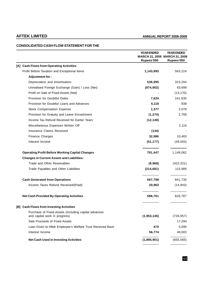# **CONSOLIDATED CASH FLOW STATEMENT FOR THE**

|                                                                                       | <b>YEAR ENDED</b><br>Rupees'000 | <b>YEAR ENDED</b><br>MARCH 31, 2009 MARCH 31, 2008<br>Rupees'000 |
|---------------------------------------------------------------------------------------|---------------------------------|------------------------------------------------------------------|
| [A] Cash Flows from Operating Activities                                              |                                 |                                                                  |
| Profit Before Taxation and Exceptional Items                                          | 1,143,993                       | 563,224                                                          |
| Adjustment for:                                                                       |                                 |                                                                  |
| Depreciation and Amortisation                                                         | 538,995                         | 323,294                                                          |
| Unrealised Foreign Exchange (Gain) / Loss (Net)                                       | (874, 902)                      | 63,699                                                           |
| Profit on Sale of Fixed Assets (Net)                                                  |                                 | (13, 170)                                                        |
| Provision for Doubtful Debts                                                          | 7,624                           | 241,635                                                          |
| Provision for Doubtful Loans and Advances                                             | 6,118                           | 938                                                              |
| <b>Stock Compensation Expense</b>                                                     | 1,377                           | 2,078                                                            |
| Provision for Gratuity and Leave Encashment                                           | (1, 274)                        | 2,768                                                            |
| Income Tax Refund Received for Earlier Years                                          | (12, 149)                       |                                                                  |
| Miscellaneous Expenses Written Off                                                    |                                 | 2,116                                                            |
| <b>Insurance Claims Received</b>                                                      | (144)                           |                                                                  |
| Finance Charges                                                                       | 32,986                          | 10,483                                                           |
| Interest Income                                                                       | (51, 177)                       | (49,003)                                                         |
| <b>Operating Profit Before Working Capital Changes</b>                                | 791,447                         | 1,148,062                                                        |
| <b>Changes in Current Assets and Liabilities:</b>                                     |                                 |                                                                  |
| Trade and Other Receivables                                                           | (8,968)                         | (422, 321)                                                       |
| Trade Payables and Other Liabilities                                                  | (214, 681)                      | 115,989                                                          |
| <b>Cash Generated from Operations</b>                                                 | 567,798                         | 841,730                                                          |
| Income Taxes Refund Received/(Paid)                                                   | 20,963                          | (14, 943)                                                        |
| <b>Net Cash Provided By Operating Activities</b>                                      | 588,761                         | 826,787                                                          |
| [B] Cash Flows from Investing Activities                                              |                                 |                                                                  |
| Purchase of Fixed Assets (Including capital advances<br>and capital work in progress) | (1,953,145)                     | (726, 957)                                                       |
| Sale Proceeds of Fixed Assets                                                         |                                 | 17,294                                                           |
| Loan Given to Aftek Employee's Welfare Trust Received Back                            | 470                             | 5,095                                                            |
| Interest Income                                                                       | 56,774                          | 49,003                                                           |
| <b>Net Cash Used in Investing Activities</b>                                          | (1,895,901)                     | (655, 565)                                                       |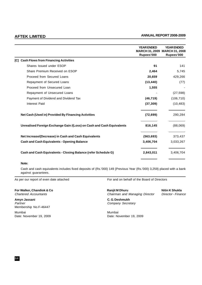|                                                                       | <b>YEAR ENDED</b><br>Rupees'000 | <b>YEAR ENDED</b><br>MARCH 31, 2009 MARCH 31, 2008<br>Rupees'000 |
|-----------------------------------------------------------------------|---------------------------------|------------------------------------------------------------------|
| <b>Cash Flows from Financing Activities</b><br><b>ICI</b>             |                                 |                                                                  |
| Shares Issued under ESOP                                              | 91                              | 141                                                              |
| Share Premium Received on ESOP                                        | 2,464                           | 5,745                                                            |
| Proceed from Secured Loans                                            | 20,659                          | 429,266                                                          |
| Repayment of Secured Loans                                            | (13, 440)                       | (77)                                                             |
| Proceed from Unsecured Loan                                           | 1,555                           |                                                                  |
| Repayment of Unsecured Loans                                          |                                 | (27, 598)                                                        |
| Payment of Dividend and Dividend Tax                                  | (46, 719)                       | (106, 710)                                                       |
| Interest Paid                                                         | (37, 309)                       | (10, 483)                                                        |
| Net Cash (Used in) Provided By Financing Activities                   | (72, 699)                       | 290,284                                                          |
| Unrealised Foreign Exchange Gain /(Loss) on Cash and Cash Equivalents | 816,145                         | (88,069)                                                         |
| Net Increase/(Decrease) in Cash and Cash Equivalents                  | (563, 693)                      | 373,437                                                          |
| <b>Cash and Cash Equivalents - Opening Balance</b>                    | 3,406,704                       | 3,033,267                                                        |
| Cash and Cash Equivalents - Closing Balance (refer Schedule G)        | 2,843,011                       | 3,406,704                                                        |

# **Note:**

Cash and cash equivalents includes fixed deposits of (Rs.'000) 149 {Previous Year (Rs.'000) 3,259} placed with a bank against guarantees.

As per our report of even date attached For and on behalf of the Board of Directors

**For Walker, Chandiok & Co Ranjit M Dhuru Chandiok & Co** Ranjit M Dhuru **Nitin K Shukla**<br>Chartered Accountants **Constanting Chairman** and Managing Director Director - Finance Chairman and Managing Director

**Amyn Jassani C. G. Deshmukh** Partner Company Secretary Membership No.F-46447

Mumbai Mumbai Date: November 19, 2009 **Date: November 19, 2009**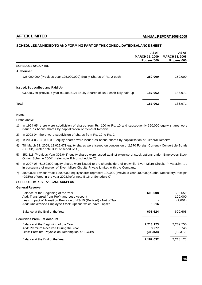# **SCHEDULES ANNEXED TO AND FORMING PART OF THE CONSOLIDATED BALANCE SHEET**

|                                                                                | <b>ASAT</b><br><b>MARCH 31, 2009</b><br>Rupees'000 | <b>ASAT</b><br><b>MARCH 31, 2008</b><br>Rupees'000 |
|--------------------------------------------------------------------------------|----------------------------------------------------|----------------------------------------------------|
| <b>SCHEDULE A: CAPITAL</b>                                                     |                                                    |                                                    |
| <b>Authorised</b>                                                              |                                                    |                                                    |
| 125,000,000 (Previous year 125,000,000) Equity Shares of Rs. 2 each            | 250,000                                            | 250,000                                            |
| <b>Issued, Subscribed and Paid Up</b>                                          |                                                    |                                                    |
| 93,530,789 (Previous year 93,485,512) Equity Shares of Rs.2 each fully paid up | 187,062                                            | 186,971                                            |
| <b>Total</b>                                                                   | 187,062                                            | 186,971                                            |

# **Notes:**

Of the above,

- 1) In 1994-95, there were subdivision of shares from Rs. 100 to Rs. 10 and subsequently 350,000 equity shares were issued as bonus shares by capitalization of General Reserve.
- 2) In 2003-04, there were subdivision of shares from Rs. 10 to Rs. 2
- 3) In 2004-05, 25,000,000 equity shares were issued as bonus shares by capitalisation of General Reserve.
- 4) Till March 31, 2009, 12,029,471 equity shares were issued on conversion of 2,570 Foreign Currency Convertible Bonds (FCCBs). (refer note B.11 of schedule O)
- 5) 351,318 (Previous Year 306,041) equity shares were issued against exercise of stock options under 'Employees Stock Option Scheme 2004'. (refer note B.9 of schedule O)
- 6) In 2007-08, 6,150,000 equity shares were issued to the shareholders of erstwhile Elven Micro Circuits PrivateLimited in pursuance of merger of Elven Micro Circuits Private Limited with the Company.
- 7) 300,000 (Previous Year: 1,200,000) equity shares represent 100,000 (Previous Year: 400,000) Global Depository Receipts (GDRs) offered in the year 2003.(refer note B.16 of Schedule O)

# **SCHEDULE B: RESERVES AND SURPLUS**

# **General Reserve**

| Balance at the Beginning of the Year                                 | 600,608   | 502,659   |
|----------------------------------------------------------------------|-----------|-----------|
| Add: Transferred from Profit and Loss Account                        |           | 100.000   |
| Less: Impact of Transition Provision of AS-15 (Revised) - Net of Tax |           | (2,051)   |
| Add: Unexercised Employee Stock Options which have Lapsed            | 1,016     |           |
| Balance at the End of the Year                                       | 601,624   | 600,608   |
| <b>Securities Premium Account</b>                                    |           |           |
| Balance at the Beginning of the Year                                 | 2,213,123 | 2,269,750 |
| Add: Premium Received During the Year                                | 3,277     | 5.745     |
| Less: Premium Payable on Redemption of FCCBs                         | (34, 368) | (62, 372) |
| Balance at the End of the Year                                       | 2,182,032 | 2,213,123 |
|                                                                      |           |           |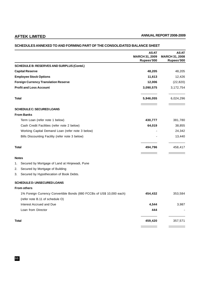# **AS AT** AS AT<br>MARCH 31, 2009 MARCH 31, 2008 **MARCH 31, 2009 MARCH 31, 2008 Rupees'000 Rupees'000 SCHEDULE B: RESERVES AND SURPLUS (Contd.) Capital Reserve 48,205** 48,205 **Employee Stock Options 11,613** 12,426 **Foreign Currency Translation Reserve 12,006** (22,820) **Profit and Loss Account 3,090,575** 3,172,754 **Total 5,946,055** 6,024,296 **SCHEDULE C: SECURED LOANS From Banks** Term Loan (refer note 1 below) **430,777** 381,780 Cash Credit Facilities (refer note 2 below) **64,019** 38,855 Working Capital Demand Loan (refer note 3 below)  $-$  24,342 Bills Discounting Facility (refer note 3 below) 32.440 **Total 494,796** 458,417 **Notes** 1. Secured by Mortgage of Land at Hinjewadi, Pune 2. Secured by Mortgage of Building 3. Secured by Hypothecation of Book Debts. **SCHEDULE D: UNSECURED LOANS From others** 1% Foreign Currency Convertible Bonds (880 FCCBs of US\$ 10,000 each) **454,432** 353,584 (refer note B.11 of schedule O) Interest Accrued and Due **4,544** 3,987 Loan from Director **444** - **Total 459,420** 357,571

# **SCHEDULES ANNEXED TO AND FORMING PART OF THE CONSOLIDATED BALANCE SHEET**

66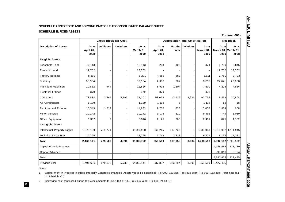| <b>Description of Assets</b>  | <b>Gross Block (At Cost)</b> |                  |                          |                            | <b>Depreciation and Amortisation</b> |                 |                  |                            | (Rupees '000)<br><b>Net Block</b>    |               |
|-------------------------------|------------------------------|------------------|--------------------------|----------------------------|--------------------------------------|-----------------|------------------|----------------------------|--------------------------------------|---------------|
|                               | As at<br>April 01,<br>2008   | <b>Additions</b> | <b>Deletions</b>         | As at<br>March 31,<br>2009 | As at<br>April 01,<br>2008           | For the<br>Year | <b>Deletions</b> | As at<br>March 31,<br>2009 | As at<br>March 31, March 31,<br>2009 | As at<br>2008 |
| <b>Tangible Assets</b>        |                              |                  |                          |                            |                                      |                 |                  |                            |                                      |               |
| Leasehold Land                | 10,113                       |                  |                          | 10,113                     | 268                                  | 106             |                  | 374                        | 9,739                                | 9,845         |
| Freehold Land                 | 12,702                       |                  |                          | 12,702                     |                                      |                 |                  |                            | 12,702                               | 12,702        |
| <b>Factory Building</b>       | 8,291                        |                  |                          | 8,291                      | 4,858                                | 653             |                  | 5,511                      | 2,780                                | 3,433         |
| <b>Buildings</b>              | 30,964                       |                  |                          | 30,964                     | 2,906                                | 387             |                  | 3,293                      | 27,671                               | 28,058        |
| Plant and Machinery           | 10,882                       | 944              | $\overline{\phantom{0}}$ | 11,826                     | 5,996                                | 1,604           |                  | 7,600                      | 4,226                                | 4,886         |
| <b>Electrical Fittings</b>    | 379                          |                  |                          | 379                        | 379                                  |                 |                  | 379                        |                                      |               |
| Computers                     | 73,834                       | 3,264            | 4,896                    | 72,202                     | 53,029                               | 13,639          | 3,934            | 62,734                     | 9,468                                | 20,804        |
| Air Conditioners              | 1,130                        |                  |                          | 1,130                      | 1,112                                | 6               |                  | 1,118                      | 12                                   | 18            |
| <b>Furniture and Fixtures</b> | 10,343                       | 1,519            |                          | 11,862                     | 9,735                                | 323             |                  | 10,058                     | 1,804                                | 608           |
| Motor Vehicles                | 10,242                       |                  | $\overline{\phantom{a}}$ | 10,242                     | 9,173                                | 320             |                  | 9,493                      | 749                                  | 1,069         |
| Office Equipment              | 3,307                        | 9                |                          | 3,316                      | 2,125                                | 366             |                  | 2,491                      | 825                                  | 1,182         |
| <b>Intangible Assets</b>      |                              |                  |                          |                            |                                      |                 |                  |                            |                                      |               |
| Intellectual Property Rights  | 1,978,189                    | 719,771          |                          | 2,697,960                  | 866,245                              | 517,723         |                  | 1,383,968                  | 1,313,992 1,111,945                  |               |
| <b>Technical Know How</b>     | 14,765                       |                  |                          | 14,765                     | 3,743                                | 2,828           |                  | 6,571                      | 8,194                                | 11,022        |
| <b>Total</b>                  | 2,165,141                    | 725,507          | 4,896                    | 2,885,752                  | 959,569                              | 537,955         | 3,934            | 1,493,590                  | 1,392,162 1,205,572                  |               |
| Capital Work-in-Progress      |                              |                  |                          |                            |                                      |                 |                  |                            | 1,158,683                            | 213,139       |
| Capital Advance               |                              |                  |                          |                            |                                      |                 |                  |                            | 290,818                              | 8,724         |
| Total                         |                              |                  |                          |                            |                                      |                 |                  |                            | 2,841,663 1,427,435                  |               |
| Previous year                 | 1,491,696                    | 679,178          | 5,733                    | 2,165,141                  | 637,887                              | 323,294         | 1,609            | 959,569                    | 1,427,435                            |               |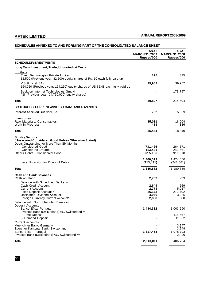# **SCHEDULES ANNEXED TO AND FORMING PART OF THE CONSOLIDATED BALANCE SHEET**

|                                                                                                                                                                                                          | <b>ASAT</b><br><b>MARCH 31, 2009</b><br>Rupees'000 | <b>ASAT</b><br><b>MARCH 31, 2008</b><br>Rupees'000 |
|----------------------------------------------------------------------------------------------------------------------------------------------------------------------------------------------------------|----------------------------------------------------|----------------------------------------------------|
| <b>SCHEDULE F: INVESTMENTS</b>                                                                                                                                                                           |                                                    |                                                    |
| Long Term Investment, Trade, Unquoted (at Cost)                                                                                                                                                          |                                                    |                                                    |
| In others<br>Elven Technologies Private Limited<br>82,500 (Previous year: 82,500) equity shares of Rs. 10 each fully paid up                                                                             | 825                                                | 825                                                |
| V Soft Inc. (USA)<br>164,250 (Previous year: 164,250) equity shares of US \$5.48 each fully paid up                                                                                                      | 39,982                                             | 39,982                                             |
| Seekport Internet Technologies GmbH<br>(Nil (Previous year: 24,750,000) equity shares)                                                                                                                   |                                                    | 173,797                                            |
| Total                                                                                                                                                                                                    | 40,807                                             | 214,604                                            |
| SCHEDULE G: CURRENT ASSETS, LOANS AND ADVANCES                                                                                                                                                           |                                                    |                                                    |
| <b>Interest Accrued But Not Due</b>                                                                                                                                                                      | 262                                                | 5,859                                              |
| <b>Inventories</b><br>Raw Materials, Consumables<br>Work-in-Progress                                                                                                                                     | 35,031<br>413                                      | 18,004<br>336                                      |
| Total                                                                                                                                                                                                    | 35,444                                             | 18,340                                             |
| <b>Sundry Debtors</b><br>(Unsecured Considered Good Unless Otherwise Stated)<br>Debts Outstanding for More Than Six Months<br>-Considered Good<br>-Considered Doubtful<br>Others Debts - Considered Good | 731,426<br>113,431<br>615,156                      | 264,571<br>243,661<br>916,318                      |
| Less: Provision for Doubtful Debts                                                                                                                                                                       | 1,460,013<br>(113, 431)                            | 1,424,550<br>(243, 661)                            |
| <b>Total</b>                                                                                                                                                                                             | 1,346,582                                          | 1,180,889                                          |
| <b>Cash and Bank Balances</b><br>Cash on Hand                                                                                                                                                            | 2,703                                              | 293                                                |
| Balance with Scheduled Banks in<br>Cash Credit Account<br><b>Current Account</b><br>Fixed Deposit Account #<br><b>Unclaimed Dividend Account</b><br>Foreign Currency Current Account*                    | 2,649<br>2,773<br>26.173<br>4,040<br>2,838         | 559<br>5,017<br>272,702<br>3,985<br>680            |
| Balance with Non Scheduled Banks in<br>Deposit Accounts<br>Banco Efisa, Portugal<br>Investec Bank (Switzerland) AG, Switzerland **<br>- Time Deposit<br>- Demand Deposit                                 | 1,484,382                                          | 1,003,590<br>118,567<br>11,832                     |
| Current accounts<br>Muenchner Bank, Germany<br>Zuercher Kantonal Bank, Switzerland<br>Banco Efisa, Portugal<br>Investec Bank (Switzerland) AG, Switzerland ***                                           | 1,317,453                                          | 3,947<br>3,749<br>1,978,793<br>2,990               |
| Total                                                                                                                                                                                                    | 2,843,011                                          | 3,406,704                                          |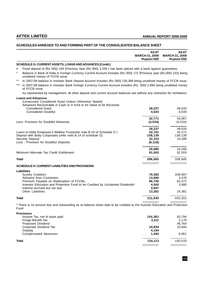## **SCHEDULES ANNEXED TO AND FORMING PART OF THE CONSOLIDATED BALANCE SHEET**

|              |                                                                                                                                                                             | <b>ASAT</b><br><b>MARCH 31, 2009</b><br>Rupees'000 | <b>ASAT</b><br><b>MARCH 31, 2008</b><br>Rupees'000 |
|--------------|-----------------------------------------------------------------------------------------------------------------------------------------------------------------------------|----------------------------------------------------|----------------------------------------------------|
|              | SCHEDULE G: CURRENT ASSETS, LOANS AND ADVANCES (Contd.)                                                                                                                     |                                                    |                                                    |
| #            | Fixed deposit of (Rs.'000) 149 {Previous Year (Rs.'000) 3,259 } has been placed with a bank against guarantees.                                                             |                                                    |                                                    |
| $\star$      | Balance in Bank of India in Foreign Currency Current Account includes (Rs.'000) 172 {Previous year (Rs.000) 232} being<br>unutilised money of FCCB issue.                   |                                                    |                                                    |
| $***$        | In 2007-08 balance in Investec Bank Deposit Account includes (Rs.'000) 130,399 being unutilised money of FCCB issue.                                                        |                                                    |                                                    |
| $***$        | In 2007-08 balance in Investec Bank Foreign Currency Current Account includes (Rs.' 000) 2,990 being unutilised money<br>of FCCB issue.                                     |                                                    |                                                    |
|              | As represented by management, all other deposit and current account balances are without any restriction for remittance.                                                    |                                                    |                                                    |
|              | <b>Loans and Advances</b><br>(Unsecured Considered Good Unless Otherwise Stated)<br>Advances Recoverable in Cash or in Kind or for Value to be Received<br>-Considered Good | 28,237                                             | 49,533                                             |
|              | -Considered Doubtful                                                                                                                                                        | 4,534                                              | 4,534                                              |
|              | Less: Provision for Doubtful Advances                                                                                                                                       | 32,771<br>(4, 534)                                 | 54,067<br>(4, 534)                                 |
|              |                                                                                                                                                                             |                                                    |                                                    |
|              | Loans to Aftek Employee's Welfare Trust(refer note B.19 of Schedule O)                                                                                                      | 28,237<br>42,701                                   | 49,533<br>43,171                                   |
|              | Deposit with Body Corporates (refer note B.14 of schedule O)                                                                                                                | 108,139                                            | 138,139                                            |
|              | <b>Security Deposit</b>                                                                                                                                                     | 32,103                                             | 16,499                                             |
|              | Less: Provision for Doubtful Deposits                                                                                                                                       | (6, 118)                                           |                                                    |
|              |                                                                                                                                                                             | 25,985                                             | 16,499                                             |
|              | Minimum Alternate Tax Credit Entitlement                                                                                                                                    | 91,503                                             | 91,503                                             |
| Total        |                                                                                                                                                                             | 296,565                                            | 338,845                                            |
|              | SCHEDULE H: CURRENT LIABILITIES AND PROVISIONS                                                                                                                              |                                                    |                                                    |
|              | <b>Liabilities</b>                                                                                                                                                          |                                                    |                                                    |
|              | <b>Sundry Creditors</b>                                                                                                                                                     | 79,282                                             | 338,987                                            |
|              | <b>Advance from Customers</b>                                                                                                                                               | 14,569                                             | 3,476                                              |
|              | Premium Payable on Redemption of FCCBs<br>Investor Education and Protection Fund to be Credited by Unclaimed Dividends*                                                     | 96,740<br>4,040                                    | 62,372<br>3,985                                    |
|              | Interest accrued but not due                                                                                                                                                | 3,947                                              |                                                    |
|              | <b>Other Liabilities</b>                                                                                                                                                    | 13,352                                             | 24,381                                             |
| <b>Total</b> |                                                                                                                                                                             | 211,930                                            | 433,201                                            |
| Fund         | * There is no amount due and outstanding as at balance sheet date to be credited to the Investor Education and Protection                                                   |                                                    |                                                    |

**Provisions** Proposed Dividend Tax and Composed Dividend Corporate Dividend Tax and Corporate Dividend Corporate Dividend Corporate Dividend Tax and the set of the composed Dividend Corporate Dividend Tax and the set of the set of the Income Tax, net of taxes paid **104,381** 83,794 Fringe Benefit Tax **3,211** 2,170 Corporate Dividend Tax **10,834** 10,844 10,844 10,844 10,844 10,844 10,844 10,844 10,844 **11** Gratuity **4,194** - Compensated Absences **1,493** 6,961 **Total 124,113** 150,533  $\frac{1}{\sqrt{1-\frac{1}{2}}\left(1-\frac{1}{2}\right)}\left(\frac{1}{2}-\frac{1}{2}\right)}\frac{1}{\sqrt{1-\frac{1}{2}}\left(1-\frac{1}{2}\right)}\frac{1}{\sqrt{1-\frac{1}{2}}\left(1-\frac{1}{2}\right)}\frac{1}{\sqrt{1-\frac{1}{2}}\left(1-\frac{1}{2}\right)}\frac{1}{\sqrt{1-\frac{1}{2}}\left(1-\frac{1}{2}\right)}\frac{1}{\sqrt{1-\frac{1}{2}}\left(1-\frac{1}{2}\right)}\frac{1}{\sqrt{1-\frac{1}{2}}\left(1-\frac{1}{2}\right$  $\qquad \qquad \overbrace{\qquad \qquad }$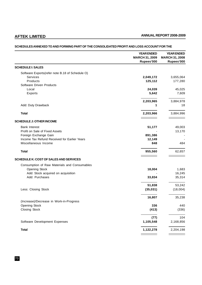# **YEAR ENDED YEAR ENDED MARCH 31, 2009 MARCH 31, 2008 Rupees'000 Rupees'000 SCHEDULE I: SALES** Software Exports(refer note B.18 of Schedule O) Services **2,049,172** 3,655,064 Products **125,112** 177,280 Software Driven Products Local **24,039** 45,025 Exports **5,642** 7,609 **2,203,965** 3,884,978 Add: Duty Drawback **18** 18 **Total 2,203,966** 3,884,996  $\overline{\phantom{a}}$  $\frac{1}{\sqrt{2}}$  ,  $\frac{1}{\sqrt{2}}$  ,  $\frac{1}{\sqrt{2}}$  ,  $\frac{1}{\sqrt{2}}$  ,  $\frac{1}{\sqrt{2}}$  ,  $\frac{1}{\sqrt{2}}$  ,  $\frac{1}{\sqrt{2}}$  ,  $\frac{1}{\sqrt{2}}$ **SCHEDULE J: OTHER INCOME** Bank Interest **51,177** 49,003 Profit on Sale of Fixed Assets 13,170 Foreign Exchange Gain **891,386** - Income Tax Refund Received for Earlier Years **12,149 12,149 12,149** Miscellaneous Income **848** 484 **Total 955,560** 62,657 **SCHEDULE K: COST OF SALES AND SERVICES** Consumption of Raw Materials and Consumables Opening Stock **18,004** 1,683 Add: Stock acquired on acquisition  $16,245$ Add: Purchases **33,834** 35,314 **51,838** 53,242 Less: Closing Stock **(35,031)** (18,004) **16,807** 35,238 (Increase)/Decrease in Work-in-Progress Opening Stock **336** 440 Closing Stock **(413)** (336) **(77)** 104 Software Development Expenses **1,105,548** 2,168,856 **Total 1,122,278** 2,204,198

#### **SCHEDULES ANNEXED TO AND FORMING PART OF THE CONSOLIDATED PROFIT AND LOSS ACCOUNT FOR THE**

70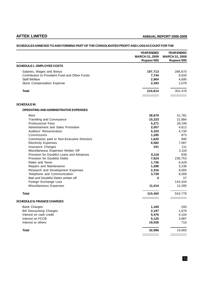# **YEAR ENDED YEAR ENDED MARCH 31, 2009 MARCH 31, 2008 Rupees'000 Rupees'000 SCHEDULE L: EMPLOYEE COSTS** Salaries, Wages and Bonus **197,713** 286,670 Contribution to Provident Fund and Other Funds **7,744** 9,033 Staff Welfare **2,964** 4,695 Stock Compensation Expense **2,393** 2,078 **Total 210,814** 302,476 **SCHEDULE M: OPERATING AND ADMINISTRATIVE EXPENSES** Rent **38,879** 51,781 Travelling and Conveyance **15,233** 21,884 Professional Fees **5,271** 29,199 Advertisement and Sales Promotion **2,057** 4,612 Auditors' Remuneration **5,103** 4,730<br> **Commission** 673 Commission **1,285** 873 Commission paid to Non-Executive Directors **1,620** 990 Electricity Expenses **6,582** 7,087 **Insurance Charges** 111 Miscellaneous Expenses Written Off **All and Acceleration** Changes 2,116 Provision for Doubtful Loans and Advances **6,118** 938 Provision for Doubtful Debts **7,624** 236,753 Rates and Taxes **1,736** 6,428 Repairs and Maintenance **1,288** 3,236 Research and Development Expenses **2,316** 9,005 Telephone and Communication **3,739** 8,269 Bad and Doubtful Debts written off **4** 37 Foreign Exchange Loss and the state of the state of the state of the state of the state of the state of the state of the state of the state of the state of the state of the state of the state of the state of the state of t Miscellaneous Expenses **11,414** 12,285 **Total 110,460** 543,778 **SCHEDULE N: FINANCE CHARGES** Bank Charges **1,160** 200 Bill Discounting Charges **2,197** 1,676 Interest on cash credit **5,476** 4,104 Interest on FCCB **5,125** 3,987 Interest to others **19,028** 716 **Total 32,986** 10,683

### **SCHEDULES ANNEXED TO AND FORMING PART OF THE CONSOLIDATED PROFIT AND LOSS ACCOUNT FOR THE**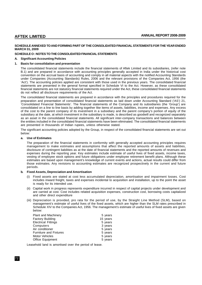#### **SCHEDULE ANNEXED TO AND FORMING PART OF THE CONSOLIDATED FINANCIAL STATEMENTS FOR THE YEAR ENDED MARCH 31, 2009**

#### **SCHEDULE O : NOTES TO THE CONSOLIDATED FINANCIAL STATEMENTS**

#### **A. Significant Accounting Policies**

#### **1. Basis for consolidation and presentation**

The consolidated financial statements include the financial statements of Aftek Limited and its subsidiaries, (refer note B.1) and are prepared in accordance with accounting principles generally accepted in India under the historical cost convention on the accrual basis of accounting and comply in all material aspects with the notified Accounting Standards under Companies (Accounting Standards) Rules, 2006 and the relevant provisions of the Companies Act, 1956 (the 'Act'). The accounting policies applied are consistent with those used in the previous years. The consolidated financial statements are presented in the general format specified in Schedule VI to the Act. However, as these consolidated financial statements are not statutory financial statements required under the Act, these consolidated financial statements do not reflect all disclosure requirements of the Act.

The consolidated financial statements are prepared in accordance with the principles and procedures required for the preparation and presentation of consolidated financial statements as laid down under Accounting Standard ('AS') 21, 'Consolidated Financial Statements'. The financial statements of the Company and its subsidiaries (the 'Group') are consolidated on a line to line basis by adding together like items of assets, liabilities, income and expenses. Any excess of the cost to the parent company of its investment in a subsidiary and the parent company's portion of equity of the subsidiary at the date, at which investment in the subsidiary is made, is described as goodwill and recognized separately as an asset in the consolidated financial statements. All significant inter-company transactions and balances between the entities included in the consolidated financial statements have been eliminated. The consolidated financial statements are presented in thousands of Indian rupees, unless otherwise stated.

The significant accounting policies adopted by the Group, in respect of the consolidated financial statements are set out below:

#### **a. Use of Estimates**

The preparation of the financial statements in conformity with generally accepted accounting principles requires management to make estimates and assumptions that affect the reported amounts of assets and liabilities, disclosure of contingent liabilities as at the date of financial statements and the reported amounts of revenues and expenses during the reporting year. Key estimates include estimate of useful lives of fixed assets, income taxes, vesting of employee stock options and future obligations under employee retirement benefit plans. Although these estimates are based upon management's knowledge of current events and actions, actual results could differ from those estimates. Any revisions to accounting estimates are recognized prospectively in the current and future periods.

#### **b. Fixed Assets, Depreciation and Amortisation**

- Fixed assets are stated at cost less accumulated depreciation, amortisation and impairment losses. Cost includes inward freight, taxes and expenses incidental to acquisition and installation, up to the point the asset is ready for its intended use.
- (ii) Capital work in progress represents expenditure incurred in respect of capital projects under development and are carried at cost. Cost includes related acquisition expenses, construction cost, borrowing costs capitalized and other direct expenditure
- (iii) Depreciation is provided, pro rata for the period of use, by the Straight Line Method (SLM), based on management's estimate of useful lives of the fixed assets, which are higher than the SLM rates prescribed in Schedule XIV to the Companies Act, 1956. The management's estimate of useful lives of fixed assets are given below:

| <b>Plant and Machinery</b>    | 5 years  |
|-------------------------------|----------|
| <b>Factory Building</b>       | 15 years |
| <b>Electrical Fittings</b>    | 5 years  |
| Computers                     | 3 years  |
| Air conditioner               | 5 years  |
| <b>Furniture and Fixtures</b> | 5 years  |
| Motor Vehicles                | 5 years  |
| <b>Office Equipment</b>       | 5 years  |

Leasehold land is amortised over the period of lease.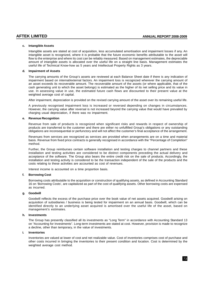#### **c. Intangible Assets**

Intangible assets are stated at cost of acquisition, less accumulated amortisation and impairment losses if any. An intangible asset is recognized, where it is probable that the future economic benefits attributable to the asset will flow to the enterprise and where its cost can be reliably measured. Based on management estimates, the depreciable amount of intangible assets is allocated over the useful life on a straight line basis. Management estimates the useful life of Technical Know-how as 5 years and Intellectual Property Rights as 3 years.

#### **d. Impairment of Assets**

The carrying amounts of the Group's assets are reviewed at each Balance Sheet date if there is any indication of impairment based on internal/external factors. An impairment loss is recognized wherever the carrying amount of an asset exceeds its recoverable amount. The recoverable amount of the assets (or where applicable, that of the cash generating unit to which the asset belongs) is estimated as the higher of its net selling price and its value in use. In assessing value in use, the estimated future cash flows are discounted to their present value at the weighted average cost of capital.

After impairment, depreciation is provided on the revised carrying amount of the asset over its remaining useful life.

A previously recognised impairment loss is increased or reversed depending on changes in circumstances. However, the carrying value after reversal is not increased beyond the carrying value that would have prevailed by charging usual depreciation, if there was no impairment.

#### **e. Revenue Recognition**

Revenue from sale of products is recognized when significant risks and rewards in respect of ownership of products are transferred to the customer and there are either no unfulfilled Group's obligations or any outstanding obligations are inconsequential or perfunctory and will not affect the customer's final acceptance of the arrangement.

Revenues from services are recognized as services are provided when arrangements are on a time and material basis. Revenue from fixed price contracts is generally recognised in accordance with the "Percentage of Completion" method.

Further, the Group reimburses certain software installation and testing charges to channel partners and these installation and testing activities are considered to be distinct components preceding the actual delivery and acceptance of the software. The Group also bears the entire credit risk on the sale of products. Accordingly, the installation and testing activity is considered to be the transaction independent of the sale of the products and the costs relating to these activities are accounted as cost of revenues.

Interest income is accounted on a time proportion basis.

#### **f. Borrowing Cost**

Borrowing costs attributable to the acquisition or construction of qualifying assets, as defined in Accounting Standard 16 on 'Borrowing Costs', are capitalized as part of the cost of qualifying assets. Other borrowing costs are expensed as incurred.

#### **g. Goodwill**

Goodwill reflects the excess of the purchase price over the book value of net assets acquired. Goodwill arising on acquisition of subsidiaries / business is being tested for impairment on an annual basis. Goodwill, which can be identified directly to an underlying asset acquired is amortised over the useful life of the asset, based on management's estimates.

#### **h. Investments**

The Group has presently classified all its investments as "Long Term" in accordance with Accounting Standard 13 on "Accounting for Investments". Long-term investments are stated at cost. However, provision is made to recognize a decline, other than temporary, in the value of investments.

#### **i. Inventories**

Inventories are valued at lower of cost and net realizable value. Cost of inventories comprises cost of purchase and other costs incurred in bringing the inventories to their present condition and location. Cost is determined by the weighted average cost method.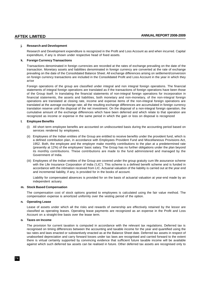### **j. Research and Development**

Research and Development expenditure is recognized in the Profit and Loss Account as and when incurred. Capital expenditure, if any is shown under respective head of fixed assets.

#### **k. Foreign Currency Transactions**

Transactions denominated in foreign currencies are recorded at the rates of exchange prevailing on the date of the transaction. Monetary assets and liabilities denominated in foreign currency are converted at the rate of exchange prevailing on the date of the Consolidated Balance Sheet. All exchange differences arising on settlement/conversion on foreign currency transactions are included in the Consolidated Profit and Loss Account in the year in which they arise

Foreign operations of the group are classified under integral and non integral foreign operations. The financial statements of integral foreign operations are translated as if the transactions of foreign operations have been those of the Group itself. In translating the financial statements of non-integral foreign operations for incorporation in financial statements, the assets and liabilities, both monetary and non-monetary, of the non-integral foreign operations are translated at closing rate, income and expense items of the non-integral foreign operations are translated at the average exchange rate; all the resulting exchange differences are accumulated in foreign currency translation reserve until the disposal of the net investment. On the disposal of a non-integral foreign operation, the cumulative amount of the exchange differences which have been deferred and which relate to that operation are recognized as income or expense in the same period in which the gain or loss on disposal is recognized

#### **l. Employee Benefits**

- (i) All short term employee benefits are accounted on undiscounted basis during the accounting period based on services rendered by employees.
- (ii) Employees of the Indian entities of the Group are entitled to receive benefits under the provident fund, which is a defined contribution plan, in accordance with Employees Provident Fund and Miscellaneous Provisions Act, 1952. Both, the employee and the employer make monthly contributions to the plan at a predetermined rate (presently at 12%) of the employees' basic salary. The Group has no further obligations under the plan beyond its monthly contributions. These contributions are made to the fund administered and managed by the Government of India.
- (iii) Employees of the Indian entities of the Group are covered under the group gratuity cum life assurance scheme with the Life Insurance Corporation of India ('LIC'). This scheme is a defined benefit scheme and is funded in accordance with the intimation received from LIC. Actuarial valuation of the liability is carried out at the year end and incremental liability, if any, is provided for in the books of account.

Liability for compensated absences is provided for on the basis of actuarial valuation at year-end made by an independent actuary.

#### **m. Stock Based Compensation**

The compensation cost of stock options granted to employees is calculated using the fair value method. The compensation expense is amortized uniformly over the vesting period of the option.

#### **n. Operating Lease**

Lease of assets under which all the risks and rewards of ownership are effectively retained by the lessor are classified as operating leases. Operating lease payments are recognized as an expense in the Profit and Loss Account on a straight-line basis over the lease term.

#### **o. Taxes on Income**

The provision for current taxation is computed in accordance with the relevant tax regulations. Deferred tax is recognised on timing differences between the accounting and taxable income for the year and quantified using the tax rates and laws enacted or substantively enacted as at the Balance Sheet date. Deferred tax assets in respect of unabsorbed depreciation and carry forward losses under tax laws are recognised and carried forward to the extent there is virtual certainty supported by convincing evidence that sufficient future taxable income will be available against which such deferred tax assets can be realised in future. Other deferred tax assets are recognised only to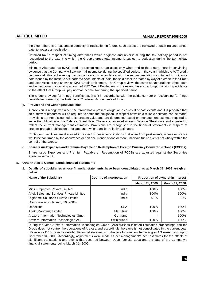the extent there is a reasonable certainty of realisation in future. Such assets are reviewed at each Balance Sheet date to reassess realisation.

Deferred tax in respect of timing differences which originate and reverse during the tax holiday period is not recognized to the extent to which the Group's gross total income is subject to deduction during the tax holiday period.

Minimum Alternate Tax (MAT) credit is recognized as an asset only when and to the extent there is convincing evidence that the Company will pay normal income tax during the specified period. In the year in which the MAT credit becomes eligible to be recognized as an asset in accordance with the recommendations contained in guidance note issued by the Institute of Chartered Accountants of India, the said asset is created by way of a credit to the Profit and Loss Account and shown as MAT Credit Entitlement. The Group reviews the same at each Balance Sheet date and writes down the carrying amount of MAT Credit Entitlement to the extent there is no longer convincing evidence to the effect that Group will pay normal Income Tax during the specified period.

The Group provides for Fringe Benefits Tax (FBT) in accordance with the guidance note on accounting for fringe benefits tax issued by the Institute of Chartered Accountants of India.

#### **p. Provisions and Contingent Liabilities**

A provision is recognized when the Group has a present obligation as a result of past events and it is probable that an outflow of resources will be required to settle the obligation, in respect of which a reliable estimate can be made. Provisions are not discounted to its present value and are determined based on management estimate required to settle the obligation at the Balance Sheet date. These are reviewed at each Balance Sheet date and adjusted to reflect the current management estimates. Provisions are recognised in the financial statements in respect of present probable obligations, for amounts which can be reliably estimated.

Contingent Liabilities are disclosed in respect of possible obligations that arise from past events, whose existence would be confirmed by the occurrence or non occurrence of one or more uncertain future events not wholly within the control of the Group.

#### **q. Share Issue Expenses and Premium Payable on Redemption of Foreign Currency Convertible Bonds (FCCBs)**

Share Issue Expenses and Premium Payable on Redemption of FCCBs are adjusted against the Securities Premium Account.

#### **B. Other Notes to Consolidated Financial Statements**

**1. Details of subsidiaries whose financial statements have been consolidated as at March 31, 2009 are given below:**

| <b>Name of the Subsidiary</b>            | <b>Country of Incorporation</b> | <b>Proportion of ownership Interest</b> |                |
|------------------------------------------|---------------------------------|-----------------------------------------|----------------|
|                                          |                                 | March 31, 2009                          | March 31, 2008 |
| Mihir Properties Private Limited         | India                           | 100%                                    | 100%           |
| Aftek Sales and Services Private Limited | India                           | 100%                                    | 100%           |
| Digihome Solutions Private Limited       | India                           | 51%                                     | 51%            |
| (Associate upto January 10, 2008)        |                                 |                                         |                |
| Opdex Inc.                               | <b>USA</b>                      | 100%                                    | 100%           |
| Aftek (Mauritius) Limited                | <b>Mauritius</b>                | 100%                                    | 100%           |
| Arexera Information Technologies Gmbh    | Germany                         |                                         | 100%           |
| Arexera Information Technologies AG      | Switzerland                     | 100%                                    | 100%           |

During the year, Arexera Information Technologies Gmbh ('Arexara')has initiated liquidation proceedings and the Group does not control the operations of Arexara and accordingly the same is not consolidated in the current year. (Refer note B.15 for more details). Financial statements of Arexera Information Technologies AG were drawn up to December 31, 2008. Accordingly, adjustments were made as per management's best estimates for the effects of significant transactions and events that occurred between December 31, 2008 and the date of the Company's financial statements being March 31, 2009.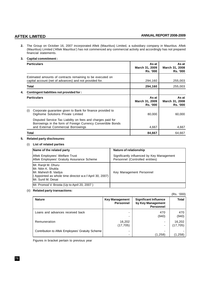**2.** The Group on October 16, 2007 incorporated Aftek (Mauritius) Limited, a subsidiary company in Mauritius. Aftek (Mauritius) Limited ('Aftek Mauritius') has not commenced any commercial activity and accordingly has not prepared financial statements.

#### **3. Capital commitment :**

| <b>Particulars</b>                                                                                                                                                | As at<br>March 31, 2009<br><b>Rs. '000</b> | As at<br>March 31, 2008<br><b>Rs. '000</b> |
|-------------------------------------------------------------------------------------------------------------------------------------------------------------------|--------------------------------------------|--------------------------------------------|
| Estimated amounts of contracts remaining to be executed on<br>capital account (net of advances) and not provided for.                                             | 294,160                                    | 255,003                                    |
| Total                                                                                                                                                             | 294,160                                    | 255,003                                    |
| Contingent liabilities not provided for:                                                                                                                          |                                            |                                            |
| <b>Particulars</b>                                                                                                                                                | As at<br>March 31, 2009<br><b>Rs. '000</b> | As at<br>March 31, 2008<br><b>Rs. '000</b> |
| Corporate guarantee given to Bank for finance provided to<br>(1)<br>Digihome Solutions Private Limited                                                            | 80,000                                     | 60,000                                     |
| Disputed Service Tax Liability on fees and charges paid for<br>Borrowings in the form of Foreign Currency Convertible Bonds<br>and External Commercial Borrowings | 4,667                                      | 4,667                                      |
| Total                                                                                                                                                             | 84,667                                     | 64,667                                     |

### **5. Related party disclosures:**

### (i) **List of related parties**

| Name of the related party                                                                                                                              | Nature of relationship                                                        |
|--------------------------------------------------------------------------------------------------------------------------------------------------------|-------------------------------------------------------------------------------|
| Aftek Employees' Welfare Trust<br>Aftek Employees' Gratuity Assurance Scheme                                                                           | Significantly influenced by Key Management<br>Personnel (Controlled entities) |
| Mr. Ranjit M. Dhuru<br>IMr. Nitin K. Shukla<br> Mr. Mahesh B. Vaidya<br>(Appointed as whole time directot w.e.f April 30, 2007)<br>lMr. Sunil M. Desai | Key Management Personnel                                                      |
| Mr. Promod V. Broota (Up to April 20, 2007)                                                                                                            |                                                                               |

### (ii) **Related party transactions:**

|                                                  |                                           |                                                                       | (Rs. '000)         |
|--------------------------------------------------|-------------------------------------------|-----------------------------------------------------------------------|--------------------|
| <b>Nature</b>                                    | <b>Key Management</b><br><b>Personnel</b> | <b>Significant Influence</b><br>by Key Management<br><b>Personnel</b> | <b>Total</b>       |
| Loans and advances received back                 |                                           | 470<br>(940)                                                          | 470<br>(940)       |
| Remuneration                                     | 16,202<br>(17, 705)                       | $\overline{\phantom{0}}$<br>$\overline{\phantom{0}}$                  | 16,202<br>(17,705) |
| Contribution to Aftek Employees' Gratuity Scheme | -                                         | (1,258)                                                               | (1,258)            |

Figures in bracket pertain to previous year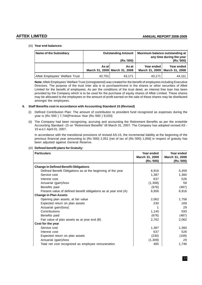### (iii) **Year end balances:**

| <b>Name of the Subsidiary</b>  | <b>Outstanding Amount</b><br>(Rs.'000) |                                        | Maximum balance outstanding at | any time during the year<br>(Rs.'000)         |
|--------------------------------|----------------------------------------|----------------------------------------|--------------------------------|-----------------------------------------------|
|                                | As at l                                | As at<br>March 31, 2009 March 31, 2008 | Year ended                     | Year ended<br>March 31, 2009   March 31, 2008 |
| Aftek Employees' Welfare Trust | 42.701                                 | 43.171                                 | 43.171                         | 44.111                                        |

**Note:** Aftek Employees' Welfare Trust (Unregistered) was created for the benefit of employees including Executive Directors. The purpose of the trust inter alia is to purchase/invest in the shares or other securities of Aftek Limited for the benefit of employees. As per the conditions of the trust deed, an interest free loan has been provided by the Company which is to be used for the purchase of equity shares of Aftek Limited. These shares may be allocated to the employees or the amount of profit earned on the sale of these shares may be distributed amongst the employees.

#### **6. Staff Benefits cost in accordance with Accounting Standard 15 (Revised)**

- (i) Defined Contribution Plan: The amount of contribution to provident fund recognized as expenses during the year is (Rs.'000 ) 7,744{Previous Year (Rs.'000 ) 9,033}
- (ii) The Company had been recognizing, accruing and accounting the Retirement Benefits as per the erstwhile Accounting Standard -15 on "Retirement Benefits" till March 31, 2007. The Company has adopted revised AS - 15 w.e.f. April 01, 2007.

In accordance with the transitional provisions of revised AS-15, the incremental liability at the beginning of the previous financial year amounting to (Rs.'000) 2,051 [net of tax of (Rs.'000) 1,056] in respect of gratuity has been adjusted against General Reserve.

| <b>Particulars</b>                                              | Year ended<br>March 31, 2009<br>(Rs.'000) | Year ended<br>March 31, 2008<br>(Rs.'000) |
|-----------------------------------------------------------------|-------------------------------------------|-------------------------------------------|
| <b>Change in Defined Benefit Obligations</b>                    |                                           |                                           |
| Defined Benefit Obligations as at the beginning of the year     | 6,916                                     | 5,459                                     |
| Service cost                                                    | 1,387                                     | 1,360                                     |
| Interest cost                                                   | 637                                       | 526                                       |
| Actuarial (gain)/loss                                           | (1,308)                                   | 58                                        |
| Benefits paid                                                   | (676)                                     | (487)                                     |
| Present value of defined benefit obligations as at year end (A) | 6,956                                     | 6,916                                     |
| <b>Change in Plan Assets</b>                                    |                                           |                                           |
| Opening plan assets, at fair value                              | 2,062                                     | 1,758                                     |
| Expected return on plan assets                                  | 230                                       | 169                                       |
| Actuarial gain/(loss)                                           | 1                                         | 29                                        |
| Contributions                                                   | 1,145                                     | 593                                       |
| Benefits paid                                                   | (676)                                     | (487)                                     |
| Fair value of plan assets as at year end (B)                    | 2,762                                     | 2,062                                     |
| Cost for the year                                               |                                           |                                           |
| Service cost                                                    | 1,387                                     | 1,360                                     |
| Interest cost                                                   | 637                                       | 526                                       |
| Expected return on plan assets                                  | (230)                                     | (169)                                     |
| Actuarial (gain)/loss                                           | (1, 309)                                  | 29                                        |
| Total net cost recognized as employee remuneration              | 485                                       | 1,746                                     |

#### (iii) **Defined benefit plans for Gratuity:**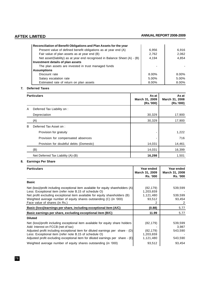| Reconciliation of Benefit Obligations and Plan Assets for the year         |                          |       |
|----------------------------------------------------------------------------|--------------------------|-------|
| Present value of defined benefit obligations as at year end (A)            | 6,956                    | 6.916 |
| Fair value of plan assets as at year end (B)                               | 2,762                    | 2,062 |
| Net asset/(liability) as at year end recognised in Balance Sheet (A) - (B) | 4.194                    | 4,854 |
| Investment details of plan assets                                          |                          |       |
| The plan assets are invested in trust managed funds                        | $\overline{\phantom{a}}$ |       |
| <b>Assumptions</b>                                                         |                          |       |
| Discount rate                                                              | 8.00%                    | 8.00% |
| Salary escalation rate                                                     | 5.00%                    | 5.00% |
| Estimated rate of return on plan assets                                    | 8.00%                    | 8.00% |

### **7. Deferred Taxes**

|   | <b>Particulars</b>                      | As at<br>March 31, 2009<br>(Rs.'000) | As at<br>March 31, 2008<br>(Rs.'000) |
|---|-----------------------------------------|--------------------------------------|--------------------------------------|
| A | Deferred Tax Liability on :             |                                      |                                      |
|   | Depreciation                            | 30,329                               | 17,900                               |
|   | (A)                                     | 30,329                               | 17,900                               |
| B | Deferred Tax Asset on:                  |                                      |                                      |
|   | Provision for gratuity                  |                                      | 1,222                                |
|   | Provision for compensated absences      |                                      | 716                                  |
|   | Provision for doubtful debts (Domestic) | 14,031                               | 14,461                               |
|   | (B)                                     | 14,031                               | 16,399                               |
|   | Net Deferred Tax Liability (A)-(B)      | 16,298                               | 1,501                                |

### **8. Earnings Per Share**

| <b>Particulars</b>                                                                                                                                                                                                                                                                                                                                      | Year ended<br>March 31, 2009<br><b>Rs. '000</b>    | Year ended<br>March 31, 2008<br><b>Rs. '000</b> |
|---------------------------------------------------------------------------------------------------------------------------------------------------------------------------------------------------------------------------------------------------------------------------------------------------------------------------------------------------------|----------------------------------------------------|-------------------------------------------------|
| <b>Basic</b>                                                                                                                                                                                                                                                                                                                                            |                                                    |                                                 |
| Net (loss)/profit including exceptional item available for equity shareholders $(A)$<br>Less: Exceptional item (refer note B.15 of schedule O)<br>Net profit excluding exceptional item available for equity shareholders (B)<br>Weighted average number of equity shares outstanding (C) (in '000)<br>Face value of shares (in Rs.)                    | (82, 179)<br>1,203,659<br>1,121,480<br>93,512<br>2 | 539,599<br>539,599<br>93,454                    |
| Basic (loss)/earnings per share, including exceptional item (A/C)                                                                                                                                                                                                                                                                                       | (0.88)                                             | 5.77                                            |
| Basic earnings per share, excluding exceptional item (B/C)                                                                                                                                                                                                                                                                                              | 11.99                                              | 5.77                                            |
| <b>Diluted</b>                                                                                                                                                                                                                                                                                                                                          |                                                    |                                                 |
| Net (loss)/profit including exceptional item available for equity share holders<br>Add: Interest on FCCB (net of tax)<br>Adjusted profit including exceptional item for diluted earnings per share - (D)<br>Less: Exceptional item (refer note B.15 of schedule O)<br>Adjusted profit excluding exceptional item for diluted earnings per share $-$ (E) | (82, 179)<br>(82, 179)<br>1,203,659<br>1,121,480   | 539,599<br>3,987<br>543,590<br>543,590          |
| Weighted average number of equity shares outstanding (in '000)                                                                                                                                                                                                                                                                                          | 93,512                                             | 93,454                                          |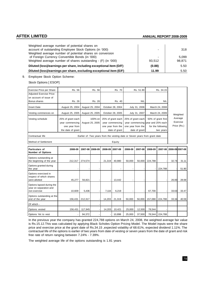| Weighted average number of potential shares on<br>account of outstanding Employee Stock Options (in '000)                                                                     |        | 318             |
|-------------------------------------------------------------------------------------------------------------------------------------------------------------------------------|--------|-----------------|
| Weighted average number of potential shares on conversion<br>of Foreign Currency Convertible Bonds (in '000)<br>Weighted average number of shares outstanding - (F) (in '000) | 93.512 | 5.099<br>98,871 |
| Diluted (loss)/earnings per share, including exceptional item (D/F)                                                                                                           | (0.88) | 5.50            |
| Diluted (loss)/earnings per share, excluding exceptional item (E/F)                                                                                                           | 11.99  | 5.50            |

9. Employee Stock Option Scheme:

Stock Options [ ESOP]

| <b>Exercise Price per Share</b>                                     | Rs. 56                   |                  | Rs. 56          |                  | Rs. 70            |               | Rs. 51.90         |                                                                            | Rs. 34.15               |                     |             |
|---------------------------------------------------------------------|--------------------------|------------------|-----------------|------------------|-------------------|---------------|-------------------|----------------------------------------------------------------------------|-------------------------|---------------------|-------------|
| <b>Adjusted Exercise Price</b>                                      |                          |                  |                 |                  |                   |               |                   |                                                                            |                         |                     |             |
| on account of issue of                                              |                          |                  |                 |                  |                   |               |                   |                                                                            |                         |                     |             |
| Bonus shares                                                        |                          | Rs. 26<br>Rs. 26 |                 | Rs. 40           |                   | <b>NIL</b>    |                   | <b>NIL</b>                                                                 |                         |                     |             |
| <b>Grant Date</b>                                                   | August 25, 2004          |                  | August 25, 2004 | October 28, 2004 |                   | July 31, 2006 |                   | March 24, 2008                                                             |                         |                     |             |
| Vesting commences on                                                | August 25, 2005          |                  | August 25, 2005 | October 28, 2005 |                   | July 31, 2007 |                   | March 24, 2009                                                             |                         | Weighted            |             |
| Vesting schedule                                                    | 25% of grant each        |                  | 100% on         |                  | 25% of grant each |               | 25% of grant each | 50% of grant first                                                         |                         | Average<br>Exercise |             |
|                                                                     | year commencing          |                  | August 25, 2005 |                  | year commencing   |               |                   | year commencing year and 25% each                                          |                         |                     |             |
|                                                                     | one year from            |                  |                 |                  | one year from the |               | one year from the |                                                                            | for the following       |                     | Price (Rs.) |
|                                                                     | the date of grant        |                  |                 |                  | date of grant     |               | date of grant     |                                                                            | two years               |                     |             |
| Contractual life                                                    |                          |                  |                 |                  |                   |               |                   | Earlier of :Two years from the vesting date or Seven years from grant date |                         |                     |             |
| Method of Settlement<br>Equity                                      |                          |                  |                 |                  |                   |               |                   |                                                                            |                         |                     |             |
| Particulars of<br><b>Number of Options</b>                          | 2008-09                  | 2007-08          | 2008-09         | 2008-09          | 2007-08           | 2008-09       | 2007-08           | 2008-09                                                                    | 2007-08 2008-09 2007-08 |                     |             |
| Options outstanding at<br>the beginning of the year                 | 212,317                  | 274,574          |                 | 21,319           | 40,980            | 50,000        | 50,000            | 224,788                                                                    |                         | 32.74               | 31.11       |
| Options granted during<br>the year                                  |                          |                  |                 |                  |                   |               |                   |                                                                            | 224,788                 |                     | 51.90       |
| Options exercised in<br>respect of which shares<br>were allotted    | 45,277                   | 56,821           |                 |                  | 13,442            |               |                   |                                                                            |                         | 26.00               | 28.68       |
| Options lapsed during the<br>year on separation and<br>non exercise | 10,609                   | 5,436            |                 | 7,116            | 6,219             |               |                   | 67,700                                                                     |                         | 33.63               | 33.47       |
| Options outstanding at the<br>end of the year                       | 156,431                  | 212,317          |                 | 14,203           | 21,319            | 50,000        | 50,000            | 157,088                                                                    | 224,788                 | 33.34               | 40.59       |
| Of which -                                                          |                          |                  |                 |                  |                   |               |                   |                                                                            |                         |                     |             |
| Options vested                                                      | 156,431                  | 117,945          |                 | 14,203           | 10,421            | 25,000        | 12,500            | 78,544                                                                     |                         |                     |             |
| Options Yet to vest                                                 | $\overline{\phantom{a}}$ | 94,372           |                 |                  | 10,898            | 25,000        | 37,500            | 78,544                                                                     | 224,788                 |                     |             |

In the previous year the company has granted 224,788 options on March 24, 2008, the weighted average fair value is Rs.15.12.This was calculated by applying Black Scholes Option Pricing Model. The Model inputs were the share price and exercise price at the grant date of Rs.34.15 , expected volatility of 68.61%, expected dividend 1.11%. The contractual life of the options is earlier of two years from date of vesting or seven years from the date of grant and risk free rate of return ranging between 7.24% - 7.39%.

The weighted average life of the options outstanding is 1.81 years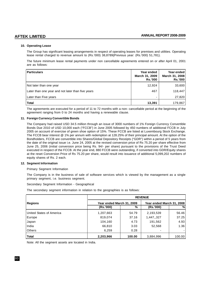### **10. Operating Lease**

The Group has significant leasing arrangements in respect of operating leases for premises and utilities. Operating lease rental charged to revenue amount to (Rs.'000) 38,8789{Previous year: (Rs.'000) 51,781}.

The future minimum lease rental payments under non cancellable agreements entered on or after April 01, 2001 are as follows:

| <b>Particulars</b>                                | <b>Year ended</b><br>March 31, 2009<br><b>Rs.'000</b> | Year ended<br>March 31, 2008<br>Rs.'000 |
|---------------------------------------------------|-------------------------------------------------------|-----------------------------------------|
| Not later than one year                           | 12,924                                                | 33,600                                  |
| Later than one year and not later than five years | 467                                                   | 118,447                                 |
| Later than Five years                             |                                                       | 27,820                                  |
| <b>Total</b>                                      | 13,391                                                | 179,867                                 |

The agreements are executed for a period of 11 to 72 months with a non- cancellable period at the beginning of the agreement ranging from 0 to 24 months and having a renewable clause.

### **11. Foreign Currency Convertible Bonds**

The Company had raised USD 34.5 million through an issue of 3000 numbers of 1% Foreign Currency Convertible Bonds Due 2010 of USD 10,000 each ("FCCB") in June 2005 followed by 450 numbers of additional FCCB in July 2005 on account of exercise of green shoe option of 15%. These FCCB are listed at Luxembourg Stock Exchange. The FCCB bear interest @ 1% per annum with redemption at 128.25% of their principal amount. At the option of the Bondholders, FCCB are convertible into Shares/Global Depository Receipts ("GDR") within a period of 5 years from the date of the original issue i.e. June 24, 2005 at the revised conversion price of Rs 75.20 per share effective from June 25, 2006 (initial conversion price being Rs. 94/- per share) pursuant to the provisions of the Trust Deed executed in respect of the FCCB. At the year end, 880 FCCB were outstanding, if converted into GDR/Equity shares at the reset Conversion Price of Rs 75.20 per share, would result into issuance of additional 5,099,202 numbers of equity shares of Rs. 2 each.

#### **12. Segment Information**

Primary Segment Information

The Company is in the business of sale of software services which is viewed by the management as a single primary segment, i.e. business segment.

Secondary Segment Information - Geographical

The secondary segment information in relation to the geographies is as follows:

|                          | <b>REVENUE</b>                                         |        |            |        |  |
|--------------------------|--------------------------------------------------------|--------|------------|--------|--|
| <b>Regions</b>           | Year ended March 31, 2009<br>Year ended March 31, 2008 |        |            |        |  |
|                          | (Rs.'000)                                              | %      | (Rs.'000)  | %      |  |
| United States of America | 1,207,663                                              | 54.79  | 2,193,539  | 56.46  |  |
| Europe                   | 819,074                                                | 37.16  | 1,447,,327 | 37.25  |  |
| Japan                    | 104,160                                                | 4.73   | 191,562    | 4.93   |  |
| India                    | 66,810                                                 | 3.03   | 52,568     | 1.36   |  |
| <b>Others</b>            | 6,259                                                  | 0.28   |            |        |  |
| <b>Total</b>             | 2,203,966                                              | 100.00 | 3,884,996  | 100.00 |  |

Note: All the segment assets are located in India.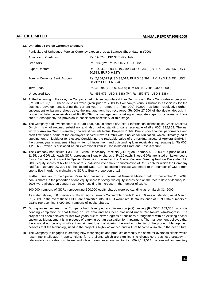#### **13. Unhedged Foreign Currency Exposure:**

Particulars of Unhedged Foreign Currency exposure as at Balance Sheet date in ('000s)

| Advance to Creditors          | Rs. 19,624 (USD 380) (PY: Nil).                                                       |
|-------------------------------|---------------------------------------------------------------------------------------|
| Creditors                     | Rs. Nil/- (PY: Rs. 272,077; USD 5,829)                                                |
| <b>Export Debtors</b>         | Rs. 1,424,351 (USD 19,270; EURO 6,348) (PY: Rs. 1,236,566; USD<br>20,588; EURO 6,827) |
| Foreign Currency Bank Account | Rs. 2,804,673 (USD 38,014; EURO 13,397) (PY: Rs.3,116,451; USD<br>68,212; EURO 6,854) |
| Term Loan                     | Rs. 410,940 (EURO 6,000) (PY: Rs.381,780; EURO 6,000)                                 |
| Unsecured Loan                | Rs. 458,976 (USD 8,888) (PY: Rs. 357,571; USD 8,888)                                  |

- **14.** At the beginning of the year, the Company had outstanding Interest Free Deposits with Body Corporates aggregating (Rs '000) 138,139. These deposits were given prior to 2003 to Company's various business associates for the business development. During the current year, an amount of (Rs '000) 30,000 has been received. Further, subsequent to balance sheet date, the management has recovered (Rs'000) 27,500 of the dealer deposit. In respect of balance receivables of Rs 80,639, the management is taking appropriate steps for recovery of these dues. Consequently no provision is considered necessary at this stage.
- **15.** The Company had investment of (Rs'000) 1,002,092 in shares of Arexera Information Technologies GmbH (Arexera GmbH), its wholly-owned subsidiary, and also had outstanding loans receivable of (Rs '000) 292,853. The net worth of Arexera GmbH is eroded; however it has Intellectual Property Rights. Due to poor financial performance and cash flow issues, some of the employees served Arexera GmbH with a notice for liquidation, which ultimately led to appointment of liquidator for closure. Considering the realizable value of the residual assets of Arexera GmbH, in the current year management has written off investment and outstanding loan receivable aggregating to (Rs'000) 1,203,659, which is disclosed as an exceptional item in Consolidated Profit and Loss Account.
- **16.** The Company had issued 1,333,100 Global Depository Receipts (GDRs) on February 07, 2003 at a price of USD 11.25, per GDR with each GDR representing 3 equity shares of Rs.10 each. These GDRs are listed on Luxembourg Stock Exchange. Pursuant to Special Resolution passed at the Annual General Meeting held on December 29, 2003, equity shares of Rs.10 each were sub-divided into smaller denomination of Rs.2 each for which the Company had fixed January 29, 2004 as the Record Date. Corresponding increase was made to the number of GDRs from one to five in order to maintain the GDR to Equity proportion of 1:3.

Further, pursuant to the Special Resolution passed at the Annual General Meeting held on December 28, 2004, bonus shares in the proportion of one equity share for every two equity shares held on the record date of January 28, 2005 were allotted on January 31, 2005 resulting in increase in the number of GDRs.

100,000 numbers of GDRs representing 300,000 equity shares were outstanding as at March 31, 2009.

As stated above, 880 numbers of 1% Foreign Currency Convertible Bonds Due 2010 was outstanding as at March, 31, 2009. In the event these FCCB are converted into GDR, it would result into issuance of 1,699,734 numbers of GDRs representing 5,099,202 numbers of equity shares.

- **17.** During an earlier year, the Company had developed a software (project) costing (Rs '000) 163,358, which is pending completion of final testing on live data and has been classified under Capital-Work-In-Progress. The project has been delayed for last two years due to slow progress of business arrangement with an existing anchor customer. Management is in process of carrying out an evaluation for impairment. The management believes that there would not be any significant impairment loss, considering the market potential of the product. Management believes that the technology used in the project is highly advanced and will not become obsolete in the near future.
- 18. The Company is engaged in creating new technologies and products or modify the same for overseas clients which result into Intellectual Property Rights for the clients which are significant to client's core business strategy. In relation to export sales of software products and services amounting to (Rs '000) 2,131,514, the relevant documentary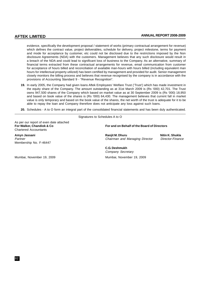evidence, specifically the development proposal / statement of works (primary contractual arrangement for revenue) which defines the contract value, project deliverables, schedule for delivery, project milestone, terms for payment and mode for acceptance by customer, etc could not be disclosed due to the restrictions imposed by the Non disclosure Agreements (NDA) with the customers. Management believes that any such disclosure would result in a breach of the NDA and could lead to significant loss of business to the Company. As an alternative, summary of financial terms extracted from these contractual arrangements for revenue, email communication from customer for acceptance of hours billed and reconciliation of available man-hours with hours billed (including equivalent man hours for intellectual property utilized) has been certified by management and provided for audit. Senior management closely monitors the billing process and believes that revenue recognised by the company is in accordance with the provisions of Accounting Standard 9 - "Revenue Recognition".

- **19.** In early 2005, the Company had given loans Aftek Employees' Welfare Trust ('Trust') which has made investment in the equity share of the Company. The amount outstanding as at 31st March 2009 is (Rs '000) 42,701. The Trust owns 947,500 shares of the Company which based on market value as at 30 September 2009 is (Rs '000) 18,950 and based on book value of the shares is (Rs '000) 64,430. The management believes that current fall in market value is only temporary and based on the book value of the shares, the net worth of the trust is adequate for it to be able to repay the loan and Company therefore does not anticipate any loss against such loans.
- **20.** Schedules A to O form an integral part of the consolidated financial statements and has been duly authenticated.

As per our report of even date attached<br>For Walker, Chandiok & Co Chartered Accountants

Membership No. F-46447

Signatures to Schedules A to O

#### **For and on Behalf of the Board of Directors**

**Amyn Jassani Ranjit M. Dhuru Nitin K. Shukla** Partner Chairman and Managing Director Chairman and Managing Director Chairman and Managing Director-Chairmance

**C.G. Deshmukh** Company Secretary

Mumbai, November 19, 2009 Mumbai, November 19, 2009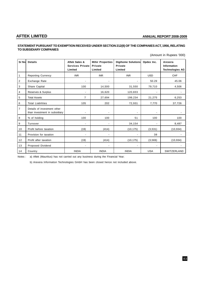## **STATEMENT PURSUANT TO EXEMPTION RECEIVED UNDER SECTION 212(8) OF THE COMPANIES ACT, 1956, RELATING TO SUBSIDIARY COMPANIES**

(Amount in Rupees '000)

| Sr No          | <b>Details</b>                                               | <b>Aftek Sales &amp;</b><br><b>Services Private</b><br>Limited | <b>Mihir Properties</b><br>Private<br>Limited | Digihome Solutions<br><b>Private</b><br>Limited | Opdex Inc. | Arexera<br><b>Information</b><br><b>Technologies AG</b> |
|----------------|--------------------------------------------------------------|----------------------------------------------------------------|-----------------------------------------------|-------------------------------------------------|------------|---------------------------------------------------------|
| 1              | <b>Reporting Currency</b>                                    | <b>INR</b>                                                     | <b>INR</b>                                    | <b>INR</b>                                      | <b>USD</b> | <b>CHF</b>                                              |
| 2              | Exchange Rate                                                | $\overline{\phantom{a}}$                                       |                                               |                                                 | 50.29      | 45.06                                                   |
| 3              | Share Capital                                                | 100                                                            | 14,500                                        | 31,550                                          | 79,710     | 4,506                                                   |
| 4              | Reserves & Surplus                                           |                                                                | 16,620                                        | 120,833                                         |            |                                                         |
| 5              | <b>Total Assets</b>                                          | $\overline{7}$                                                 | 27,694                                        | 199,234                                         | 21,275     | 6,253                                                   |
| 6              | <b>Total Liabilities</b>                                     | 105                                                            | 202                                           | 72,931                                          | 7,770      | 37,726                                                  |
| $\overline{7}$ | Details of investment other<br>than investment in subsidiary | $\overline{\phantom{a}}$                                       |                                               | $\overline{\phantom{a}}$                        |            |                                                         |
| 8              | % of holding                                                 | 100                                                            | 100                                           | 51                                              | 100        | 100                                                     |
| 9              | Turnover                                                     | $\overline{\phantom{a}}$                                       |                                               | 34,154                                          |            | 8,487                                                   |
| 10             | Profit before taxation                                       | (19)                                                           | (414)                                         | (10, 175)                                       | (3,531)    | (10, 934)                                               |
| 11             | Provision for taxation                                       | $\overline{\phantom{a}}$                                       |                                               |                                                 | 38         |                                                         |
| 12             | Profit after taxation                                        | (19)                                                           | (414)                                         | (10, 175)                                       | (3, 569)   | (10, 934)                                               |
| 13             | Proposed Dividend                                            | $\blacksquare$                                                 | ٠                                             | $\blacksquare$                                  |            |                                                         |
| 14             | Country                                                      | <b>INDIA</b>                                                   | <b>INDIA</b>                                  | <b>INDIA</b>                                    | <b>USA</b> | <b>SWITZERLAND</b>                                      |

Notes : a) Aftek (Mauritius) has not carried out any business during the Financial Year.

b) Arexera Information Technologies GmbH has been closed hence not included above.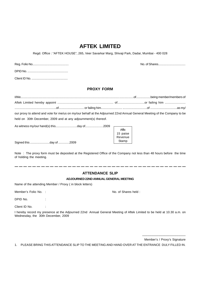# **AFTEK LIMITED**

Regd. Office : "AFTEK HOUSE", 265, Veer Savarkar Marg, Shivaji Park, Dadar, Mumbai - 400 028

# **PROXY FORM**

| our proxy to attend and vote for me/us on my/our behalf at the Adjourned 22nd Annual General Meeting of the Company to be |  |  |
|---------------------------------------------------------------------------------------------------------------------------|--|--|
| held on 30th December, 2009 and at any adjournment(s) thereof.                                                            |  |  |
|                                                                                                                           |  |  |

Signed this .......................day of .............2009

Note : The proxy form must be deposited at the Registered Office of the Company not less than 48 hours before the time of holding the meeting.

## **ATTENDANCE SLIP**

### **ADJOURNED 22ND ANNUAL GENERAL MEETING**

Name of the attending Member / Proxy ( in block letters)

Member's Folio No. : No. of Shares held :

DPID No.  $\qquad \qquad :$ 

15 paise Revenue Stamp

Client ID No. :

I hereby record my presence at the Adjourned 22nd Annual General Meeting of Aftek Limited to be held at 10.30 a.m. on Wednesday, the 30th December, 2009

> \_\_\_\_\_\_\_\_\_\_\_\_\_\_\_\_\_\_\_\_\_\_\_\_ Member's / Proxy's Signature

Reg. Folio No............................................ No. of Shares.................................

1. PLEASE BRING THIS ATTENDANCE SLIP TO THE MEETING AND HAND OVER AT THE ENTRANCE DULY FILLED IN.